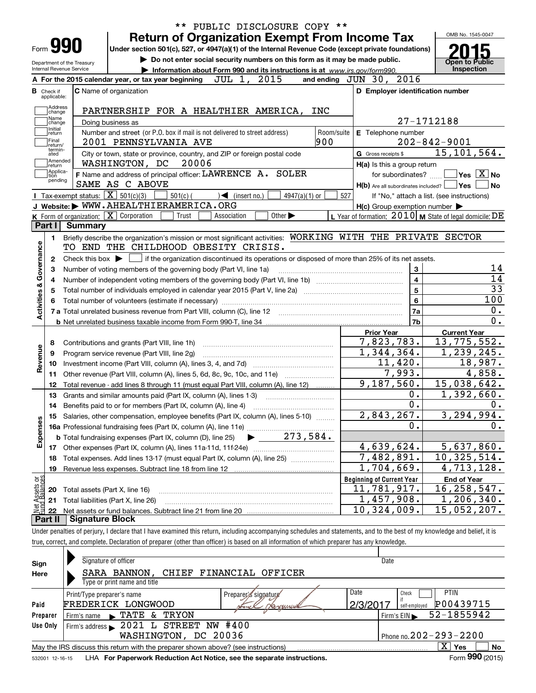|                                |                                  |                                                   | ** PUBLIC DISCLOSURE COPY **                                                                                                                                               |                                                           |                                                                               |  |  |  |  |  |  |  |  |  |
|--------------------------------|----------------------------------|---------------------------------------------------|----------------------------------------------------------------------------------------------------------------------------------------------------------------------------|-----------------------------------------------------------|-------------------------------------------------------------------------------|--|--|--|--|--|--|--|--|--|
|                                |                                  |                                                   | <b>Return of Organization Exempt From Income Tax</b>                                                                                                                       |                                                           | OMB No. 1545-0047                                                             |  |  |  |  |  |  |  |  |  |
|                                | <b>Form YYU</b>                  |                                                   | Under section 501(c), 527, or 4947(a)(1) of the Internal Revenue Code (except private foundations)                                                                         |                                                           |                                                                               |  |  |  |  |  |  |  |  |  |
|                                |                                  | Department of the Treasury                        | Do not enter social security numbers on this form as it may be made public.                                                                                                |                                                           | <b>Open to Public</b>                                                         |  |  |  |  |  |  |  |  |  |
|                                | Internal Revenue Service         |                                                   | Information about Form 990 and its instructions is at www.irs.gov/form990.                                                                                                 |                                                           | Inspection                                                                    |  |  |  |  |  |  |  |  |  |
|                                |                                  |                                                   | JUL 1, 2015<br>A For the 2015 calendar year, or tax year beginning                                                                                                         | and ending JUN 30, 2016                                   |                                                                               |  |  |  |  |  |  |  |  |  |
|                                | <b>B</b> Check if<br>applicable: |                                                   | <b>C</b> Name of organization                                                                                                                                              | D Employer identification number                          |                                                                               |  |  |  |  |  |  |  |  |  |
|                                | Address                          |                                                   | PARTNERSHIP FOR A HEALTHIER AMERICA,                                                                                                                                       |                                                           |                                                                               |  |  |  |  |  |  |  |  |  |
|                                | change<br> Name                  |                                                   | INC                                                                                                                                                                        |                                                           | 27-1712188                                                                    |  |  |  |  |  |  |  |  |  |
|                                | change<br>Initial                |                                                   | Doing business as<br>Number and street (or P.O. box if mail is not delivered to street address)<br>Room/suite                                                              | E Telephone number                                        |                                                                               |  |  |  |  |  |  |  |  |  |
|                                | return<br> Final                 |                                                   | 900<br>2001 PENNSYLVANIA AVE                                                                                                                                               |                                                           | $202 - 842 - 9001$                                                            |  |  |  |  |  |  |  |  |  |
|                                | return/<br>termin-<br>ated       |                                                   | City or town, state or province, country, and ZIP or foreign postal code                                                                                                   | G Gross receipts \$                                       | 15, 101, 564.                                                                 |  |  |  |  |  |  |  |  |  |
|                                | Amended<br> return               |                                                   | WASHINGTON, DC<br>20006                                                                                                                                                    | H(a) Is this a group return                               |                                                                               |  |  |  |  |  |  |  |  |  |
|                                | Applica-<br>tion                 |                                                   | F Name and address of principal officer: LAWRENCE A. SOLER                                                                                                                 | for subordinates?                                         | $ {\mathsf Y}{\mathsf e}{\mathsf s} \:\:   \:{\overline{{\mathsf X}}}\:  $ No |  |  |  |  |  |  |  |  |  |
|                                | pending                          |                                                   | SAME AS C ABOVE                                                                                                                                                            | $H(b)$ Are all subordinates included? $\Box$              | Yes<br><b>No</b>                                                              |  |  |  |  |  |  |  |  |  |
|                                |                                  | Tax-exempt status: $\boxed{\mathbf{X}}$ 501(c)(3) | $501(c)$ (<br>$4947(a)(1)$ or<br>$\sqrt{\bullet}$ (insert no.)                                                                                                             | 527                                                       | If "No," attach a list. (see instructions)                                    |  |  |  |  |  |  |  |  |  |
|                                |                                  |                                                   | J Website: WWW.AHEALTHIERAMERICA.ORG                                                                                                                                       | $H(c)$ Group exemption number $\blacktriangleright$       |                                                                               |  |  |  |  |  |  |  |  |  |
|                                |                                  |                                                   | <b>K</b> Form of organization: $\boxed{\mathbf{X}}$ Corporation<br>Other $\blacktriangleright$<br>Trust<br>Association                                                     | L Year of formation: $2010$ M State of legal domicile: DE |                                                                               |  |  |  |  |  |  |  |  |  |
|                                | Part I                           | <b>Summary</b>                                    |                                                                                                                                                                            |                                                           |                                                                               |  |  |  |  |  |  |  |  |  |
|                                | 1.                               |                                                   | Briefly describe the organization's mission or most significant activities: WORKING WITH THE PRIVATE SECTOR                                                                |                                                           |                                                                               |  |  |  |  |  |  |  |  |  |
| Governance                     |                                  | TO END THE CHILDHOOD OBESITY CRISIS.              |                                                                                                                                                                            |                                                           |                                                                               |  |  |  |  |  |  |  |  |  |
|                                | 2                                |                                                   | Check this box $\blacktriangleright$ $\blacksquare$ if the organization discontinued its operations or disposed of more than 25% of its net assets.                        | 14                                                        |                                                                               |  |  |  |  |  |  |  |  |  |
|                                | з                                |                                                   | 3<br>Number of voting members of the governing body (Part VI, line 1a)                                                                                                     |                                                           |                                                                               |  |  |  |  |  |  |  |  |  |
|                                | 4                                | $\overline{\mathbf{4}}$<br>5<br>5                 |                                                                                                                                                                            |                                                           |                                                                               |  |  |  |  |  |  |  |  |  |
| <b>Activities &amp;</b>        |                                  |                                                   |                                                                                                                                                                            |                                                           |                                                                               |  |  |  |  |  |  |  |  |  |
|                                | 6                                |                                                   |                                                                                                                                                                            | 6                                                         | 100                                                                           |  |  |  |  |  |  |  |  |  |
|                                |                                  |                                                   | 7a                                                                                                                                                                         | 0.                                                        |                                                                               |  |  |  |  |  |  |  |  |  |
|                                |                                  |                                                   |                                                                                                                                                                            | 7b                                                        | $0$ .                                                                         |  |  |  |  |  |  |  |  |  |
|                                |                                  |                                                   |                                                                                                                                                                            | <b>Prior Year</b><br>7,823,783.                           | <b>Current Year</b><br>13,775,552.                                            |  |  |  |  |  |  |  |  |  |
|                                | 8                                |                                                   | Contributions and grants (Part VIII, line 1h)                                                                                                                              | 1,344,364.                                                | 1,239,245.                                                                    |  |  |  |  |  |  |  |  |  |
| Revenue                        | 9                                |                                                   | Program service revenue (Part VIII, line 2g)                                                                                                                               | 11,420.                                                   | 18,987.                                                                       |  |  |  |  |  |  |  |  |  |
|                                | 10<br>11                         |                                                   |                                                                                                                                                                            | 7,993.                                                    | 4,858.                                                                        |  |  |  |  |  |  |  |  |  |
|                                | 12                               |                                                   | Total revenue - add lines 8 through 11 (must equal Part VIII, column (A), line 12)                                                                                         | 9,187,560.                                                | 15,038,642.                                                                   |  |  |  |  |  |  |  |  |  |
|                                | 13                               |                                                   | Grants and similar amounts paid (Part IX, column (A), lines 1-3)                                                                                                           | 0.                                                        | 1,392,660.                                                                    |  |  |  |  |  |  |  |  |  |
|                                |                                  |                                                   | 14 Benefits paid to or for members (Part IX, column (A), line 4)                                                                                                           | 0.                                                        | 0.                                                                            |  |  |  |  |  |  |  |  |  |
|                                |                                  |                                                   | Salaries, other compensation, employee benefits (Part IX, column (A), lines 5-10)                                                                                          | 2,843,267.                                                | 3,294,994.                                                                    |  |  |  |  |  |  |  |  |  |
|                                |                                  |                                                   |                                                                                                                                                                            | 0.                                                        | $\overline{0}$ .                                                              |  |  |  |  |  |  |  |  |  |
| Expenses                       |                                  |                                                   | 273,584.<br><b>b</b> Total fundraising expenses (Part IX, column (D), line 25)                                                                                             |                                                           |                                                                               |  |  |  |  |  |  |  |  |  |
|                                |                                  |                                                   |                                                                                                                                                                            | 4,639,624.                                                | 5,637,860.                                                                    |  |  |  |  |  |  |  |  |  |
|                                | 18                               |                                                   | Total expenses. Add lines 13-17 (must equal Part IX, column (A), line 25)                                                                                                  | $\overline{7,482,891.}$                                   | 10,325,514.                                                                   |  |  |  |  |  |  |  |  |  |
|                                | 19                               |                                                   |                                                                                                                                                                            | 1,704,669.                                                | 4,713,128.                                                                    |  |  |  |  |  |  |  |  |  |
|                                |                                  |                                                   |                                                                                                                                                                            | <b>Beginning of Current Year</b>                          | <b>End of Year</b>                                                            |  |  |  |  |  |  |  |  |  |
| Net Assets or<br>Fund Balances | 20                               |                                                   | Total assets (Part X, line 16)                                                                                                                                             | 11,781,917.                                               | 16, 258, 547.                                                                 |  |  |  |  |  |  |  |  |  |
|                                | 21                               |                                                   | Total liabilities (Part X, line 26)                                                                                                                                        | 1,457,908.                                                | 1,206,340.                                                                    |  |  |  |  |  |  |  |  |  |
|                                | 22                               |                                                   |                                                                                                                                                                            | $\overline{10}$ , 324, 009.                               | 15,052,207.                                                                   |  |  |  |  |  |  |  |  |  |
|                                | Part II                          | <b>Signature Block</b>                            |                                                                                                                                                                            |                                                           |                                                                               |  |  |  |  |  |  |  |  |  |
|                                |                                  |                                                   | Under penalties of periury. I declare that I have examined this return, including accompanying schedules and statements, and to the best of my knowledge and belief, it is |                                                           |                                                                               |  |  |  |  |  |  |  |  |  |

Under penalties of perjury, I declare that I have examined this return, including accompanying schedules and statements, and to the best of my knowledge and belief, it is true, correct, and complete. Declaration of preparer (other than officer) is based on all information of which preparer has any knowledge.

| Sign            | Signature of officer                                                                                              | Date                                  |  |  |  |  |  |  |  |  |  |
|-----------------|-------------------------------------------------------------------------------------------------------------------|---------------------------------------|--|--|--|--|--|--|--|--|--|
| Here            | SARA BANNON, CHIEF FINANCIAL OFFICER                                                                              |                                       |  |  |  |  |  |  |  |  |  |
|                 | Type or print name and title                                                                                      |                                       |  |  |  |  |  |  |  |  |  |
|                 | Print/Type preparer's name<br>Preparer's signature                                                                | Date<br><b>PTIN</b><br>Check          |  |  |  |  |  |  |  |  |  |
| Paid            | FREDERICK LONGWOOD<br>Hercannua<br>muck                                                                           | P00439715<br>2/3/201<br>self-emploved |  |  |  |  |  |  |  |  |  |
| Preparer        | TRYON<br>TATE<br><u>&amp;</u><br>Firm's name                                                                      | 52-1855942<br>Firm's $EIN$            |  |  |  |  |  |  |  |  |  |
| Use Only        | #400<br>2021 L STREET NW<br>Firm's address $\blacktriangleright$                                                  |                                       |  |  |  |  |  |  |  |  |  |
|                 | WASHINGTON,<br>DC 20036                                                                                           | Phone no. $202 - 293 - 2200$          |  |  |  |  |  |  |  |  |  |
|                 | X<br><b>No</b><br><b>Yes</b><br>May the IRS discuss this return with the preparer shown above? (see instructions) |                                       |  |  |  |  |  |  |  |  |  |
| 532001 12-16-15 | LHA For Paperwork Reduction Act Notice, see the separate instructions.                                            | Form 990 (2015)                       |  |  |  |  |  |  |  |  |  |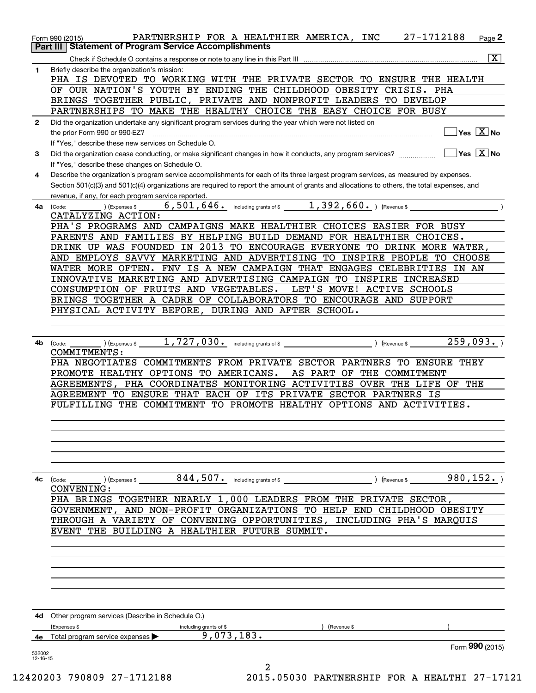|                    | PARTNERSHIP FOR A HEALTHIER AMERICA, INC 27-1712188<br>Form 990 (2015)                                                                                                                                                                                                                                                                      | Page 2                              |
|--------------------|---------------------------------------------------------------------------------------------------------------------------------------------------------------------------------------------------------------------------------------------------------------------------------------------------------------------------------------------|-------------------------------------|
|                    | <b>Statement of Program Service Accomplishments</b><br>Part III                                                                                                                                                                                                                                                                             |                                     |
|                    |                                                                                                                                                                                                                                                                                                                                             | $\overline{\mathbf{x}}$             |
| $\mathbf{1}$       | Briefly describe the organization's mission:<br>PHA IS DEVOTED TO WORKING WITH THE PRIVATE SECTOR TO ENSURE THE HEALTH<br>OF OUR NATION'S YOUTH BY ENDING THE CHILDHOOD OBESITY CRISIS. PHA                                                                                                                                                 |                                     |
|                    | BRINGS TOGETHER PUBLIC, PRIVATE AND NONPROFIT LEADERS TO DEVELOP                                                                                                                                                                                                                                                                            |                                     |
|                    | PARTNERSHIPS TO MAKE THE HEALTHY CHOICE THE EASY CHOICE FOR BUSY                                                                                                                                                                                                                                                                            |                                     |
| $\mathbf{2}$       | Did the organization undertake any significant program services during the year which were not listed on<br>the prior Form 990 or 990-EZ?<br>If "Yes," describe these new services on Schedule O.                                                                                                                                           | $\exists$ Yes $\boxed{\text{X}}$ No |
| 3                  | Did the organization cease conducting, or make significant changes in how it conducts, any program services?<br>If "Yes," describe these changes on Schedule O.                                                                                                                                                                             | $\Box$ Yes $\Box$ No                |
| 4                  | Describe the organization's program service accomplishments for each of its three largest program services, as measured by expenses.<br>Section 501(c)(3) and 501(c)(4) organizations are required to report the amount of grants and allocations to others, the total expenses, and<br>revenue, if any, for each program service reported. |                                     |
| 4a                 | 6,501,646. including grants of \$ 1,392,660. (Revenue \$<br>(Expenses \$<br>(Code:<br>CATALYZING ACTION:                                                                                                                                                                                                                                    |                                     |
|                    | PHA'S PROGRAMS AND CAMPAIGNS MAKE HEALTHIER CHOICES EASIER FOR BUSY                                                                                                                                                                                                                                                                         |                                     |
|                    | PARENTS AND FAMILIES BY HELPING BUILD DEMAND FOR HEALTHIER CHOICES.                                                                                                                                                                                                                                                                         |                                     |
|                    | DRINK UP WAS FOUNDED IN 2013 TO ENCOURAGE EVERYONE TO DRINK MORE WATER,                                                                                                                                                                                                                                                                     |                                     |
|                    | AND EMPLOYS SAVVY MARKETING AND ADVERTISING TO INSPIRE PEOPLE TO CHOOSE                                                                                                                                                                                                                                                                     |                                     |
|                    | WATER MORE OFTEN. FNV IS A NEW CAMPAIGN THAT ENGAGES CELEBRITIES IN AN                                                                                                                                                                                                                                                                      |                                     |
|                    | INNOVATIVE MARKETING AND ADVERTISING CAMPAIGN TO INSPIRE INCREASED                                                                                                                                                                                                                                                                          |                                     |
|                    | CONSUMPTION OF FRUITS AND VEGETABLES.<br>LET'S MOVE! ACTIVE SCHOOLS                                                                                                                                                                                                                                                                         |                                     |
|                    | BRINGS TOGETHER A CADRE OF COLLABORATORS TO ENCOURAGE AND SUPPORT                                                                                                                                                                                                                                                                           |                                     |
|                    | PHYSICAL ACTIVITY BEFORE, DURING AND AFTER SCHOOL.                                                                                                                                                                                                                                                                                          |                                     |
|                    |                                                                                                                                                                                                                                                                                                                                             |                                     |
| 4b                 | ) (Expenses \$ 1,727,030. including grants of \$ 1, 1993. ) (Revenue \$ 259,093. )<br>(Code:<br>COMMITMENTS:                                                                                                                                                                                                                                |                                     |
|                    | PHA NEGOTIATES COMMITMENTS FROM PRIVATE SECTOR PARTNERS TO ENSURE THEY                                                                                                                                                                                                                                                                      |                                     |
|                    | PROMOTE HEALTHY OPTIONS TO AMERICANS.<br>AS PART OF THE COMMITMENT                                                                                                                                                                                                                                                                          |                                     |
|                    | AGREEMENTS, PHA COORDINATES MONITORING ACTIVITIES OVER THE LIFE OF                                                                                                                                                                                                                                                                          | THE                                 |
|                    | AGREEMENT TO ENSURE THAT EACH OF ITS PRIVATE SECTOR PARTNERS IS                                                                                                                                                                                                                                                                             |                                     |
|                    | FULFILLING THE COMMITMENT TO PROMOTE HEALTHY OPTIONS AND ACTIVITIES.                                                                                                                                                                                                                                                                        |                                     |
|                    |                                                                                                                                                                                                                                                                                                                                             |                                     |
|                    |                                                                                                                                                                                                                                                                                                                                             |                                     |
|                    |                                                                                                                                                                                                                                                                                                                                             |                                     |
|                    |                                                                                                                                                                                                                                                                                                                                             |                                     |
| 4c                 | $844$ , $507$ $\cdot$ including grants of \$<br>$\left(\text{Code:}\ \_\_\_\_\$<br>) (Expenses \$                                                                                                                                                                                                                                           | 980, 152.<br>) (Revenue \$          |
|                    | CONVENING:                                                                                                                                                                                                                                                                                                                                  |                                     |
|                    | PHA BRINGS TOGETHER NEARLY 1,000 LEADERS FROM THE PRIVATE SECTOR,                                                                                                                                                                                                                                                                           |                                     |
|                    | GOVERNMENT, AND NON-PROFIT ORGANIZATIONS TO HELP END CHILDHOOD OBESITY                                                                                                                                                                                                                                                                      |                                     |
|                    | THROUGH A VARIETY OF CONVENING OPPORTUNITIES, INCLUDING PHA'S MARQUIS                                                                                                                                                                                                                                                                       |                                     |
|                    | EVENT THE BUILDING A HEALTHIER FUTURE SUMMIT.                                                                                                                                                                                                                                                                                               |                                     |
|                    |                                                                                                                                                                                                                                                                                                                                             |                                     |
|                    |                                                                                                                                                                                                                                                                                                                                             |                                     |
|                    |                                                                                                                                                                                                                                                                                                                                             |                                     |
|                    |                                                                                                                                                                                                                                                                                                                                             |                                     |
|                    |                                                                                                                                                                                                                                                                                                                                             |                                     |
|                    |                                                                                                                                                                                                                                                                                                                                             |                                     |
|                    |                                                                                                                                                                                                                                                                                                                                             |                                     |
|                    | <b>4d</b> Other program services (Describe in Schedule O.)                                                                                                                                                                                                                                                                                  |                                     |
|                    | (Expenses \$<br>(Revenue \$<br>including grants of \$<br>9,073,183.                                                                                                                                                                                                                                                                         |                                     |
| 4е                 | Total program service expenses $\blacktriangleright$                                                                                                                                                                                                                                                                                        | Form 990 (2015)                     |
| 532002<br>12-16-15 | 2                                                                                                                                                                                                                                                                                                                                           |                                     |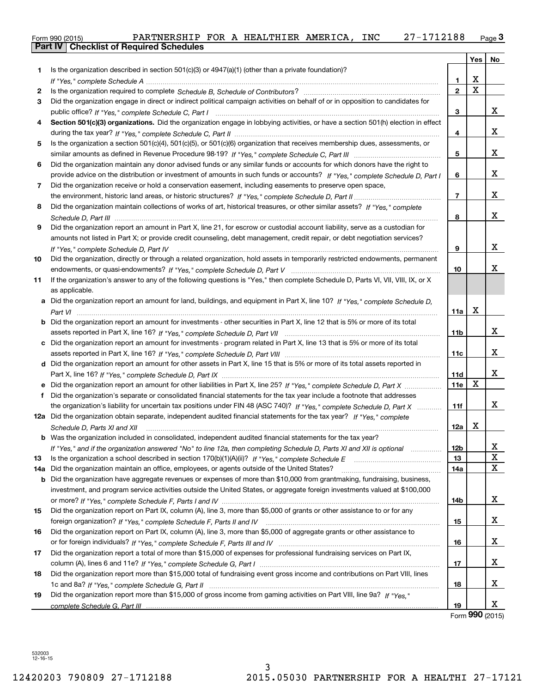| Form 990 (2015) | PARTNERSHIP | <b>FOR</b> | A | HEALTHIER | AMERICA | INC | .2188<br>⌒ヮ | Page <b>ب</b> |
|-----------------|-------------|------------|---|-----------|---------|-----|-------------|---------------|
| $P = 111$       |             |            |   |           |         |     |             |               |

|     | Part IV   Checklist of Required Schedules                                                                                            |                 |     |    |  |  |  |  |  |
|-----|--------------------------------------------------------------------------------------------------------------------------------------|-----------------|-----|----|--|--|--|--|--|
|     |                                                                                                                                      |                 | Yes | No |  |  |  |  |  |
| 1   | Is the organization described in section $501(c)(3)$ or $4947(a)(1)$ (other than a private foundation)?                              |                 |     |    |  |  |  |  |  |
|     |                                                                                                                                      | 1               | X   |    |  |  |  |  |  |
| 2   |                                                                                                                                      | $\mathfrak{p}$  | X   |    |  |  |  |  |  |
| 3   | Did the organization engage in direct or indirect political campaign activities on behalf of or in opposition to candidates for      |                 |     |    |  |  |  |  |  |
|     |                                                                                                                                      | 3               |     | x  |  |  |  |  |  |
| 4   | Section 501(c)(3) organizations. Did the organization engage in lobbying activities, or have a section 501(h) election in effect     |                 |     |    |  |  |  |  |  |
|     |                                                                                                                                      |                 |     | X  |  |  |  |  |  |
|     |                                                                                                                                      | 4               |     |    |  |  |  |  |  |
| 5   | Is the organization a section 501(c)(4), 501(c)(5), or 501(c)(6) organization that receives membership dues, assessments, or         |                 |     |    |  |  |  |  |  |
|     |                                                                                                                                      | 5               |     | X  |  |  |  |  |  |
| 6   | Did the organization maintain any donor advised funds or any similar funds or accounts for which donors have the right to            |                 |     |    |  |  |  |  |  |
|     | provide advice on the distribution or investment of amounts in such funds or accounts? If "Yes," complete Schedule D, Part I         |                 |     |    |  |  |  |  |  |
| 7   | Did the organization receive or hold a conservation easement, including easements to preserve open space,                            |                 |     |    |  |  |  |  |  |
|     |                                                                                                                                      | $\overline{7}$  |     | x  |  |  |  |  |  |
| 8   | Did the organization maintain collections of works of art, historical treasures, or other similar assets? If "Yes," complete         |                 |     |    |  |  |  |  |  |
|     |                                                                                                                                      | 8               |     | X  |  |  |  |  |  |
| 9   | Did the organization report an amount in Part X, line 21, for escrow or custodial account liability, serve as a custodian for        |                 |     |    |  |  |  |  |  |
|     | amounts not listed in Part X; or provide credit counseling, debt management, credit repair, or debt negotiation services?            |                 |     |    |  |  |  |  |  |
|     | If "Yes," complete Schedule D, Part IV                                                                                               | 9               |     | X  |  |  |  |  |  |
| 10  | Did the organization, directly or through a related organization, hold assets in temporarily restricted endowments, permanent        |                 |     |    |  |  |  |  |  |
|     |                                                                                                                                      | 10              |     | x  |  |  |  |  |  |
| 11  | If the organization's answer to any of the following questions is "Yes," then complete Schedule D, Parts VI, VII, VIII, IX, or X     |                 |     |    |  |  |  |  |  |
|     | as applicable.                                                                                                                       |                 |     |    |  |  |  |  |  |
|     | a Did the organization report an amount for land, buildings, and equipment in Part X, line 10? If "Yes," complete Schedule D,        |                 |     |    |  |  |  |  |  |
|     |                                                                                                                                      | 11a             | X   |    |  |  |  |  |  |
|     | <b>b</b> Did the organization report an amount for investments - other securities in Part X, line 12 that is 5% or more of its total |                 |     |    |  |  |  |  |  |
|     |                                                                                                                                      | 11 <sub>b</sub> |     | x  |  |  |  |  |  |
|     |                                                                                                                                      |                 |     |    |  |  |  |  |  |
|     | c Did the organization report an amount for investments - program related in Part X, line 13 that is 5% or more of its total         |                 |     | x  |  |  |  |  |  |
|     |                                                                                                                                      | 11c             |     |    |  |  |  |  |  |
|     | d Did the organization report an amount for other assets in Part X, line 15 that is 5% or more of its total assets reported in       |                 |     |    |  |  |  |  |  |
|     |                                                                                                                                      | 11d             |     | х  |  |  |  |  |  |
|     | e Did the organization report an amount for other liabilities in Part X, line 25? If "Yes," complete Schedule D, Part X              | 11e             | Х   |    |  |  |  |  |  |
| f   | Did the organization's separate or consolidated financial statements for the tax year include a footnote that addresses              |                 |     |    |  |  |  |  |  |
|     | the organization's liability for uncertain tax positions under FIN 48 (ASC 740)? If "Yes," complete Schedule D, Part X               | 11f             |     | X  |  |  |  |  |  |
|     | 12a Did the organization obtain separate, independent audited financial statements for the tax year? If "Yes," complete              |                 |     |    |  |  |  |  |  |
|     | Schedule D, Parts XI and XII manufactured and content to the content of the state of the state of the state of                       | 12a             | х   |    |  |  |  |  |  |
| b   | Was the organization included in consolidated, independent audited financial statements for the tax year?                            |                 |     |    |  |  |  |  |  |
|     | If "Yes," and if the organization answered "No" to line 12a, then completing Schedule D, Parts XI and XII is optional                | 12 <sub>b</sub> |     | х  |  |  |  |  |  |
| 13  |                                                                                                                                      | 13              |     | X  |  |  |  |  |  |
| 14a | Did the organization maintain an office, employees, or agents outside of the United States?                                          | 14a             |     | Х  |  |  |  |  |  |
| b   | Did the organization have aggregate revenues or expenses of more than \$10,000 from grantmaking, fundraising, business,              |                 |     |    |  |  |  |  |  |
|     | investment, and program service activities outside the United States, or aggregate foreign investments valued at \$100,000           |                 |     |    |  |  |  |  |  |
|     |                                                                                                                                      | 14b             |     | х  |  |  |  |  |  |
| 15  | Did the organization report on Part IX, column (A), line 3, more than \$5,000 of grants or other assistance to or for any            |                 |     |    |  |  |  |  |  |
|     |                                                                                                                                      | 15              |     | x  |  |  |  |  |  |
| 16  | Did the organization report on Part IX, column (A), line 3, more than \$5,000 of aggregate grants or other assistance to             |                 |     |    |  |  |  |  |  |
|     |                                                                                                                                      | 16              |     | x  |  |  |  |  |  |
| 17  | Did the organization report a total of more than \$15,000 of expenses for professional fundraising services on Part IX,              |                 |     |    |  |  |  |  |  |
|     |                                                                                                                                      | 17              |     | x  |  |  |  |  |  |
|     |                                                                                                                                      |                 |     |    |  |  |  |  |  |
| 18  | Did the organization report more than \$15,000 total of fundraising event gross income and contributions on Part VIII, lines         |                 |     |    |  |  |  |  |  |
|     |                                                                                                                                      | 18              |     | x  |  |  |  |  |  |
| 19  | Did the organization report more than \$15,000 of gross income from gaming activities on Part VIII, line 9a? If "Yes."               |                 |     |    |  |  |  |  |  |
|     |                                                                                                                                      | 19              |     | X  |  |  |  |  |  |

Form 990 (2015)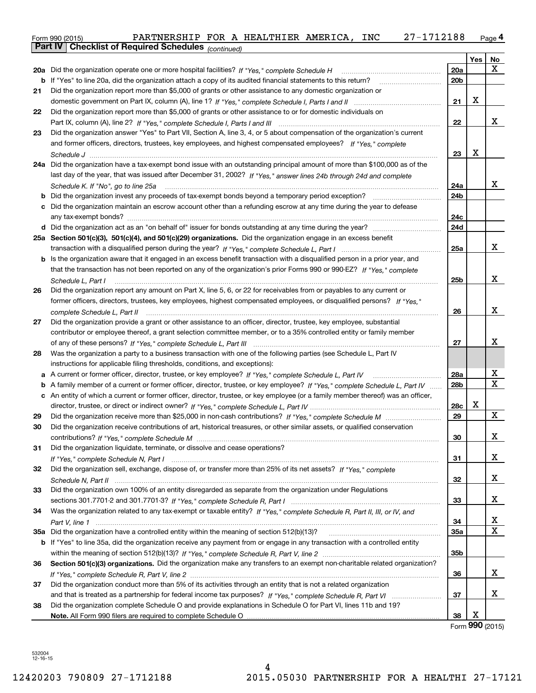|    | 27-1712188<br>PARTNERSHIP FOR A HEALTHIER AMERICA, INC<br>Form 990 (2015)                                                         |     |          | $Page$ <sup>4</sup> |
|----|-----------------------------------------------------------------------------------------------------------------------------------|-----|----------|---------------------|
|    | <b>Checklist of Required Schedules</b> (continued)<br>Part IV                                                                     |     |          |                     |
|    |                                                                                                                                   |     | Yes      | No                  |
|    | 20a Did the organization operate one or more hospital facilities? If "Yes," complete Schedule H                                   | 20a |          | x                   |
|    |                                                                                                                                   | 20b |          |                     |
| 21 | Did the organization report more than \$5,000 of grants or other assistance to any domestic organization or                       |     |          |                     |
|    |                                                                                                                                   | 21  | X        |                     |
| 22 | Did the organization report more than \$5,000 of grants or other assistance to or for domestic individuals on                     |     |          |                     |
|    |                                                                                                                                   | 22  |          | x                   |
| 23 | Did the organization answer "Yes" to Part VII, Section A, line 3, 4, or 5 about compensation of the organization's current        |     |          |                     |
|    | and former officers, directors, trustees, key employees, and highest compensated employees? If "Yes," complete                    |     |          |                     |
|    |                                                                                                                                   | 23  | X        |                     |
|    | 24a Did the organization have a tax-exempt bond issue with an outstanding principal amount of more than \$100,000 as of the       |     |          |                     |
|    | last day of the year, that was issued after December 31, 2002? If "Yes," answer lines 24b through 24d and complete                |     |          |                     |
|    |                                                                                                                                   | 24a |          | x                   |
| b  |                                                                                                                                   | 24b |          |                     |
|    | c Did the organization maintain an escrow account other than a refunding escrow at any time during the year to defease            |     |          |                     |
|    |                                                                                                                                   | 24c |          |                     |
|    |                                                                                                                                   | 24d |          |                     |
|    | 25a Section 501(c)(3), 501(c)(4), and 501(c)(29) organizations. Did the organization engage in an excess benefit                  |     |          |                     |
|    |                                                                                                                                   | 25a |          | x                   |
|    | b Is the organization aware that it engaged in an excess benefit transaction with a disqualified person in a prior year, and      |     |          |                     |
|    | that the transaction has not been reported on any of the organization's prior Forms 990 or 990-EZ? If "Yes," complete             |     |          |                     |
|    | Schedule L, Part I                                                                                                                | 25b |          | x                   |
| 26 | Did the organization report any amount on Part X, line 5, 6, or 22 for receivables from or payables to any current or             |     |          |                     |
|    | former officers, directors, trustees, key employees, highest compensated employees, or disqualified persons? If "Yes."            |     |          |                     |
|    |                                                                                                                                   | 26  |          | x                   |
| 27 | Did the organization provide a grant or other assistance to an officer, director, trustee, key employee, substantial              |     |          |                     |
|    | contributor or employee thereof, a grant selection committee member, or to a 35% controlled entity or family member               |     |          |                     |
|    |                                                                                                                                   | 27  |          | х                   |
| 28 | Was the organization a party to a business transaction with one of the following parties (see Schedule L, Part IV                 |     |          |                     |
|    | instructions for applicable filing thresholds, conditions, and exceptions):                                                       |     |          |                     |
|    |                                                                                                                                   | 28a |          | х<br>x              |
|    | b A family member of a current or former officer, director, trustee, or key employee? If "Yes," complete Schedule L, Part IV      | 28b |          |                     |
|    | c An entity of which a current or former officer, director, trustee, or key employee (or a family member thereof) was an officer, |     | х        |                     |
|    |                                                                                                                                   | 28c |          | X                   |
| 29 |                                                                                                                                   | 29  |          |                     |
|    | Did the organization receive contributions of art, historical treasures, or other similar assets, or qualified conservation       |     |          | x                   |
| 31 | Did the organization liquidate, terminate, or dissolve and cease operations?                                                      | 30  |          |                     |
|    |                                                                                                                                   | 31  |          | x                   |
| 32 | Did the organization sell, exchange, dispose of, or transfer more than 25% of its net assets? If "Yes," complete                  |     |          |                     |
|    |                                                                                                                                   | 32  |          | х                   |
| 33 | Did the organization own 100% of an entity disregarded as separate from the organization under Regulations                        |     |          |                     |
|    |                                                                                                                                   | 33  |          | х                   |
| 34 | Was the organization related to any tax-exempt or taxable entity? If "Yes," complete Schedule R, Part II, III, or IV, and         |     |          |                     |
|    |                                                                                                                                   | 34  |          | х                   |
|    |                                                                                                                                   | 35a |          | X                   |
|    | b If "Yes" to line 35a, did the organization receive any payment from or engage in any transaction with a controlled entity       |     |          |                     |
|    |                                                                                                                                   | 35b |          |                     |
| 36 | Section 501(c)(3) organizations. Did the organization make any transfers to an exempt non-charitable related organization?        |     |          |                     |
|    |                                                                                                                                   | 36  |          | x                   |
| 37 | Did the organization conduct more than 5% of its activities through an entity that is not a related organization                  |     |          |                     |
|    |                                                                                                                                   | 37  |          | х                   |
| 38 | Did the organization complete Schedule O and provide explanations in Schedule O for Part VI, lines 11b and 19?                    |     |          |                     |
|    |                                                                                                                                   | 38  | х        |                     |
|    |                                                                                                                                   |     | $\Omega$ |                     |

Form 990 (2015)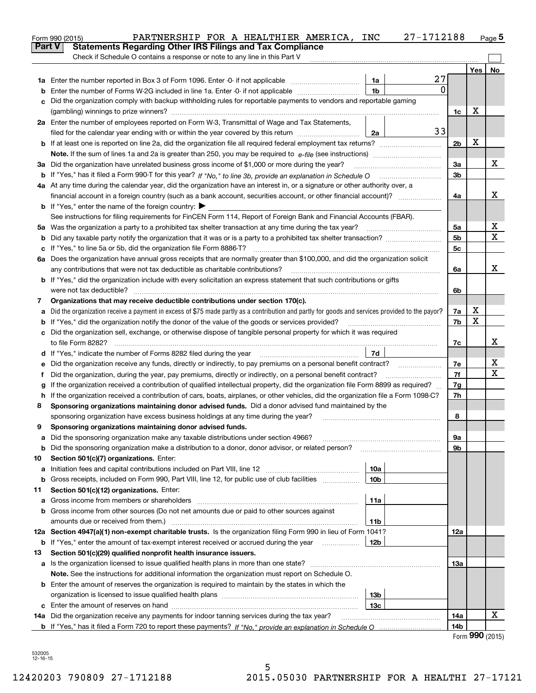|               | 27-1712188<br>PARTNERSHIP FOR A HEALTHIER AMERICA, INC<br>Form 990 (2015)                                                                                                                                              |                |                             | Page $5$ |
|---------------|------------------------------------------------------------------------------------------------------------------------------------------------------------------------------------------------------------------------|----------------|-----------------------------|----------|
| <b>Part V</b> | <b>Statements Regarding Other IRS Filings and Tax Compliance</b>                                                                                                                                                       |                |                             |          |
|               | Check if Schedule O contains a response or note to any line in this Part V                                                                                                                                             |                |                             |          |
|               |                                                                                                                                                                                                                        |                | Yes                         | No       |
|               | 27<br>1a                                                                                                                                                                                                               |                |                             |          |
| b             | $\mathbf{0}$<br>1 <sub>b</sub><br>Enter the number of Forms W-2G included in line 1a. Enter -0- if not applicable                                                                                                      |                |                             |          |
| c             | Did the organization comply with backup withholding rules for reportable payments to vendors and reportable gaming                                                                                                     |                |                             |          |
|               |                                                                                                                                                                                                                        | 1c             | X                           |          |
|               | 2a Enter the number of employees reported on Form W-3, Transmittal of Wage and Tax Statements,                                                                                                                         |                |                             |          |
|               | 33<br>filed for the calendar year ending with or within the year covered by this return<br>2a                                                                                                                          |                |                             |          |
|               |                                                                                                                                                                                                                        | 2 <sub>b</sub> | X                           |          |
|               |                                                                                                                                                                                                                        |                |                             |          |
|               | 3a Did the organization have unrelated business gross income of \$1,000 or more during the year?                                                                                                                       | 3a             |                             | х        |
|               |                                                                                                                                                                                                                        | 3b             |                             |          |
|               | 4a At any time during the calendar year, did the organization have an interest in, or a signature or other authority over, a                                                                                           |                |                             |          |
|               | financial account in a foreign country (such as a bank account, securities account, or other financial account)?                                                                                                       | 4a             |                             | X        |
|               | <b>b</b> If "Yes," enter the name of the foreign country: $\blacktriangleright$                                                                                                                                        |                |                             |          |
|               | See instructions for filing requirements for FinCEN Form 114, Report of Foreign Bank and Financial Accounts (FBAR).                                                                                                    |                |                             |          |
|               |                                                                                                                                                                                                                        | 5a             |                             | X        |
| b             | Did any taxable party notify the organization that it was or is a party to a prohibited tax shelter transaction?                                                                                                       | 5 <sub>b</sub> |                             | X        |
|               |                                                                                                                                                                                                                        | 5c             |                             |          |
|               | 6a Does the organization have annual gross receipts that are normally greater than \$100,000, and did the organization solicit                                                                                         |                |                             |          |
|               |                                                                                                                                                                                                                        | 6a             |                             | х        |
|               | <b>b</b> If "Yes," did the organization include with every solicitation an express statement that such contributions or gifts                                                                                          |                |                             |          |
|               | were not tax deductible?                                                                                                                                                                                               | 6b             |                             |          |
| 7             | Organizations that may receive deductible contributions under section 170(c).                                                                                                                                          |                | X                           |          |
| a             | Did the organization receive a payment in excess of \$75 made partly as a contribution and partly for goods and services provided to the payor?                                                                        | 7a<br>7b       | X                           |          |
| b             | If "Yes," did the organization notify the donor of the value of the goods or services provided?<br>c Did the organization sell, exchange, or otherwise dispose of tangible personal property for which it was required |                |                             |          |
|               |                                                                                                                                                                                                                        |                |                             | х        |
|               | 7d                                                                                                                                                                                                                     | 7c             |                             |          |
|               |                                                                                                                                                                                                                        | 7e             |                             | х        |
| е<br>f        | Did the organization, during the year, pay premiums, directly or indirectly, on a personal benefit contract?                                                                                                           | 7f             |                             | X        |
|               | If the organization received a contribution of qualified intellectual property, did the organization file Form 8899 as required?                                                                                       | 7g             |                             |          |
| g             | h If the organization received a contribution of cars, boats, airplanes, or other vehicles, did the organization file a Form 1098-C?                                                                                   | 7h             |                             |          |
| 8             | Sponsoring organizations maintaining donor advised funds. Did a donor advised fund maintained by the                                                                                                                   |                |                             |          |
|               | sponsoring organization have excess business holdings at any time during the year?                                                                                                                                     | 8              |                             |          |
|               | Sponsoring organizations maintaining donor advised funds.                                                                                                                                                              |                |                             |          |
| а             | Did the sponsoring organization make any taxable distributions under section 4966?                                                                                                                                     | 9а             |                             |          |
| b             | Did the sponsoring organization make a distribution to a donor, donor advisor, or related person?                                                                                                                      | 9b             |                             |          |
| 10            | Section 501(c)(7) organizations. Enter:                                                                                                                                                                                |                |                             |          |
| а             | 10a<br>Initiation fees and capital contributions included on Part VIII, line 12 <i>manuarrouus</i> manuations of the latest                                                                                            |                |                             |          |
| b             | Gross receipts, included on Form 990, Part VIII, line 12, for public use of club facilities<br>10 <sub>b</sub>                                                                                                         |                |                             |          |
| 11            | Section 501(c)(12) organizations. Enter:                                                                                                                                                                               |                |                             |          |
| а             | 11a<br>Gross income from members or shareholders                                                                                                                                                                       |                |                             |          |
| b             | Gross income from other sources (Do not net amounts due or paid to other sources against                                                                                                                               |                |                             |          |
|               | amounts due or received from them.)<br>11b                                                                                                                                                                             |                |                             |          |
|               | 12a Section 4947(a)(1) non-exempt charitable trusts. Is the organization filing Form 990 in lieu of Form 1041?                                                                                                         | 12a            |                             |          |
|               | 12b<br><b>b</b> If "Yes," enter the amount of tax-exempt interest received or accrued during the year <i>manument</i>                                                                                                  |                |                             |          |
| 13            | Section 501(c)(29) qualified nonprofit health insurance issuers.                                                                                                                                                       |                |                             |          |
|               | a Is the organization licensed to issue qualified health plans in more than one state?                                                                                                                                 | 13а            |                             |          |
|               | Note. See the instructions for additional information the organization must report on Schedule O.                                                                                                                      |                |                             |          |
|               | <b>b</b> Enter the amount of reserves the organization is required to maintain by the states in which the                                                                                                              |                |                             |          |
|               | 13b                                                                                                                                                                                                                    |                |                             |          |
|               | 13с                                                                                                                                                                                                                    |                |                             |          |
|               | 14a Did the organization receive any payments for indoor tanning services during the tax year?                                                                                                                         | 14a            |                             | х        |
|               |                                                                                                                                                                                                                        | 14b            |                             |          |
|               |                                                                                                                                                                                                                        |                | $E_{\text{arm}}$ 990 (2015) |          |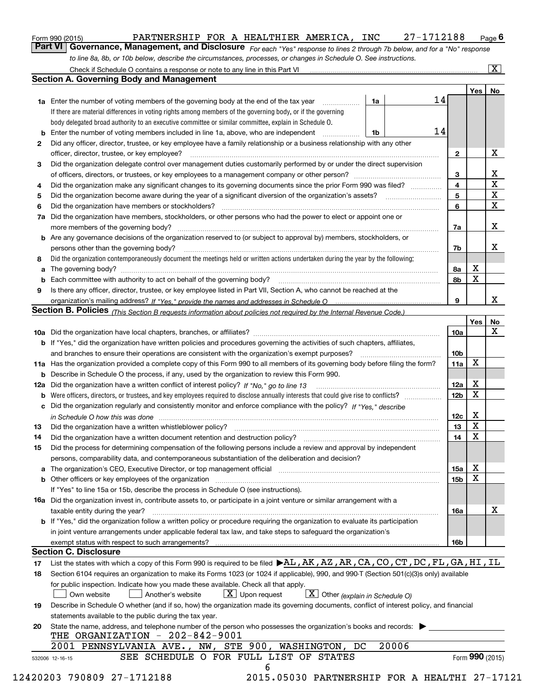| nnr<br>1001F<br>Form<br>ו טשט ובטו | TNERSHI.<br>FAK. | <b>FOR</b><br>$\mathbf{r}$ | ев<br>HEALTHIER | AMERICA | <b>INC</b> | n –<br><br>10 O | . In <i>n</i><br>auc |
|------------------------------------|------------------|----------------------------|-----------------|---------|------------|-----------------|----------------------|
|                                    |                  |                            |                 |         |            |                 |                      |

For each "Yes" response to lines 2 through 7b below, and for a "No" response to line 8a, 8b, or 10b below, describe the circumstances, processes, or changes in Schedule O. See instructions. Part VI Governance, Management, and Disclosure

|    |                                                                                                                                                                            |    |       |    |                 | Yes   No        |             |  |  |  |
|----|----------------------------------------------------------------------------------------------------------------------------------------------------------------------------|----|-------|----|-----------------|-----------------|-------------|--|--|--|
|    | <b>1a</b> Enter the number of voting members of the governing body at the end of the tax year <i>manumum</i>                                                               | 1a |       | 14 |                 |                 |             |  |  |  |
|    | If there are material differences in voting rights among members of the governing body, or if the governing                                                                |    |       |    |                 |                 |             |  |  |  |
|    | body delegated broad authority to an executive committee or similar committee, explain in Schedule O.                                                                      |    |       |    |                 |                 |             |  |  |  |
|    |                                                                                                                                                                            | 1b |       | 14 |                 |                 |             |  |  |  |
| 2  | Did any officer, director, trustee, or key employee have a family relationship or a business relationship with any other                                                   |    |       |    |                 |                 |             |  |  |  |
|    | officer, director, trustee, or key employee?                                                                                                                               |    |       |    | $\overline{2}$  |                 | X           |  |  |  |
| 3  | Did the organization delegate control over management duties customarily performed by or under the direct supervision                                                      |    |       |    |                 |                 |             |  |  |  |
|    |                                                                                                                                                                            |    |       |    | 3               |                 | X           |  |  |  |
| 4  | Did the organization make any significant changes to its governing documents since the prior Form 990 was filed?                                                           |    |       |    | 4               |                 | $\mathbf X$ |  |  |  |
| 5  |                                                                                                                                                                            |    |       |    | 5               |                 | $\mathbf X$ |  |  |  |
| 6  |                                                                                                                                                                            |    |       |    | 6               |                 | X           |  |  |  |
|    | 7a Did the organization have members, stockholders, or other persons who had the power to elect or appoint one or                                                          |    |       |    |                 |                 |             |  |  |  |
|    |                                                                                                                                                                            |    |       |    | 7a              |                 | X           |  |  |  |
|    | <b>b</b> Are any governance decisions of the organization reserved to (or subject to approval by) members, stockholders, or                                                |    |       |    |                 |                 |             |  |  |  |
|    | persons other than the governing body?                                                                                                                                     |    |       |    | 7b              |                 | Х           |  |  |  |
| 8  | Did the organization contemporaneously document the meetings held or written actions undertaken during the year by the following:                                          |    |       |    |                 |                 |             |  |  |  |
| a  |                                                                                                                                                                            |    |       |    | 8a              | X               |             |  |  |  |
|    |                                                                                                                                                                            |    |       |    | 8b              | $\mathbf X$     |             |  |  |  |
| 9  | Is there any officer, director, trustee, or key employee listed in Part VII, Section A, who cannot be reached at the                                                       |    |       |    |                 |                 |             |  |  |  |
|    |                                                                                                                                                                            |    |       |    | 9               |                 | X           |  |  |  |
|    | Section B. Policies <sub>(This</sub> Section B requests information about policies not required by the Internal Revenue Code.)                                             |    |       |    |                 |                 |             |  |  |  |
|    |                                                                                                                                                                            |    |       |    |                 | Yes             | <b>No</b>   |  |  |  |
|    |                                                                                                                                                                            |    |       |    | <b>10a</b>      |                 | X           |  |  |  |
|    | <b>b</b> If "Yes," did the organization have written policies and procedures governing the activities of such chapters, affiliates,                                        |    |       |    |                 |                 |             |  |  |  |
|    |                                                                                                                                                                            |    |       |    | 10 <sub>b</sub> |                 |             |  |  |  |
|    | 11a Has the organization provided a complete copy of this Form 990 to all members of its governing body before filing the form?                                            |    |       |    | 11a             | X               |             |  |  |  |
|    | <b>b</b> Describe in Schedule O the process, if any, used by the organization to review this Form 990.                                                                     |    |       |    |                 |                 |             |  |  |  |
|    | 12a Did the organization have a written conflict of interest policy? If "No," go to line 13                                                                                |    |       |    | 12a             | X               |             |  |  |  |
| b  |                                                                                                                                                                            |    |       |    | 12 <sub>b</sub> | X               |             |  |  |  |
|    | c Did the organization regularly and consistently monitor and enforce compliance with the policy? If "Yes," describe                                                       |    |       |    |                 |                 |             |  |  |  |
|    | in Schedule O how this was done measured and contained a state of the state of the state of the state of the s                                                             |    |       |    | 12c             | X               |             |  |  |  |
| 13 |                                                                                                                                                                            |    |       |    | 13              | $\mathbf X$     |             |  |  |  |
| 14 | Did the organization have a written document retention and destruction policy? manufactured and the organization have a written document retention and destruction policy? |    |       |    | 14              | $\mathbf X$     |             |  |  |  |
| 15 | Did the process for determining compensation of the following persons include a review and approval by independent                                                         |    |       |    |                 |                 |             |  |  |  |
|    | persons, comparability data, and contemporaneous substantiation of the deliberation and decision?                                                                          |    |       |    |                 |                 |             |  |  |  |
|    |                                                                                                                                                                            |    |       |    | 15a             | X               |             |  |  |  |
|    | <b>b</b> Other officers or key employees of the organization                                                                                                               |    |       |    | 15b             | X               |             |  |  |  |
|    | If "Yes" to line 15a or 15b, describe the process in Schedule O (see instructions).                                                                                        |    |       |    |                 |                 |             |  |  |  |
|    | 16a Did the organization invest in, contribute assets to, or participate in a joint venture or similar arrangement with a                                                  |    |       |    |                 |                 |             |  |  |  |
|    | taxable entity during the year?                                                                                                                                            |    |       |    | 16a             |                 | х           |  |  |  |
|    | b If "Yes," did the organization follow a written policy or procedure requiring the organization to evaluate its participation                                             |    |       |    |                 |                 |             |  |  |  |
|    | in joint venture arrangements under applicable federal tax law, and take steps to safequard the organization's                                                             |    |       |    |                 |                 |             |  |  |  |
|    | exempt status with respect to such arrangements?                                                                                                                           |    |       |    | <b>16b</b>      |                 |             |  |  |  |
|    | <b>Section C. Disclosure</b>                                                                                                                                               |    |       |    |                 |                 |             |  |  |  |
| 17 | List the states with which a copy of this Form 990 is required to be filed $\blacktriangleright$ AL, AK, AZ, AR, CA, CO, CT, DC, FL, GA, HI, IL                            |    |       |    |                 |                 |             |  |  |  |
| 18 | Section 6104 requires an organization to make its Forms 1023 (or 1024 if applicable), 990, and 990-T (Section 501(c)(3)s only) available                                   |    |       |    |                 |                 |             |  |  |  |
|    | for public inspection. Indicate how you made these available. Check all that apply.                                                                                        |    |       |    |                 |                 |             |  |  |  |
|    | $X$ Upon request<br>$\boxed{\mathbf{X}}$ Other (explain in Schedule O)<br>Another's website<br>Own website                                                                 |    |       |    |                 |                 |             |  |  |  |
|    |                                                                                                                                                                            |    |       |    |                 |                 |             |  |  |  |
| 19 | Describe in Schedule O whether (and if so, how) the organization made its governing documents, conflict of interest policy, and financial                                  |    |       |    |                 |                 |             |  |  |  |
|    | statements available to the public during the tax year.                                                                                                                    |    |       |    |                 |                 |             |  |  |  |
| 20 | State the name, address, and telephone number of the person who possesses the organization's books and records:                                                            |    |       |    |                 |                 |             |  |  |  |
|    | THE ORGANIZATION - 202-842-9001                                                                                                                                            |    |       |    |                 |                 |             |  |  |  |
|    | 2001 PENNSYLVANIA AVE., NW, STE 900, WASHINGTON, DC<br>SEE SCHEDULE O FOR FULL LIST OF STATES                                                                              |    | 20006 |    |                 |                 |             |  |  |  |
|    | 532006 12-16-15                                                                                                                                                            |    |       |    |                 | Form 990 (2015) |             |  |  |  |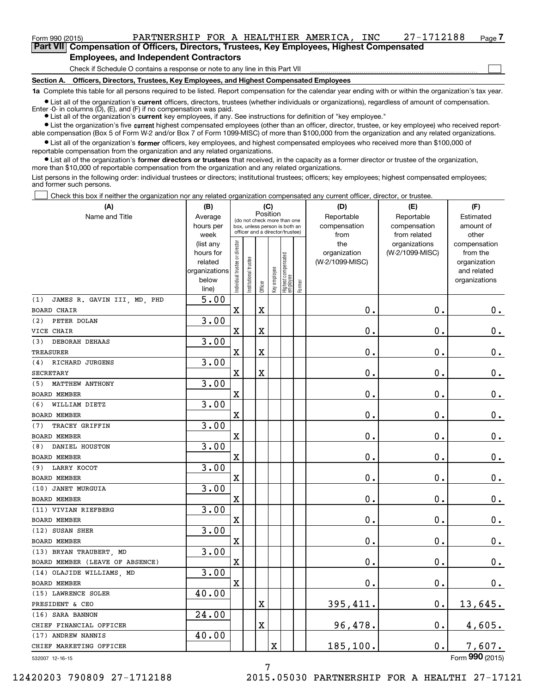## Form 990 (2015) Page PARTNERSHIP FOR A HEALTHIER AMERICA, INC 27-1712188

Part VII Compensation of Officers, Directors, Trustees, Key Employees, Highest Compensated Employees, and Independent Contractors

Check if Schedule O contains a response or note to any line in this Part VII

Section A. Officers, Directors, Trustees, Key Employees, and Highest Compensated Employees

1a Complete this table for all persons required to be listed. Report compensation for the calendar year ending with or within the organization's tax year.

Ist all of the organization's current officers, directors, trustees (whether individuals or organizations), regardless of amount of compensation. Enter -0- in columns  $(D)$ ,  $(E)$ , and  $(F)$  if no compensation was paid.

**Examber 1 List all of the organization's current** key employees, if any. See instructions for definition of "key employee."

Ist the organization's five current highest compensated employees (other than an officer, director, trustee, or key employee) who received reportable compensation (Box 5 of Form W-2 and/or Box 7 of Form 1099-MISC) of more than \$100,000 from the organization and any related organizations.

 $\bullet$  List all of the organization's former officers, key employees, and highest compensated employees who received more than \$100,000 of reportable compensation from the organization and any related organizations.

• List all of the organization's former directors or trustees that received, in the capacity as a former director or trustee of the organization, more than \$10,000 of reportable compensation from the organization and any related organizations.

List persons in the following order: individual trustees or directors; institutional trustees; officers; key employees; highest compensated employees; and former such persons.

Check this box if neither the organization nor any related organization compensated any current officer, director, or trustee.  $\Box$ 

| Position<br>Name and Title<br>Reportable<br>Reportable<br>Estimated<br>Average<br>(do not check more than one<br>compensation<br>hours per<br>compensation<br>amount of<br>box, unless person is both an<br>officer and a director/trustee)<br>week<br>from<br>from related<br>other<br>ndividual trustee or director<br>the<br>organizations<br>(list any<br>compensation<br>(W-2/1099-MISC)<br>hours for<br>organization<br>from the<br>  Highest compensated<br>  employee<br>nstitutional trustee<br>(W-2/1099-MISC)<br>related<br>organization<br>Key employee<br>organizations<br>and related<br>below<br>organizations<br>Former<br>Officer<br>line)<br>JAMES R. GAVIN III, MD, PHD<br>5.00<br>(1)<br>$\mathbf 0$ .<br>$\mathbf 0$ .<br>$\mathbf X$<br>$\overline{\textbf{X}}$<br>$0_{.}$<br>3.00<br>PETER DOLAN<br>(2)<br>$\mathbf 0$ .<br>$\mathbf 0$ .<br>X<br>X<br>$\mathbf 0$ .<br>VICE CHAIR<br>3.00<br><b>DEBORAH DEHAAS</b><br>(3)<br>$\overline{\textbf{X}}$<br>$\mathbf 0$ .<br>$\mathbf 0$ .<br>$0_{.}$<br>X<br><b>TREASURER</b><br>3.00<br>RICHARD JURGENS<br>(4)<br>$\mathbf 0$ .<br>$\overline{\textbf{X}}$<br>$\mathbf 0$ .<br>$0_{.}$<br>X<br><b>SECRETARY</b><br>3.00<br>(5) MATTHEW ANTHONY<br>$\mathbf 0$ .<br>$\mathbf x$<br>$\mathbf 0$ .<br>$\mathbf 0$ .<br><b>BOARD MEMBER</b><br>3.00<br>WILLIAM DIETZ<br>(6)<br>0.<br>0.<br>$0_{.}$<br>X<br><b>BOARD MEMBER</b><br>3.00<br>TRACEY GRIFFIN<br>X<br>$\mathbf 0$ .<br>$\mathbf 0$ .<br>$0_{.}$<br><b>BOARD MEMBER</b><br>3.00<br>DANIEL HOUSTON<br>(8)<br>0.<br>0.<br>X<br>$0_{.}$<br>BOARD MEMBER<br>3.00<br>(9) LARRY KOCOT<br>0.<br>$0_{.}$<br>X<br>0.<br>BOARD MEMBER<br>3.00<br>(10) JANET MURGUIA<br>0.<br>0.<br>$0_{.}$<br>$\mathbf x$<br><b>BOARD MEMBER</b><br>3.00<br>(11) VIVIAN RIEFBERG<br>0.<br>0.<br>$0_{.}$<br>$\mathbf X$<br><b>BOARD MEMBER</b><br>3.00<br>(12) SUSAN SHER<br>0.<br>0.<br>$0_{.}$<br>X<br>BOARD MEMBER<br>3.00<br>(13) BRYAN TRAUBERT, MD<br>$0$ .<br>0.<br>$0_{.}$<br>$\mathbf X$<br>BOARD MEMBER (LEAVE OF ABSENCE)<br>3.00<br>(14) OLAJIDE WILLIAMS, MD<br>$\mathbf 0$ .<br>$0$ .<br>X<br>0.<br><b>BOARD MEMBER</b><br>40.00<br>(15) LAWRENCE SOLER<br>X<br>395,411.<br>0.<br>13,645.<br>PRESIDENT & CEO<br>24.00<br>(16) SARA BANNON<br>X<br>0.<br>96,478.<br>4,605.<br>CHIEF FINANCIAL OFFICER<br>40.00<br>(17) ANDREW NANNIS<br>X<br>185,100.<br>0.<br>7,607.<br>CHIEF MARKETING OFFICER | (A)                | (B) |  | (C) |  | (D) | (E) | (F) |
|----------------------------------------------------------------------------------------------------------------------------------------------------------------------------------------------------------------------------------------------------------------------------------------------------------------------------------------------------------------------------------------------------------------------------------------------------------------------------------------------------------------------------------------------------------------------------------------------------------------------------------------------------------------------------------------------------------------------------------------------------------------------------------------------------------------------------------------------------------------------------------------------------------------------------------------------------------------------------------------------------------------------------------------------------------------------------------------------------------------------------------------------------------------------------------------------------------------------------------------------------------------------------------------------------------------------------------------------------------------------------------------------------------------------------------------------------------------------------------------------------------------------------------------------------------------------------------------------------------------------------------------------------------------------------------------------------------------------------------------------------------------------------------------------------------------------------------------------------------------------------------------------------------------------------------------------------------------------------------------------------------------------------------------------------------------------------------------------------------------------------------------------------------------------------------------------------------------------------------------------------------------------------------------------------------------------------------------------------------------------------------------------------------------|--------------------|-----|--|-----|--|-----|-----|-----|
|                                                                                                                                                                                                                                                                                                                                                                                                                                                                                                                                                                                                                                                                                                                                                                                                                                                                                                                                                                                                                                                                                                                                                                                                                                                                                                                                                                                                                                                                                                                                                                                                                                                                                                                                                                                                                                                                                                                                                                                                                                                                                                                                                                                                                                                                                                                                                                                                                |                    |     |  |     |  |     |     |     |
|                                                                                                                                                                                                                                                                                                                                                                                                                                                                                                                                                                                                                                                                                                                                                                                                                                                                                                                                                                                                                                                                                                                                                                                                                                                                                                                                                                                                                                                                                                                                                                                                                                                                                                                                                                                                                                                                                                                                                                                                                                                                                                                                                                                                                                                                                                                                                                                                                |                    |     |  |     |  |     |     |     |
|                                                                                                                                                                                                                                                                                                                                                                                                                                                                                                                                                                                                                                                                                                                                                                                                                                                                                                                                                                                                                                                                                                                                                                                                                                                                                                                                                                                                                                                                                                                                                                                                                                                                                                                                                                                                                                                                                                                                                                                                                                                                                                                                                                                                                                                                                                                                                                                                                |                    |     |  |     |  |     |     |     |
|                                                                                                                                                                                                                                                                                                                                                                                                                                                                                                                                                                                                                                                                                                                                                                                                                                                                                                                                                                                                                                                                                                                                                                                                                                                                                                                                                                                                                                                                                                                                                                                                                                                                                                                                                                                                                                                                                                                                                                                                                                                                                                                                                                                                                                                                                                                                                                                                                |                    |     |  |     |  |     |     |     |
|                                                                                                                                                                                                                                                                                                                                                                                                                                                                                                                                                                                                                                                                                                                                                                                                                                                                                                                                                                                                                                                                                                                                                                                                                                                                                                                                                                                                                                                                                                                                                                                                                                                                                                                                                                                                                                                                                                                                                                                                                                                                                                                                                                                                                                                                                                                                                                                                                |                    |     |  |     |  |     |     |     |
|                                                                                                                                                                                                                                                                                                                                                                                                                                                                                                                                                                                                                                                                                                                                                                                                                                                                                                                                                                                                                                                                                                                                                                                                                                                                                                                                                                                                                                                                                                                                                                                                                                                                                                                                                                                                                                                                                                                                                                                                                                                                                                                                                                                                                                                                                                                                                                                                                |                    |     |  |     |  |     |     |     |
|                                                                                                                                                                                                                                                                                                                                                                                                                                                                                                                                                                                                                                                                                                                                                                                                                                                                                                                                                                                                                                                                                                                                                                                                                                                                                                                                                                                                                                                                                                                                                                                                                                                                                                                                                                                                                                                                                                                                                                                                                                                                                                                                                                                                                                                                                                                                                                                                                |                    |     |  |     |  |     |     |     |
|                                                                                                                                                                                                                                                                                                                                                                                                                                                                                                                                                                                                                                                                                                                                                                                                                                                                                                                                                                                                                                                                                                                                                                                                                                                                                                                                                                                                                                                                                                                                                                                                                                                                                                                                                                                                                                                                                                                                                                                                                                                                                                                                                                                                                                                                                                                                                                                                                |                    |     |  |     |  |     |     |     |
|                                                                                                                                                                                                                                                                                                                                                                                                                                                                                                                                                                                                                                                                                                                                                                                                                                                                                                                                                                                                                                                                                                                                                                                                                                                                                                                                                                                                                                                                                                                                                                                                                                                                                                                                                                                                                                                                                                                                                                                                                                                                                                                                                                                                                                                                                                                                                                                                                |                    |     |  |     |  |     |     |     |
|                                                                                                                                                                                                                                                                                                                                                                                                                                                                                                                                                                                                                                                                                                                                                                                                                                                                                                                                                                                                                                                                                                                                                                                                                                                                                                                                                                                                                                                                                                                                                                                                                                                                                                                                                                                                                                                                                                                                                                                                                                                                                                                                                                                                                                                                                                                                                                                                                | <b>BOARD CHAIR</b> |     |  |     |  |     |     |     |
|                                                                                                                                                                                                                                                                                                                                                                                                                                                                                                                                                                                                                                                                                                                                                                                                                                                                                                                                                                                                                                                                                                                                                                                                                                                                                                                                                                                                                                                                                                                                                                                                                                                                                                                                                                                                                                                                                                                                                                                                                                                                                                                                                                                                                                                                                                                                                                                                                |                    |     |  |     |  |     |     |     |
|                                                                                                                                                                                                                                                                                                                                                                                                                                                                                                                                                                                                                                                                                                                                                                                                                                                                                                                                                                                                                                                                                                                                                                                                                                                                                                                                                                                                                                                                                                                                                                                                                                                                                                                                                                                                                                                                                                                                                                                                                                                                                                                                                                                                                                                                                                                                                                                                                |                    |     |  |     |  |     |     |     |
|                                                                                                                                                                                                                                                                                                                                                                                                                                                                                                                                                                                                                                                                                                                                                                                                                                                                                                                                                                                                                                                                                                                                                                                                                                                                                                                                                                                                                                                                                                                                                                                                                                                                                                                                                                                                                                                                                                                                                                                                                                                                                                                                                                                                                                                                                                                                                                                                                |                    |     |  |     |  |     |     |     |
|                                                                                                                                                                                                                                                                                                                                                                                                                                                                                                                                                                                                                                                                                                                                                                                                                                                                                                                                                                                                                                                                                                                                                                                                                                                                                                                                                                                                                                                                                                                                                                                                                                                                                                                                                                                                                                                                                                                                                                                                                                                                                                                                                                                                                                                                                                                                                                                                                |                    |     |  |     |  |     |     |     |
|                                                                                                                                                                                                                                                                                                                                                                                                                                                                                                                                                                                                                                                                                                                                                                                                                                                                                                                                                                                                                                                                                                                                                                                                                                                                                                                                                                                                                                                                                                                                                                                                                                                                                                                                                                                                                                                                                                                                                                                                                                                                                                                                                                                                                                                                                                                                                                                                                |                    |     |  |     |  |     |     |     |
|                                                                                                                                                                                                                                                                                                                                                                                                                                                                                                                                                                                                                                                                                                                                                                                                                                                                                                                                                                                                                                                                                                                                                                                                                                                                                                                                                                                                                                                                                                                                                                                                                                                                                                                                                                                                                                                                                                                                                                                                                                                                                                                                                                                                                                                                                                                                                                                                                |                    |     |  |     |  |     |     |     |
|                                                                                                                                                                                                                                                                                                                                                                                                                                                                                                                                                                                                                                                                                                                                                                                                                                                                                                                                                                                                                                                                                                                                                                                                                                                                                                                                                                                                                                                                                                                                                                                                                                                                                                                                                                                                                                                                                                                                                                                                                                                                                                                                                                                                                                                                                                                                                                                                                |                    |     |  |     |  |     |     |     |
|                                                                                                                                                                                                                                                                                                                                                                                                                                                                                                                                                                                                                                                                                                                                                                                                                                                                                                                                                                                                                                                                                                                                                                                                                                                                                                                                                                                                                                                                                                                                                                                                                                                                                                                                                                                                                                                                                                                                                                                                                                                                                                                                                                                                                                                                                                                                                                                                                |                    |     |  |     |  |     |     |     |
|                                                                                                                                                                                                                                                                                                                                                                                                                                                                                                                                                                                                                                                                                                                                                                                                                                                                                                                                                                                                                                                                                                                                                                                                                                                                                                                                                                                                                                                                                                                                                                                                                                                                                                                                                                                                                                                                                                                                                                                                                                                                                                                                                                                                                                                                                                                                                                                                                |                    |     |  |     |  |     |     |     |
|                                                                                                                                                                                                                                                                                                                                                                                                                                                                                                                                                                                                                                                                                                                                                                                                                                                                                                                                                                                                                                                                                                                                                                                                                                                                                                                                                                                                                                                                                                                                                                                                                                                                                                                                                                                                                                                                                                                                                                                                                                                                                                                                                                                                                                                                                                                                                                                                                |                    |     |  |     |  |     |     |     |
|                                                                                                                                                                                                                                                                                                                                                                                                                                                                                                                                                                                                                                                                                                                                                                                                                                                                                                                                                                                                                                                                                                                                                                                                                                                                                                                                                                                                                                                                                                                                                                                                                                                                                                                                                                                                                                                                                                                                                                                                                                                                                                                                                                                                                                                                                                                                                                                                                | (7)                |     |  |     |  |     |     |     |
|                                                                                                                                                                                                                                                                                                                                                                                                                                                                                                                                                                                                                                                                                                                                                                                                                                                                                                                                                                                                                                                                                                                                                                                                                                                                                                                                                                                                                                                                                                                                                                                                                                                                                                                                                                                                                                                                                                                                                                                                                                                                                                                                                                                                                                                                                                                                                                                                                |                    |     |  |     |  |     |     |     |
|                                                                                                                                                                                                                                                                                                                                                                                                                                                                                                                                                                                                                                                                                                                                                                                                                                                                                                                                                                                                                                                                                                                                                                                                                                                                                                                                                                                                                                                                                                                                                                                                                                                                                                                                                                                                                                                                                                                                                                                                                                                                                                                                                                                                                                                                                                                                                                                                                |                    |     |  |     |  |     |     |     |
|                                                                                                                                                                                                                                                                                                                                                                                                                                                                                                                                                                                                                                                                                                                                                                                                                                                                                                                                                                                                                                                                                                                                                                                                                                                                                                                                                                                                                                                                                                                                                                                                                                                                                                                                                                                                                                                                                                                                                                                                                                                                                                                                                                                                                                                                                                                                                                                                                |                    |     |  |     |  |     |     |     |
|                                                                                                                                                                                                                                                                                                                                                                                                                                                                                                                                                                                                                                                                                                                                                                                                                                                                                                                                                                                                                                                                                                                                                                                                                                                                                                                                                                                                                                                                                                                                                                                                                                                                                                                                                                                                                                                                                                                                                                                                                                                                                                                                                                                                                                                                                                                                                                                                                |                    |     |  |     |  |     |     |     |
|                                                                                                                                                                                                                                                                                                                                                                                                                                                                                                                                                                                                                                                                                                                                                                                                                                                                                                                                                                                                                                                                                                                                                                                                                                                                                                                                                                                                                                                                                                                                                                                                                                                                                                                                                                                                                                                                                                                                                                                                                                                                                                                                                                                                                                                                                                                                                                                                                |                    |     |  |     |  |     |     |     |
|                                                                                                                                                                                                                                                                                                                                                                                                                                                                                                                                                                                                                                                                                                                                                                                                                                                                                                                                                                                                                                                                                                                                                                                                                                                                                                                                                                                                                                                                                                                                                                                                                                                                                                                                                                                                                                                                                                                                                                                                                                                                                                                                                                                                                                                                                                                                                                                                                |                    |     |  |     |  |     |     |     |
|                                                                                                                                                                                                                                                                                                                                                                                                                                                                                                                                                                                                                                                                                                                                                                                                                                                                                                                                                                                                                                                                                                                                                                                                                                                                                                                                                                                                                                                                                                                                                                                                                                                                                                                                                                                                                                                                                                                                                                                                                                                                                                                                                                                                                                                                                                                                                                                                                |                    |     |  |     |  |     |     |     |
|                                                                                                                                                                                                                                                                                                                                                                                                                                                                                                                                                                                                                                                                                                                                                                                                                                                                                                                                                                                                                                                                                                                                                                                                                                                                                                                                                                                                                                                                                                                                                                                                                                                                                                                                                                                                                                                                                                                                                                                                                                                                                                                                                                                                                                                                                                                                                                                                                |                    |     |  |     |  |     |     |     |
|                                                                                                                                                                                                                                                                                                                                                                                                                                                                                                                                                                                                                                                                                                                                                                                                                                                                                                                                                                                                                                                                                                                                                                                                                                                                                                                                                                                                                                                                                                                                                                                                                                                                                                                                                                                                                                                                                                                                                                                                                                                                                                                                                                                                                                                                                                                                                                                                                |                    |     |  |     |  |     |     |     |
|                                                                                                                                                                                                                                                                                                                                                                                                                                                                                                                                                                                                                                                                                                                                                                                                                                                                                                                                                                                                                                                                                                                                                                                                                                                                                                                                                                                                                                                                                                                                                                                                                                                                                                                                                                                                                                                                                                                                                                                                                                                                                                                                                                                                                                                                                                                                                                                                                |                    |     |  |     |  |     |     |     |
|                                                                                                                                                                                                                                                                                                                                                                                                                                                                                                                                                                                                                                                                                                                                                                                                                                                                                                                                                                                                                                                                                                                                                                                                                                                                                                                                                                                                                                                                                                                                                                                                                                                                                                                                                                                                                                                                                                                                                                                                                                                                                                                                                                                                                                                                                                                                                                                                                |                    |     |  |     |  |     |     |     |
|                                                                                                                                                                                                                                                                                                                                                                                                                                                                                                                                                                                                                                                                                                                                                                                                                                                                                                                                                                                                                                                                                                                                                                                                                                                                                                                                                                                                                                                                                                                                                                                                                                                                                                                                                                                                                                                                                                                                                                                                                                                                                                                                                                                                                                                                                                                                                                                                                |                    |     |  |     |  |     |     |     |
|                                                                                                                                                                                                                                                                                                                                                                                                                                                                                                                                                                                                                                                                                                                                                                                                                                                                                                                                                                                                                                                                                                                                                                                                                                                                                                                                                                                                                                                                                                                                                                                                                                                                                                                                                                                                                                                                                                                                                                                                                                                                                                                                                                                                                                                                                                                                                                                                                |                    |     |  |     |  |     |     |     |
|                                                                                                                                                                                                                                                                                                                                                                                                                                                                                                                                                                                                                                                                                                                                                                                                                                                                                                                                                                                                                                                                                                                                                                                                                                                                                                                                                                                                                                                                                                                                                                                                                                                                                                                                                                                                                                                                                                                                                                                                                                                                                                                                                                                                                                                                                                                                                                                                                |                    |     |  |     |  |     |     |     |
|                                                                                                                                                                                                                                                                                                                                                                                                                                                                                                                                                                                                                                                                                                                                                                                                                                                                                                                                                                                                                                                                                                                                                                                                                                                                                                                                                                                                                                                                                                                                                                                                                                                                                                                                                                                                                                                                                                                                                                                                                                                                                                                                                                                                                                                                                                                                                                                                                |                    |     |  |     |  |     |     |     |
|                                                                                                                                                                                                                                                                                                                                                                                                                                                                                                                                                                                                                                                                                                                                                                                                                                                                                                                                                                                                                                                                                                                                                                                                                                                                                                                                                                                                                                                                                                                                                                                                                                                                                                                                                                                                                                                                                                                                                                                                                                                                                                                                                                                                                                                                                                                                                                                                                |                    |     |  |     |  |     |     |     |
|                                                                                                                                                                                                                                                                                                                                                                                                                                                                                                                                                                                                                                                                                                                                                                                                                                                                                                                                                                                                                                                                                                                                                                                                                                                                                                                                                                                                                                                                                                                                                                                                                                                                                                                                                                                                                                                                                                                                                                                                                                                                                                                                                                                                                                                                                                                                                                                                                |                    |     |  |     |  |     |     |     |
|                                                                                                                                                                                                                                                                                                                                                                                                                                                                                                                                                                                                                                                                                                                                                                                                                                                                                                                                                                                                                                                                                                                                                                                                                                                                                                                                                                                                                                                                                                                                                                                                                                                                                                                                                                                                                                                                                                                                                                                                                                                                                                                                                                                                                                                                                                                                                                                                                |                    |     |  |     |  |     |     |     |
|                                                                                                                                                                                                                                                                                                                                                                                                                                                                                                                                                                                                                                                                                                                                                                                                                                                                                                                                                                                                                                                                                                                                                                                                                                                                                                                                                                                                                                                                                                                                                                                                                                                                                                                                                                                                                                                                                                                                                                                                                                                                                                                                                                                                                                                                                                                                                                                                                |                    |     |  |     |  |     |     |     |
|                                                                                                                                                                                                                                                                                                                                                                                                                                                                                                                                                                                                                                                                                                                                                                                                                                                                                                                                                                                                                                                                                                                                                                                                                                                                                                                                                                                                                                                                                                                                                                                                                                                                                                                                                                                                                                                                                                                                                                                                                                                                                                                                                                                                                                                                                                                                                                                                                |                    |     |  |     |  |     |     |     |
|                                                                                                                                                                                                                                                                                                                                                                                                                                                                                                                                                                                                                                                                                                                                                                                                                                                                                                                                                                                                                                                                                                                                                                                                                                                                                                                                                                                                                                                                                                                                                                                                                                                                                                                                                                                                                                                                                                                                                                                                                                                                                                                                                                                                                                                                                                                                                                                                                |                    |     |  |     |  |     |     |     |

7

532007 12-16-15

12420203 790809 27-1712188 2015.05030 PARTNERSHIP FOR A HEALTHI 27-17121

Page 7

 $\begin{array}{c} \hline \end{array}$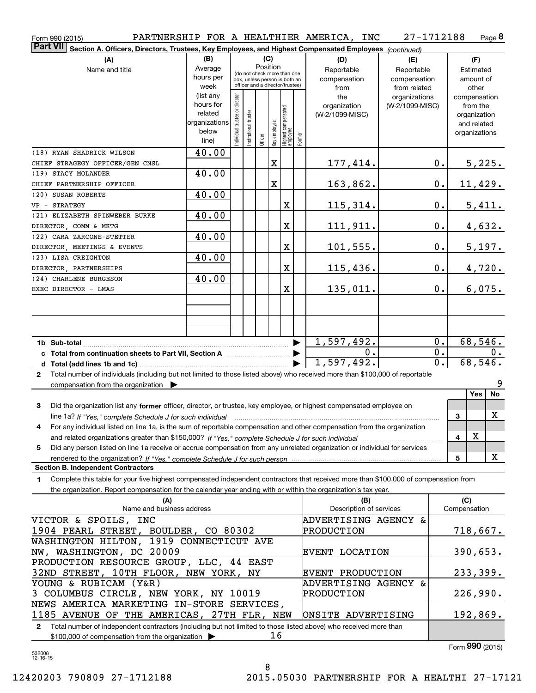| Form 990 (2015)                                                                                                                           |                                           |                                 |                       |                                                              |                                   |        | PARTNERSHIP FOR A HEALTHIER AMERICA, INC | 27-1712188      |                  | Page 8              |
|-------------------------------------------------------------------------------------------------------------------------------------------|-------------------------------------------|---------------------------------|-----------------------|--------------------------------------------------------------|-----------------------------------|--------|------------------------------------------|-----------------|------------------|---------------------|
| <b>Part VII</b><br>Section A. Officers, Directors, Trustees, Key Employees, and Highest Compensated Employees (continued)                 |                                           |                                 |                       |                                                              |                                   |        |                                          |                 |                  |                     |
| (A)                                                                                                                                       | (B)                                       |                                 |                       | (C)                                                          |                                   |        | (D)                                      | (E)             |                  | (F)                 |
| Name and title                                                                                                                            | Average                                   |                                 |                       | Position                                                     |                                   |        | Reportable                               | Reportable      |                  | Estimated           |
|                                                                                                                                           | hours per                                 |                                 |                       | (do not check more than one<br>box, unless person is both an |                                   |        | compensation                             | compensation    |                  | amount of           |
|                                                                                                                                           | week                                      | officer and a director/trustee) |                       |                                                              |                                   |        | from                                     | from related    |                  | other               |
|                                                                                                                                           | (list any                                 |                                 |                       |                                                              |                                   |        | the                                      | organizations   |                  | compensation        |
|                                                                                                                                           | hours for                                 |                                 |                       |                                                              |                                   |        | organization                             | (W-2/1099-MISC) |                  | from the            |
|                                                                                                                                           | related                                   |                                 |                       |                                                              |                                   |        | (W-2/1099-MISC)                          |                 |                  | organization        |
|                                                                                                                                           | organizations<br>below                    |                                 |                       |                                                              |                                   |        |                                          |                 |                  | and related         |
|                                                                                                                                           | line)                                     | Individual trustee or director  | Institutional trustee | Key employee<br>Officer                                      | Highest compensated<br>  employee | Former |                                          |                 |                  | organizations       |
|                                                                                                                                           |                                           |                                 |                       |                                                              |                                   |        |                                          |                 |                  |                     |
| (18) RYAN SHADRICK WILSON                                                                                                                 | 40.00                                     |                                 |                       |                                                              |                                   |        |                                          |                 |                  |                     |
| CHIEF STRAGEGY OFFICER/GEN CNSL                                                                                                           |                                           |                                 |                       | $\mathbf X$                                                  |                                   |        | <u>177,414.</u>                          |                 | 0.               | 5,225.              |
| (19) STACY MOLANDER                                                                                                                       | 40.00                                     |                                 |                       |                                                              |                                   |        |                                          |                 |                  |                     |
| CHIEF PARTNERSHIP OFFICER                                                                                                                 |                                           |                                 |                       | $\mathbf X$                                                  |                                   |        | 163,862.                                 |                 | $\mathbf 0$ .    | <u>11,429.</u>      |
| (20) SUSAN ROBERTS                                                                                                                        | 40.00                                     |                                 |                       |                                                              |                                   |        |                                          |                 |                  |                     |
| VP - STRATEGY                                                                                                                             |                                           |                                 |                       |                                                              | X                                 |        | 115,314.                                 |                 | $0$ .            | 5,411.              |
| (21) ELIZABETH SPINWEBER BURKE                                                                                                            | 40.00                                     |                                 |                       |                                                              |                                   |        |                                          |                 |                  |                     |
| DIRECTOR, COMM & MKTG                                                                                                                     |                                           |                                 |                       |                                                              | X                                 |        | 111,911.                                 |                 | $0$ .            | 4,632.              |
| (22) CARA ZARCONE-STETTER                                                                                                                 | 40.00                                     |                                 |                       |                                                              |                                   |        |                                          |                 |                  |                     |
| DIRECTOR, MEETINGS & EVENTS                                                                                                               |                                           |                                 |                       |                                                              | X                                 |        | 101,555.                                 |                 | $0$ .            | 5,197.              |
| (23) LISA CREIGHTON                                                                                                                       | 40.00                                     |                                 |                       |                                                              |                                   |        |                                          |                 |                  |                     |
| DIRECTOR, PARTNERSHIPS                                                                                                                    |                                           |                                 |                       |                                                              | X                                 |        | 115,436.                                 |                 | $0$ .            | 4,720.              |
| (24) CHARLENE BURGESON                                                                                                                    | 40.00                                     |                                 |                       |                                                              |                                   |        |                                          |                 |                  |                     |
| EXEC DIRECTOR - LMAS                                                                                                                      |                                           |                                 |                       |                                                              | X                                 |        | 135,011.                                 |                 | 0.               | 6,075.              |
|                                                                                                                                           |                                           |                                 |                       |                                                              |                                   |        |                                          |                 |                  |                     |
|                                                                                                                                           |                                           |                                 |                       |                                                              |                                   |        |                                          |                 |                  |                     |
|                                                                                                                                           |                                           |                                 |                       |                                                              |                                   |        |                                          |                 |                  |                     |
|                                                                                                                                           |                                           |                                 |                       |                                                              |                                   |        |                                          |                 |                  |                     |
|                                                                                                                                           |                                           |                                 |                       |                                                              |                                   |        | 1,597,492.                               |                 | 0.               | 68,546.             |
| c Total from continuation sheets to Part VII, Section A <b>Constanting to Part VII</b> , Section A                                        |                                           |                                 |                       |                                                              |                                   |        | 0.                                       |                 | $0$ .            | 0.                  |
|                                                                                                                                           |                                           |                                 |                       |                                                              |                                   |        | 1,597,492.                               |                 | $\overline{0}$ . | 68,546.             |
| Total number of individuals (including but not limited to those listed above) who received more than \$100,000 of reportable<br>2         |                                           |                                 |                       |                                                              |                                   |        |                                          |                 |                  |                     |
| compensation from the organization $\blacktriangleright$                                                                                  |                                           |                                 |                       |                                                              |                                   |        |                                          |                 |                  | 9                   |
|                                                                                                                                           |                                           |                                 |                       |                                                              |                                   |        |                                          |                 |                  | Yes<br>No           |
| Did the organization list any former officer, director, or trustee, key employee, or highest compensated employee on<br>3                 |                                           |                                 |                       |                                                              |                                   |        |                                          |                 |                  |                     |
| line 1a? If "Yes," complete Schedule J for such individual manufactured contained and the Yes," complete Schedule J for such individual   |                                           |                                 |                       |                                                              |                                   |        |                                          |                 | 3                | X                   |
| For any individual listed on line 1a, is the sum of reportable compensation and other compensation from the organization                  |                                           |                                 |                       |                                                              |                                   |        |                                          |                 |                  |                     |
|                                                                                                                                           |                                           |                                 |                       |                                                              |                                   |        |                                          |                 | 4                | х                   |
| Did any person listed on line 1a receive or accrue compensation from any unrelated organization or individual for services<br>5           |                                           |                                 |                       |                                                              |                                   |        |                                          |                 |                  |                     |
|                                                                                                                                           |                                           |                                 |                       |                                                              |                                   |        |                                          |                 | 5                | x                   |
| <b>Section B. Independent Contractors</b>                                                                                                 |                                           |                                 |                       |                                                              |                                   |        |                                          |                 |                  |                     |
| Complete this table for your five highest compensated independent contractors that received more than \$100,000 of compensation from<br>1 |                                           |                                 |                       |                                                              |                                   |        |                                          |                 |                  |                     |
| the organization. Report compensation for the calendar year ending with or within the organization's tax year.                            |                                           |                                 |                       |                                                              |                                   |        |                                          |                 |                  |                     |
|                                                                                                                                           |                                           |                                 |                       |                                                              |                                   |        |                                          |                 |                  |                     |
| (A)<br>Name and business address                                                                                                          |                                           |                                 |                       |                                                              |                                   |        | (B)<br>Description of services           |                 |                  | (C)<br>Compensation |
| VICTOR & SPOILS, INC                                                                                                                      |                                           |                                 |                       |                                                              |                                   |        | ADVERTISING AGENCY &                     |                 |                  |                     |
|                                                                                                                                           |                                           |                                 |                       |                                                              |                                   |        |                                          |                 |                  |                     |
| 1904 PEARL STREET, BOULDER, CO 80302                                                                                                      |                                           |                                 |                       |                                                              |                                   |        | PRODUCTION                               |                 |                  | 718,667.            |
| WASHINGTON HILTON, 1919 CONNECTICUT AVE                                                                                                   |                                           |                                 |                       |                                                              |                                   |        |                                          |                 |                  |                     |
| NW, WASHINGTON, DC 20009                                                                                                                  |                                           |                                 |                       |                                                              |                                   |        | EVENT LOCATION                           |                 |                  | 390,653.            |
| PRODUCTION RESOURCE GROUP, LLC, 44 EAST                                                                                                   |                                           |                                 |                       |                                                              |                                   |        |                                          |                 |                  |                     |
| 32ND STREET, 10TH FLOOR, NEW YORK, NY                                                                                                     |                                           |                                 |                       |                                                              |                                   |        | <b>EVENT PRODUCTION</b>                  |                 |                  | 233,399.            |
| YOUNG & RUBICAM (Y&R)                                                                                                                     |                                           |                                 |                       |                                                              |                                   |        | ADVERTISING AGENCY &                     |                 |                  |                     |
| 3 COLUMBUS CIRCLE, NEW YORK, NY 10019                                                                                                     |                                           |                                 |                       |                                                              |                                   |        | PRODUCTION                               |                 |                  | 226,990.            |
|                                                                                                                                           | NEWS AMERICA MARKETING IN-STORE SERVICES, |                                 |                       |                                                              |                                   |        |                                          |                 |                  |                     |
| 1185 AVENUE OF THE AMERICAS, 27TH FLR, NEW                                                                                                |                                           |                                 |                       |                                                              |                                   |        | ONSITE ADVERTISING                       |                 |                  | 192,869.            |
| Total number of independent contractors (including but not limited to those listed above) who received more than<br>$\mathbf{2}$          |                                           |                                 |                       |                                                              |                                   |        |                                          |                 |                  |                     |
| \$100,000 of compensation from the organization                                                                                           |                                           |                                 |                       |                                                              | 16                                |        |                                          |                 |                  |                     |

\$100,000 of compensation from the organization

Form 990 (2015)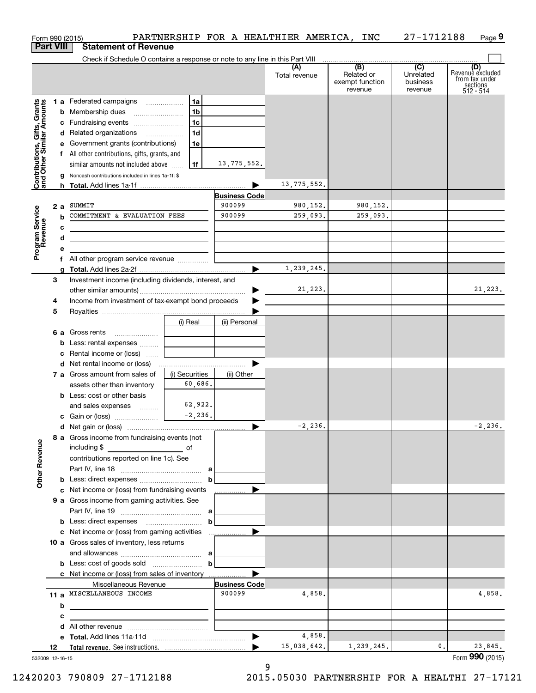|                                                           |    |   | Form 990 (2015)                                                                                                      |                                            |                      | PARTNERSHIP FOR A HEALTHIER AMERICA, | INC                                                          | 27-1712188                                           | Page 9                                                               |
|-----------------------------------------------------------|----|---|----------------------------------------------------------------------------------------------------------------------|--------------------------------------------|----------------------|--------------------------------------|--------------------------------------------------------------|------------------------------------------------------|----------------------------------------------------------------------|
| <b>Part VIII</b>                                          |    |   | <b>Statement of Revenue</b>                                                                                          |                                            |                      |                                      |                                                              |                                                      |                                                                      |
|                                                           |    |   | Check if Schedule O contains a response or note to any line in this Part VIII                                        |                                            |                      | (A)<br>Total revenue                 | $\overline{(B)}$<br>Related or<br>exempt function<br>revenue | $\overline{(C)}$<br>Unrelated<br>business<br>revenue | (D)<br>Revenue excluded<br>from tax under<br>sections<br>$512 - 514$ |
|                                                           |    |   | 1 a Federated campaigns                                                                                              | 1a                                         |                      |                                      |                                                              |                                                      |                                                                      |
| Contributions, Gifts, Grants<br>and Other Similar Amounts |    |   | <b>b</b> Membership dues                                                                                             | 1 <sub>b</sub>                             |                      |                                      |                                                              |                                                      |                                                                      |
|                                                           |    |   | c Fundraising events                                                                                                 | 1c                                         |                      |                                      |                                                              |                                                      |                                                                      |
|                                                           |    |   | d Related organizations                                                                                              | 1 <sub>d</sub><br>$\overline{\phantom{a}}$ |                      |                                      |                                                              |                                                      |                                                                      |
|                                                           |    |   | e Government grants (contributions)                                                                                  | 1e                                         |                      |                                      |                                                              |                                                      |                                                                      |
|                                                           |    |   | f All other contributions, gifts, grants, and                                                                        |                                            |                      |                                      |                                                              |                                                      |                                                                      |
|                                                           |    |   | similar amounts not included above                                                                                   | l 1f                                       | 13,775,552.          |                                      |                                                              |                                                      |                                                                      |
|                                                           |    |   | Noncash contributions included in lines 1a-1f: \$                                                                    |                                            |                      | 13,775,552.                          |                                                              |                                                      |                                                                      |
|                                                           |    |   |                                                                                                                      |                                            | <b>Business Code</b> |                                      |                                                              |                                                      |                                                                      |
|                                                           | 2a |   | SUMMIT                                                                                                               |                                            | 900099               | 980,152.                             | 980,152.                                                     |                                                      |                                                                      |
| Program Service<br>Revenue                                |    | b | COMMITMENT & EVALUATION FEES                                                                                         |                                            | 900099               | 259,093.                             | 259,093.                                                     |                                                      |                                                                      |
|                                                           |    | с |                                                                                                                      |                                            |                      |                                      |                                                              |                                                      |                                                                      |
|                                                           |    | d | <u> 1989 - Johann Stein, marwolaethau a bhann an t-Amhain an t-Amhain an t-Amhain an t-Amhain an t-Amhain an t-A</u> |                                            |                      |                                      |                                                              |                                                      |                                                                      |
|                                                           |    | е |                                                                                                                      |                                            |                      |                                      |                                                              |                                                      |                                                                      |
|                                                           |    | f |                                                                                                                      |                                            |                      |                                      |                                                              |                                                      |                                                                      |
|                                                           |    |   |                                                                                                                      |                                            |                      | 1,239,245.                           |                                                              |                                                      |                                                                      |
|                                                           | 3  |   | Investment income (including dividends, interest, and                                                                |                                            |                      |                                      |                                                              |                                                      |                                                                      |
|                                                           |    |   |                                                                                                                      |                                            |                      | 21,223.                              |                                                              |                                                      | 21,223.                                                              |
|                                                           | 4  |   | Income from investment of tax-exempt bond proceeds                                                                   |                                            |                      |                                      |                                                              |                                                      |                                                                      |
|                                                           | 5  |   |                                                                                                                      |                                            |                      |                                      |                                                              |                                                      |                                                                      |
|                                                           |    |   |                                                                                                                      | (i) Real                                   | (ii) Personal        |                                      |                                                              |                                                      |                                                                      |
|                                                           |    |   | 6 a Gross rents                                                                                                      |                                            |                      |                                      |                                                              |                                                      |                                                                      |
|                                                           |    |   | <b>b</b> Less: rental expenses                                                                                       |                                            |                      |                                      |                                                              |                                                      |                                                                      |
|                                                           |    |   | <b>c</b> Rental income or (loss)                                                                                     |                                            |                      |                                      |                                                              |                                                      |                                                                      |
|                                                           |    |   | 7 a Gross amount from sales of                                                                                       | (i) Securities                             | (ii) Other           |                                      |                                                              |                                                      |                                                                      |
|                                                           |    |   | assets other than inventory                                                                                          | 60,686.                                    |                      |                                      |                                                              |                                                      |                                                                      |
|                                                           |    |   | <b>b</b> Less: cost or other basis                                                                                   |                                            |                      |                                      |                                                              |                                                      |                                                                      |
|                                                           |    |   | and sales expenses                                                                                                   | 62,922.                                    |                      |                                      |                                                              |                                                      |                                                                      |
|                                                           |    |   | c Gain or (loss)                                                                                                     | $-2, 236.$                                 |                      |                                      |                                                              |                                                      |                                                                      |
|                                                           |    |   |                                                                                                                      |                                            |                      | 2,236.                               |                                                              |                                                      | 2,236.                                                               |
|                                                           |    |   | 8 a Gross income from fundraising events (not<br>including \$<br><u>of</u> of                                        |                                            |                      |                                      |                                                              |                                                      |                                                                      |
|                                                           |    |   | contributions reported on line 1c). See                                                                              |                                            |                      |                                      |                                                              |                                                      |                                                                      |
|                                                           |    |   |                                                                                                                      |                                            |                      |                                      |                                                              |                                                      |                                                                      |
| <b>Other Revenue</b>                                      |    |   |                                                                                                                      | $\mathbf b$                                |                      |                                      |                                                              |                                                      |                                                                      |
|                                                           |    |   | c Net income or (loss) from fundraising events                                                                       |                                            | .                    |                                      |                                                              |                                                      |                                                                      |
|                                                           |    |   | 9 a Gross income from gaming activities. See                                                                         |                                            |                      |                                      |                                                              |                                                      |                                                                      |
|                                                           |    |   |                                                                                                                      |                                            |                      |                                      |                                                              |                                                      |                                                                      |
|                                                           |    |   |                                                                                                                      | $\mathbf b$                                |                      |                                      |                                                              |                                                      |                                                                      |
|                                                           |    |   |                                                                                                                      |                                            |                      |                                      |                                                              |                                                      |                                                                      |
|                                                           |    |   | 10 a Gross sales of inventory, less returns                                                                          |                                            |                      |                                      |                                                              |                                                      |                                                                      |
|                                                           |    |   |                                                                                                                      |                                            |                      |                                      |                                                              |                                                      |                                                                      |
|                                                           |    |   |                                                                                                                      | $\mathbf b$                                |                      |                                      |                                                              |                                                      |                                                                      |
|                                                           |    |   | Miscellaneous Revenue                                                                                                |                                            | <b>Business Code</b> |                                      |                                                              |                                                      |                                                                      |
|                                                           |    |   | 11 a MISCELLANEOUS INCOME                                                                                            |                                            | 900099               | 4,858.                               |                                                              |                                                      | 4,858.                                                               |
|                                                           |    | b | <u> 1989 - Johann Barbara, martxa eta inperiodo eta mondo eta mondo eta mondo eta mondo eta mondo eta mondo eta</u>  |                                            |                      |                                      |                                                              |                                                      |                                                                      |
|                                                           |    | с |                                                                                                                      |                                            |                      |                                      |                                                              |                                                      |                                                                      |
|                                                           |    | d |                                                                                                                      |                                            |                      |                                      |                                                              |                                                      |                                                                      |
|                                                           |    |   |                                                                                                                      |                                            |                      | 4,858.                               |                                                              |                                                      |                                                                      |
|                                                           | 12 |   |                                                                                                                      |                                            |                      | 15,038,642.                          | 1,239,245.                                                   | 0.                                                   | 23,845.                                                              |
| 532009 12-16-15                                           |    |   |                                                                                                                      |                                            |                      |                                      |                                                              |                                                      | Form 990 (2015)                                                      |

9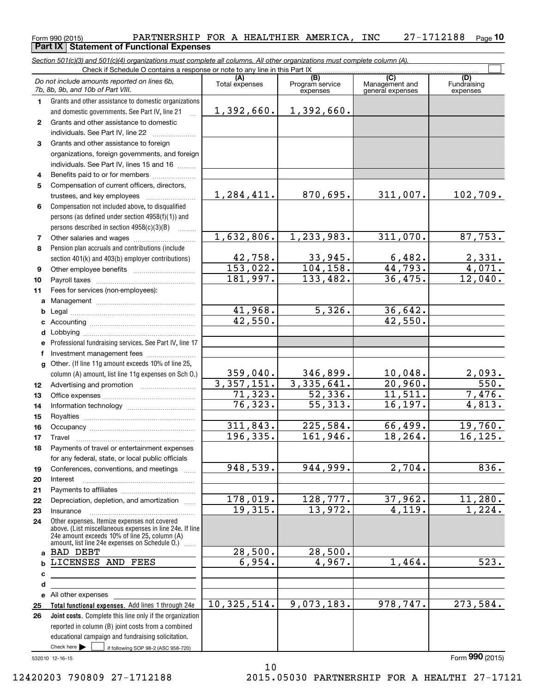#### Form 990 (2015) **PARTNERSHIP FOR A HEALTHIER AMERICA, INC**  $27-1712188$  Page Page 10 **Part IX Statement of Functional Expenses**

If following SOP 98-2 (ASC 958-720) Total functional expenses. Add lines 1 through 24e Joint costs. Complete this line only if the organization (A) (B) (C) (D) Management and general expenses 1 2 3 4 5 6 7 8 9 10 11 a b c d e f g 12 13 14 15 16 17 18 19 20 21 22 23 24 a b c d e 25 26 Section 501(c)(3) and 501(c)(4) organizations must complete all columns. All other organizations must complete column (A). Grants and other assistance to domestic organizations and domestic governments. See Part IV, line 21 Compensation not included above, to disqualified persons (as defined under section 4958(f)(1)) and persons described in section  $4958(c)(3)(B)$ Pension plan accruals and contributions (include section 401(k) and 403(b) employer contributions) Professional fundraising services. See Part IV, line 17 Other. (If line 11g amount exceeds 10% of line 25, column (A) amount, list line 11g expenses on Sch O.) Other expenses. Itemize expenses not covered above. (List miscellaneous expenses in line 24e. If line 24e amount exceeds 10% of line 25, column (A) amount, list line 24e expenses on Schedule O.)  $^{\prime}$  ...... reported in column (B) joint costs from a combined educational campaign and fundraising solicitation. Check if Schedule O contains a response or note to any line in this Part IX (C) (C) (C) (C) (C) (C) (A) (B)<br>Total expenses Program service expenses Fundraising expenses .<br>... Grants and other assistance to domestic individuals. See Part IV, line 22 Grants and other assistance to foreign organizations, foreign governments, and foreign individuals. See Part IV, lines 15 and 16  $\ldots$ Benefits paid to or for members ..................... Compensation of current officers, directors, trustees, and key employees  $\ldots$   $\ldots$   $\ldots$   $\ldots$   $\ldots$   $\ldots$ Other salaries and wages ~~~~~~~~~~ Other employee benefits ~~~~~~~~~~ Payroll taxes ~~~~~~~~~~~~~~~~ Fees for services (non-employees): Management ~~~~~~~~~~~~~~~~ Legal ~~~~~~~~~~~~~~~~~~~~ Accounting ~~~~~~~~~~~~~~~~~ Lobbying ~~~~~~~~~~~~~~~~~~ Investment management fees ........................ Advertising and promotion *www.community.com* Office expenses ~~~~~~~~~~~~~~~ Information technology ~~~~~~~~~~~ Royalties ~~~~~~~~~~~~~~~~~~ Occupancy ~~~~~~~~~~~~~~~~~ Travel ………………………………………………………… Payments of travel or entertainment expenses for any federal, state, or local public officials Conferences, conventions, and meetings Interest Payments to affiliates ~~~~~~~~~~~~ ~~~~~~~~~~~~~~~~~~ Depreciation, depletion, and amortization ...... Insurance ~~~~~~~~~~~~~~~~~ All other expenses  $\blacktriangleright$   $\sqcup$ Do not include amounts reported on lines 6b, 7b, 8b, 9b, and 10b of Part VIII.  $\boxed{\phantom{1}}$ 1,392,660. 1,284,411. 1,632,806. 42,758. 153,022. 181,997. 41,968. 42,550. 359,040. 3,357,151. 71,323. 76,323. 311,843. 196,335. 948,539. 178,019. 19,315. 28,500. 6,954. 10,325,514. 1,392,660. 870,695. 311,007. 102,709. 1,233,983. 311,070. 87,753.  $33,945.$  6,482. 2,331.  $104, 158.$  44,793. 4,071. 133,482. 36,475. 12,040.  $5,326.$  36,642. 42,550. 346,899. 10,048. 2,093.  $3,335,641.$  20,960. 550. 52,336. 11,511. 7,476. 55,313. 16,197. 4,813.  $225,584.$  66,499. 19,760. 161,946. 18,264. 16,125. 944,999. 2,704. 836. 128,777. 37,962. 11,280.  $13,972.$  4,119. 1,224. 28,500. 4,967. 1,464. 523. 9,073,183. 978,747. 273,584. BAD DEBT LICENSES AND FEES

532010 12-16-15

Form **990** (2015)

12420203 790809 27-1712188 2015.05030 PARTNERSHIP FOR A HEALTHI 27-17121

10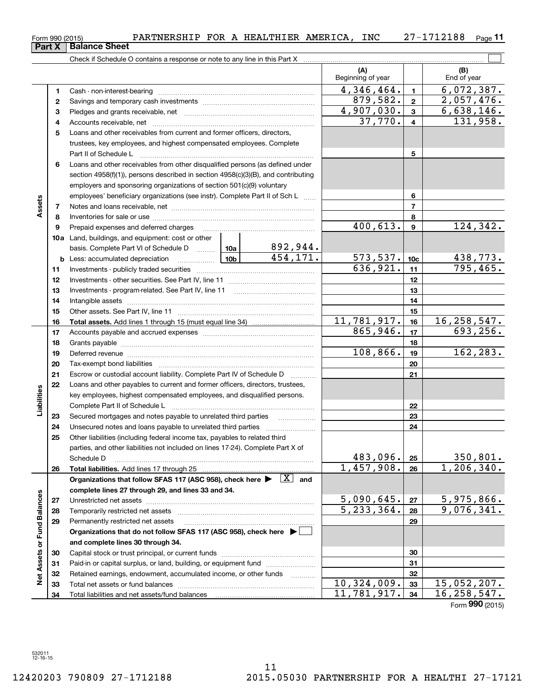|                             | 2        |                                                                                                                              | 879,582. | $\mathbf{2}$               | 2,057,476.                 |                 |                                 |
|-----------------------------|----------|------------------------------------------------------------------------------------------------------------------------------|----------|----------------------------|----------------------------|-----------------|---------------------------------|
|                             | з        |                                                                                                                              |          | $\overline{4}$ , 907, 030. | 3                          | 6,638,146.      |                                 |
|                             | 4        |                                                                                                                              | 37,770.  | $\overline{\mathbf{4}}$    | 131,958.                   |                 |                                 |
|                             | 5        | Loans and other receivables from current and former officers, directors,                                                     |          |                            |                            |                 |                                 |
|                             |          | trustees, key employees, and highest compensated employees. Complete                                                         |          |                            |                            |                 |                                 |
|                             |          | Part II of Schedule L                                                                                                        |          |                            |                            | 5               |                                 |
|                             | 6        | Loans and other receivables from other disqualified persons (as defined under                                                |          |                            |                            |                 |                                 |
|                             |          | section $4958(f)(1)$ , persons described in section $4958(c)(3)(B)$ , and contributing                                       |          |                            |                            |                 |                                 |
|                             |          | employers and sponsoring organizations of section 501(c)(9) voluntary                                                        |          |                            |                            |                 |                                 |
|                             |          | employees' beneficiary organizations (see instr). Complete Part II of Sch L                                                  |          |                            |                            | 6               |                                 |
| Assets                      | 7        |                                                                                                                              |          |                            |                            | $\overline{7}$  |                                 |
|                             | 8        |                                                                                                                              |          |                            |                            | 8               |                                 |
|                             | 9        | Prepaid expenses and deferred charges                                                                                        |          |                            | 400,613.                   | 9               | 124,342.                        |
|                             |          | <b>10a</b> Land, buildings, and equipment: cost or other                                                                     |          |                            |                            |                 |                                 |
|                             |          | basis. Complete Part VI of Schedule D  10a                                                                                   |          | <u>892,944.</u>            |                            |                 |                                 |
|                             |          |                                                                                                                              |          | 454, 171.                  | 573,537.                   | 10 <sub>c</sub> |                                 |
|                             | 11       |                                                                                                                              |          |                            | $\overline{636,921}$ .     | 11              | $\frac{438,773.}{795,465.}$     |
|                             | 12       |                                                                                                                              |          |                            |                            | 12              |                                 |
|                             | 13       |                                                                                                                              |          |                            |                            | 13              |                                 |
|                             | 14       |                                                                                                                              |          |                            |                            | 14              |                                 |
|                             | 15       |                                                                                                                              |          |                            |                            | 15              |                                 |
|                             | 16       |                                                                                                                              |          |                            | 11,781,917.                | 16              | 16, 258, 547.                   |
|                             | 17       |                                                                                                                              | 865,946. | 17                         | 693, 256.                  |                 |                                 |
|                             | 18       |                                                                                                                              |          |                            |                            | 18              |                                 |
|                             | 19       |                                                                                                                              |          | 108,866.                   | 19                         | 162, 283.       |                                 |
|                             | 20       |                                                                                                                              |          |                            |                            | 20              |                                 |
|                             | 21       | Escrow or custodial account liability. Complete Part IV of Schedule D                                                        |          | 1.1.1.1.1.1.1.1.1.1        |                            | 21              |                                 |
|                             | 22       | Loans and other payables to current and former officers, directors, trustees,                                                |          |                            |                            |                 |                                 |
| Liabilities                 |          | key employees, highest compensated employees, and disqualified persons.                                                      |          |                            |                            |                 |                                 |
|                             |          |                                                                                                                              |          |                            |                            | 22              |                                 |
|                             | 23       | Secured mortgages and notes payable to unrelated third parties                                                               |          |                            |                            | 23              |                                 |
|                             | 24       |                                                                                                                              |          |                            |                            | 24              |                                 |
|                             | 25       | Other liabilities (including federal income tax, payables to related third                                                   |          |                            |                            |                 |                                 |
|                             |          | parties, and other liabilities not included on lines 17-24). Complete Part X of                                              |          |                            |                            |                 |                                 |
|                             |          | Schedule D                                                                                                                   |          |                            | 483,096.                   | 25              | <u>350,801.</u><br>1, 206, 340. |
|                             | 26       | Total liabilities. Add lines 17 through 25                                                                                   |          |                            | 1,457,908.                 | 26              |                                 |
|                             |          | Organizations that follow SFAS 117 (ASC 958), check here $\blacktriangleright \begin{array}{c} \boxed{X} \\ \end{array}$ and |          |                            |                            |                 |                                 |
|                             |          | complete lines 27 through 29, and lines 33 and 34.                                                                           |          |                            | 5,090,645.                 |                 | 5,975,866.                      |
|                             | 27       | Unrestricted net assets                                                                                                      |          |                            | $\overline{5}$ , 233, 364. | 27<br>28        | 9,076,341.                      |
|                             | 28       | Temporarily restricted net assets<br>Permanently restricted net assets                                                       |          |                            |                            | 29              |                                 |
|                             | 29       | Organizations that do not follow SFAS 117 (ASC 958), check here ▶ [                                                          |          |                            |                            |                 |                                 |
|                             |          |                                                                                                                              |          |                            |                            |                 |                                 |
|                             | 30       | and complete lines 30 through 34.                                                                                            |          |                            |                            | 30              |                                 |
|                             |          | Paid-in or capital surplus, or land, building, or equipment fund                                                             |          |                            |                            | 31              |                                 |
| Net Assets or Fund Balances | 31<br>32 | Retained earnings, endowment, accumulated income, or other funds                                                             |          |                            |                            | 32              |                                 |
|                             | 33       | Total net assets or fund balances                                                                                            |          | .                          | 10, 324, 009.              | 33              | 15,052,207.                     |
|                             | 34       |                                                                                                                              |          |                            | $\overline{11,781,917}$ .  | 34              | 16, 258, 547.                   |
|                             |          |                                                                                                                              |          |                            |                            |                 | Form 990 (2015)                 |
|                             |          |                                                                                                                              |          |                            |                            |                 |                                 |

Form 990 (2015) **PARTNERSHIP FOR A HEALTHIER AMERICA, INC**  $27-1712188$  Page  $27 - 1712188$  Page 11

 $(A)$   $(B)$   $( B)$   $( B)$   $( C)$   $( B)$   $( C)$   $( D)$   $( D)$   $( D)$   $( D)$   $( D)$   $( D)$   $( D)$   $( D)$   $( D)$   $( D)$   $( D)$   $( D)$   $( D)$   $( D)$   $( D)$   $( D)$   $( D)$   $( D)$   $( D)$   $( D)$   $( D)$   $( D)$   $( D)$   $( D)$   $( D)$   $( D)$   $( D)$   $( D)$   $( D)$   $( D)$ 

4,346,464. 6,072,387.

 $\boxed{\phantom{1}}$ 

1 2

Beginning of year

Form 990 (2015)<br>**Part X | Balance Sheet** 

1 Cash - non-interest-bearing ~~~~~~~~~~~~~~~~~~~~~~~~~

Check if Schedule O contains a response or note to any line in this Part X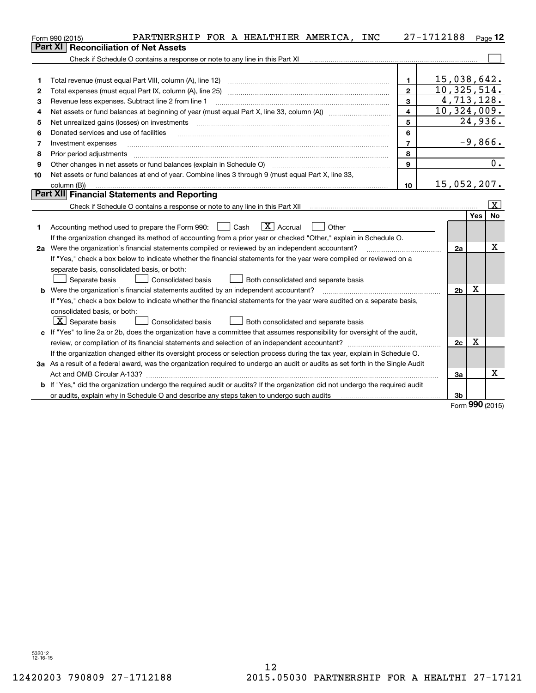|    | PARTNERSHIP FOR A HEALTHIER AMERICA, INC<br>Form 990 (2015)                                                                     |                         | 27-1712188     |     | Page $12$               |
|----|---------------------------------------------------------------------------------------------------------------------------------|-------------------------|----------------|-----|-------------------------|
|    | Part XI<br><b>Reconciliation of Net Assets</b>                                                                                  |                         |                |     |                         |
|    | Check if Schedule O contains a response or note to any line in this Part XI                                                     |                         |                |     |                         |
|    |                                                                                                                                 |                         |                |     |                         |
| 1  | Total revenue (must equal Part VIII, column (A), line 12)                                                                       | $\mathbf{1}$            | 15,038,642.    |     |                         |
| 2  | Total expenses (must equal Part IX, column (A), line 25)                                                                        | $\overline{2}$          | 10,325,514.    |     |                         |
| 3  | Revenue less expenses. Subtract line 2 from line 1                                                                              | 3                       | 4,713,128.     |     |                         |
| 4  |                                                                                                                                 | $\overline{\mathbf{4}}$ | 10,324,009.    |     |                         |
| 5  | Net unrealized gains (losses) on investments                                                                                    | 5                       |                |     | 24,936.                 |
| 6  | Donated services and use of facilities                                                                                          | 6                       |                |     |                         |
| 7  | Investment expenses                                                                                                             | $\overline{7}$          |                |     | $-9,866.$               |
| 8  | Prior period adjustments                                                                                                        | 8                       |                |     |                         |
| 9  | Other changes in net assets or fund balances (explain in Schedule O) [11] [2000] [2000] [2000] [2000] [2000] [                  | 9                       |                |     | $\overline{0}$ .        |
| 10 | Net assets or fund balances at end of year. Combine lines 3 through 9 (must equal Part X, line 33,                              |                         |                |     |                         |
|    | column (B))                                                                                                                     | 10                      | 15,052,207.    |     |                         |
|    | Part XII Financial Statements and Reporting                                                                                     |                         |                |     |                         |
|    |                                                                                                                                 |                         |                |     | $\overline{\mathbf{X}}$ |
|    |                                                                                                                                 |                         |                | Yes | No                      |
| 1  | $\boxed{\mathbf{X}}$ Accrual<br>Accounting method used to prepare the Form 990: <u>I</u> Cash<br>Other                          |                         |                |     |                         |
|    | If the organization changed its method of accounting from a prior year or checked "Other," explain in Schedule O.               |                         |                |     |                         |
|    | 2a Were the organization's financial statements compiled or reviewed by an independent accountant?                              |                         | 2a             |     | X                       |
|    | If "Yes," check a box below to indicate whether the financial statements for the year were compiled or reviewed on a            |                         |                |     |                         |
|    | separate basis, consolidated basis, or both:                                                                                    |                         |                |     |                         |
|    | Separate basis<br>Consolidated basis<br>Both consolidated and separate basis                                                    |                         |                |     |                         |
|    | <b>b</b> Were the organization's financial statements audited by an independent accountant?                                     |                         | 2 <sub>b</sub> | Х   |                         |
|    | If "Yes," check a box below to indicate whether the financial statements for the year were audited on a separate basis,         |                         |                |     |                         |
|    | consolidated basis, or both:                                                                                                    |                         |                |     |                         |
|    | $ \mathbf{X} $ Separate basis<br><b>Consolidated basis</b><br>Both consolidated and separate basis                              |                         |                |     |                         |
|    | c If "Yes" to line 2a or 2b, does the organization have a committee that assumes responsibility for oversight of the audit,     |                         |                |     |                         |
|    | review, or compilation of its financial statements and selection of an independent accountant?                                  |                         | 2c             | х   |                         |
|    | If the organization changed either its oversight process or selection process during the tax year, explain in Schedule O.       |                         |                |     |                         |
|    | 3a As a result of a federal award, was the organization required to undergo an audit or audits as set forth in the Single Audit |                         |                |     |                         |
|    |                                                                                                                                 |                         | 3a             |     | X                       |
|    | b If "Yes," did the organization undergo the required audit or audits? If the organization did not undergo the required audit   |                         |                |     |                         |
|    | or audits, explain why in Schedule O and describe any steps taken to undergo such audits                                        |                         | 3b             | nnn |                         |

Form **990** (2015)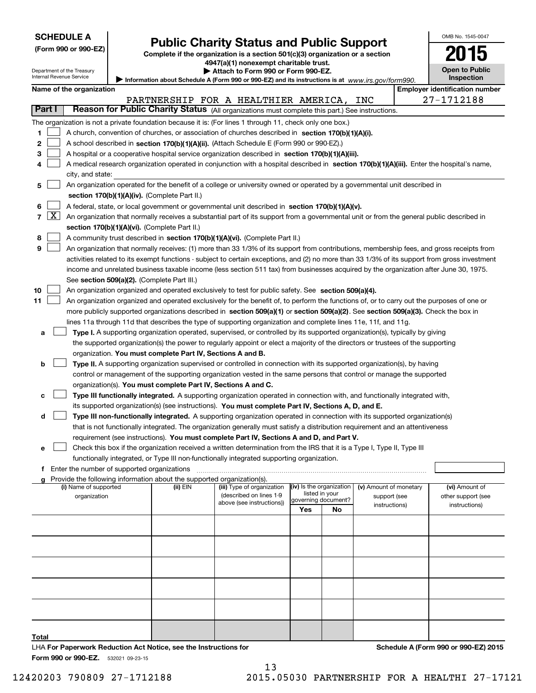| <b>SCHEDULE A</b> |                         |                            | <b>Public Charity Status and Public Support</b>                                                                                               | OMB No. 1545-0047 |                                       |
|-------------------|-------------------------|----------------------------|-----------------------------------------------------------------------------------------------------------------------------------------------|-------------------|---------------------------------------|
|                   |                         | (Form 990 or 990-EZ)       | Complete if the organization is a section 501(c)(3) organization or a section                                                                 |                   | 15                                    |
|                   |                         |                            | 4947(a)(1) nonexempt charitable trust.                                                                                                        |                   |                                       |
|                   |                         | Department of the Treasury | Attach to Form 990 or Form 990-EZ.                                                                                                            |                   | <b>Open to Public</b>                 |
|                   |                         | Internal Revenue Service   | Information about Schedule A (Form 990 or 990-EZ) and its instructions is at www.irs.gov/form990.                                             |                   | Inspection                            |
|                   |                         | Name of the organization   |                                                                                                                                               |                   | <b>Employer identification number</b> |
|                   |                         |                            | PARTNERSHIP FOR A HEALTHIER AMERICA,<br>INC                                                                                                   |                   | 27-1712188                            |
| Part I            |                         |                            | Reason for Public Charity Status (All organizations must complete this part.) See instructions.                                               |                   |                                       |
|                   |                         |                            | The organization is not a private foundation because it is: (For lines 1 through 11, check only one box.)                                     |                   |                                       |
| 1                 |                         |                            | A church, convention of churches, or association of churches described in section 170(b)(1)(A)(i).                                            |                   |                                       |
| 2                 |                         |                            | A school described in section 170(b)(1)(A)(ii). (Attach Schedule E (Form 990 or 990-EZ).)                                                     |                   |                                       |
| з                 |                         |                            | A hospital or a cooperative hospital service organization described in section 170(b)(1)(A)(iii).                                             |                   |                                       |
|                   |                         |                            | A medical research organization operated in conjunction with a hospital described in section 170(b)(1)(A)(iii). Enter the hospital's name,    |                   |                                       |
|                   |                         | city, and state:           |                                                                                                                                               |                   |                                       |
| 5                 |                         |                            | An organization operated for the benefit of a college or university owned or operated by a governmental unit described in                     |                   |                                       |
|                   |                         |                            | section 170(b)(1)(A)(iv). (Complete Part II.)                                                                                                 |                   |                                       |
| 6                 |                         |                            | A federal, state, or local government or governmental unit described in section 170(b)(1)(A)(v).                                              |                   |                                       |
| 7                 | $\overline{\mathbf{x}}$ |                            | An organization that normally receives a substantial part of its support from a governmental unit or from the general public described in     |                   |                                       |
|                   |                         |                            | section 170(b)(1)(A)(vi). (Complete Part II.)                                                                                                 |                   |                                       |
| 8                 |                         |                            | A community trust described in section 170(b)(1)(A)(vi). (Complete Part II.)                                                                  |                   |                                       |
| 9                 |                         |                            | An organization that normally receives: (1) more than 33 1/3% of its support from contributions, membership fees, and gross receipts from     |                   |                                       |
|                   |                         |                            | activities related to its exempt functions - subject to certain exceptions, and (2) no more than 33 1/3% of its support from gross investment |                   |                                       |
|                   |                         |                            | income and unrelated business taxable income (less section 511 tax) from businesses acquired by the organization after June 30, 1975.         |                   |                                       |
|                   |                         |                            | See section 509(a)(2). (Complete Part III.)                                                                                                   |                   |                                       |
| 10                |                         |                            | An organization organized and operated exclusively to test for public safety. See section 509(a)(4).                                          |                   |                                       |
| 11                |                         |                            | An organization organized and operated exclusively for the benefit of, to perform the functions of, or to carry out the purposes of one or    |                   |                                       |
|                   |                         |                            | more publicly supported organizations described in section 509(a)(1) or section 509(a)(2). See section 509(a)(3). Check the box in            |                   |                                       |
|                   |                         |                            | lines 11a through 11d that describes the type of supporting organization and complete lines 11e, 11f, and 11g.                                |                   |                                       |
| a                 |                         |                            | Type I. A supporting organization operated, supervised, or controlled by its supported organization(s), typically by giving                   |                   |                                       |
|                   |                         |                            | the supported organization(s) the power to regularly appoint or elect a majority of the directors or trustees of the supporting               |                   |                                       |
|                   |                         |                            | organization. You must complete Part IV, Sections A and B.                                                                                    |                   |                                       |
| b                 |                         |                            | Type II. A supporting organization supervised or controlled in connection with its supported organization(s), by having                       |                   |                                       |
|                   |                         |                            | control or management of the supporting organization vested in the same persons that control or manage the supported                          |                   |                                       |
|                   |                         |                            | organization(s). You must complete Part IV, Sections A and C.                                                                                 |                   |                                       |
| с                 |                         |                            | Type III functionally integrated. A supporting organization operated in connection with, and functionally integrated with,                    |                   |                                       |

|                | its supported organization(s) (see instructions). You must complete Part IV, Sections A, D, and E.                           |
|----------------|------------------------------------------------------------------------------------------------------------------------------|
| $d \mid \cdot$ | Type III non-functionally integrated. A supporting organization operated in connection with its supported organization(s)    |
|                | that is not functionally integrated. The organization generally must satisfy a distribution requirement and an attentiveness |
|                | requirement (see instructions). You must complete Part IV. Sections A and D, and Part V.                                     |

| Check this box if the organization received a written determination from the IRS that it is a Type I, Type II, Type III |
|-------------------------------------------------------------------------------------------------------------------------|
| functionally integrated, or Type III non-functionally integrated supporting organization.                               |

#### f Enter the number of supported organizations ~~~~~~~~~~~~~~~~~~~~~~~~~~~~~~~~~~~~~

e

| g Provide the following information about the supported organization(s). |  |  |  |
|--------------------------------------------------------------------------|--|--|--|
|                                                                          |  |  |  |

| Provide the following information about the supported organization(s).<br>a |          |                                                      |                                              |    |                        |                    |
|-----------------------------------------------------------------------------|----------|------------------------------------------------------|----------------------------------------------|----|------------------------|--------------------|
| (i) Name of supported                                                       | (ii) EIN | (iii) Type of organization                           | $(iv)$ is the organization<br>listed in your |    | (v) Amount of monetary | (vi) Amount of     |
| organization                                                                |          | (described on lines 1-9<br>above (see instructions)) | governing document?                          |    | support (see           | other support (see |
|                                                                             |          |                                                      | Yes                                          | No | instructions)          | instructions)      |
|                                                                             |          |                                                      |                                              |    |                        |                    |
|                                                                             |          |                                                      |                                              |    |                        |                    |
|                                                                             |          |                                                      |                                              |    |                        |                    |
|                                                                             |          |                                                      |                                              |    |                        |                    |
|                                                                             |          |                                                      |                                              |    |                        |                    |
|                                                                             |          |                                                      |                                              |    |                        |                    |
|                                                                             |          |                                                      |                                              |    |                        |                    |
|                                                                             |          |                                                      |                                              |    |                        |                    |
|                                                                             |          |                                                      |                                              |    |                        |                    |
|                                                                             |          |                                                      |                                              |    |                        |                    |
|                                                                             |          |                                                      |                                              |    |                        |                    |
| Total                                                                       |          |                                                      |                                              |    |                        |                    |

Form 990 or 990-EZ. 532021 09-23-15 LHA For Paperwork Reduction Act Notice, see the Instructions for Schedule A (Form 990 or 990-EZ) 2015

12420203 790809 27-1712188 2015.05030 PARTNERSHIP FOR A HEALTHI 27-17121

13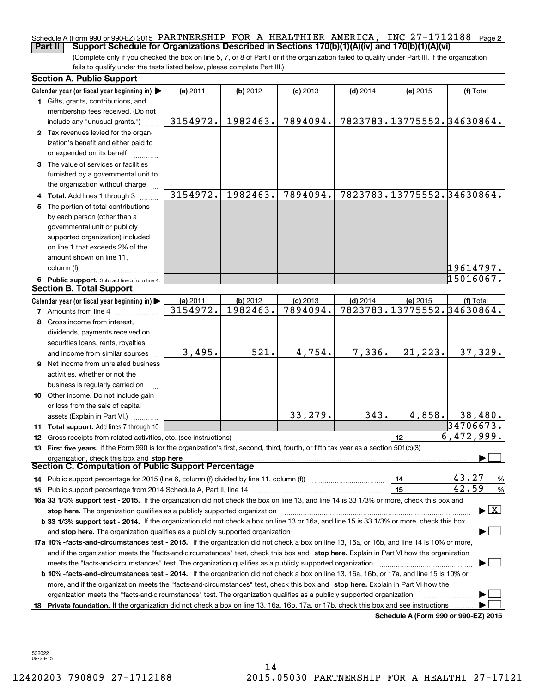#### Schedule A (Form 990 or 990-EZ) 2015 PARTNERSHIP FOR A HEALTHIER AMERICA, INC 27-1712188 Page 2 Part II | Support Schedule for Organizations Described in Sections 170(b)(1)(A)(iv) and 170(b)(1)(A)(vi)

(Complete only if you checked the box on line 5, 7, or 8 of Part I or if the organization failed to qualify under Part III. If the organization fails to qualify under the tests listed below, please complete Part III.)

|    | <b>Section A. Public Support</b>                                                                                                                                                                                                                            |            |          |            |            |                            |                                          |
|----|-------------------------------------------------------------------------------------------------------------------------------------------------------------------------------------------------------------------------------------------------------------|------------|----------|------------|------------|----------------------------|------------------------------------------|
|    | Calendar year (or fiscal year beginning in) $\blacktriangleright$                                                                                                                                                                                           | (a) $2011$ | (b) 2012 | $(c)$ 2013 | $(d)$ 2014 | (e) 2015                   | (f) Total                                |
|    | 1 Gifts, grants, contributions, and                                                                                                                                                                                                                         |            |          |            |            |                            |                                          |
|    | membership fees received. (Do not                                                                                                                                                                                                                           |            |          |            |            |                            |                                          |
|    | include any "unusual grants.")                                                                                                                                                                                                                              | 3154972.   | 1982463. | 7894094.   |            | 7823783.13775552.34630864. |                                          |
|    | 2 Tax revenues levied for the organ-                                                                                                                                                                                                                        |            |          |            |            |                            |                                          |
|    | ization's benefit and either paid to                                                                                                                                                                                                                        |            |          |            |            |                            |                                          |
|    | or expended on its behalf                                                                                                                                                                                                                                   |            |          |            |            |                            |                                          |
|    | 3 The value of services or facilities                                                                                                                                                                                                                       |            |          |            |            |                            |                                          |
|    | furnished by a governmental unit to                                                                                                                                                                                                                         |            |          |            |            |                            |                                          |
|    | the organization without charge                                                                                                                                                                                                                             |            |          |            |            |                            |                                          |
|    | 4 Total. Add lines 1 through 3                                                                                                                                                                                                                              | 3154972.   | 1982463. | 7894094.   |            | 7823783.13775552.34630864. |                                          |
| 5  | The portion of total contributions                                                                                                                                                                                                                          |            |          |            |            |                            |                                          |
|    | by each person (other than a                                                                                                                                                                                                                                |            |          |            |            |                            |                                          |
|    | governmental unit or publicly                                                                                                                                                                                                                               |            |          |            |            |                            |                                          |
|    | supported organization) included                                                                                                                                                                                                                            |            |          |            |            |                            |                                          |
|    | on line 1 that exceeds 2% of the                                                                                                                                                                                                                            |            |          |            |            |                            |                                          |
|    | amount shown on line 11,                                                                                                                                                                                                                                    |            |          |            |            |                            |                                          |
|    | column (f)                                                                                                                                                                                                                                                  |            |          |            |            |                            | 19614797.                                |
|    | 6 Public support. Subtract line 5 from line 4.                                                                                                                                                                                                              |            |          |            |            |                            | 15016067.                                |
|    | <b>Section B. Total Support</b>                                                                                                                                                                                                                             |            |          |            |            |                            |                                          |
|    | Calendar year (or fiscal year beginning in) $\blacktriangleright$                                                                                                                                                                                           | (a) 2011   | (b) 2012 | $(c)$ 2013 | $(d)$ 2014 | (e) 2015                   | (f) Total                                |
|    | <b>7</b> Amounts from line 4                                                                                                                                                                                                                                | 3154972.   | 1982463. | 7894094.   |            | 7823783.13775552.34630864. |                                          |
| 8  | Gross income from interest,                                                                                                                                                                                                                                 |            |          |            |            |                            |                                          |
|    | dividends, payments received on                                                                                                                                                                                                                             |            |          |            |            |                            |                                          |
|    | securities loans, rents, royalties                                                                                                                                                                                                                          |            |          |            |            |                            |                                          |
|    | and income from similar sources                                                                                                                                                                                                                             | 3,495.     | 521.     | 4,754.     | 7,336.     | 21, 223.                   | 37,329.                                  |
| 9  | Net income from unrelated business                                                                                                                                                                                                                          |            |          |            |            |                            |                                          |
|    | activities, whether or not the                                                                                                                                                                                                                              |            |          |            |            |                            |                                          |
|    | business is regularly carried on                                                                                                                                                                                                                            |            |          |            |            |                            |                                          |
|    | 10 Other income. Do not include gain                                                                                                                                                                                                                        |            |          |            |            |                            |                                          |
|    | or loss from the sale of capital                                                                                                                                                                                                                            |            |          |            |            |                            |                                          |
|    | assets (Explain in Part VI.)                                                                                                                                                                                                                                |            |          | 33,279.    | 343.       | 4,858.                     | 38,480.                                  |
|    | 11 Total support. Add lines 7 through 10                                                                                                                                                                                                                    |            |          |            |            |                            | 34706673.                                |
|    | 12 Gross receipts from related activities, etc. (see instructions)                                                                                                                                                                                          |            |          |            |            | 12                         | 6,472,999.                               |
|    | 13 First five years. If the Form 990 is for the organization's first, second, third, fourth, or fifth tax year as a section 501(c)(3)                                                                                                                       |            |          |            |            |                            |                                          |
|    | organization, check this box and stop here<br><b>Section C. Computation of Public Support Percentage</b>                                                                                                                                                    |            |          |            |            |                            |                                          |
|    |                                                                                                                                                                                                                                                             |            |          |            |            | 14                         | 43.27                                    |
|    |                                                                                                                                                                                                                                                             |            |          |            |            | 15                         | $\frac{9}{6}$<br>42.59                   |
|    | 16a 33 1/3% support test - 2015. If the organization did not check the box on line 13, and line 14 is 33 1/3% or more, check this box and                                                                                                                   |            |          |            |            |                            | $\frac{9}{6}$                            |
|    |                                                                                                                                                                                                                                                             |            |          |            |            |                            | $\blacktriangleright$ $\boxed{\text{X}}$ |
|    | stop here. The organization qualifies as a publicly supported organization<br>b 33 1/3% support test - 2014. If the organization did not check a box on line 13 or 16a, and line 15 is 33 1/3% or more, check this box                                      |            |          |            |            |                            |                                          |
|    |                                                                                                                                                                                                                                                             |            |          |            |            |                            |                                          |
|    | and stop here. The organization qualifies as a publicly supported organization<br>17a 10% -facts-and-circumstances test - 2015. If the organization did not check a box on line 13, 16a, or 16b, and line 14 is 10% or more,                                |            |          |            |            |                            |                                          |
|    |                                                                                                                                                                                                                                                             |            |          |            |            |                            |                                          |
|    | and if the organization meets the "facts-and-circumstances" test, check this box and stop here. Explain in Part VI how the organization                                                                                                                     |            |          |            |            |                            |                                          |
|    | meets the "facts-and-circumstances" test. The organization qualifies as a publicly supported organization<br><b>b 10% -facts-and-circumstances test - 2014.</b> If the organization did not check a box on line 13, 16a, 16b, or 17a, and line 15 is 10% or |            |          |            |            |                            |                                          |
|    | more, and if the organization meets the "facts-and-circumstances" test, check this box and stop here. Explain in Part VI how the                                                                                                                            |            |          |            |            |                            |                                          |
|    | organization meets the "facts-and-circumstances" test. The organization qualifies as a publicly supported organization                                                                                                                                      |            |          |            |            |                            |                                          |
| 18 | Private foundation. If the organization did not check a box on line 13, 16a, 16b, 17a, or 17b, check this box and see instructions                                                                                                                          |            |          |            |            |                            |                                          |
|    |                                                                                                                                                                                                                                                             |            |          |            |            |                            | Schedule A (Form 990 or 990-EZ) 2015     |
|    |                                                                                                                                                                                                                                                             |            |          |            |            |                            |                                          |

532022 09-23-15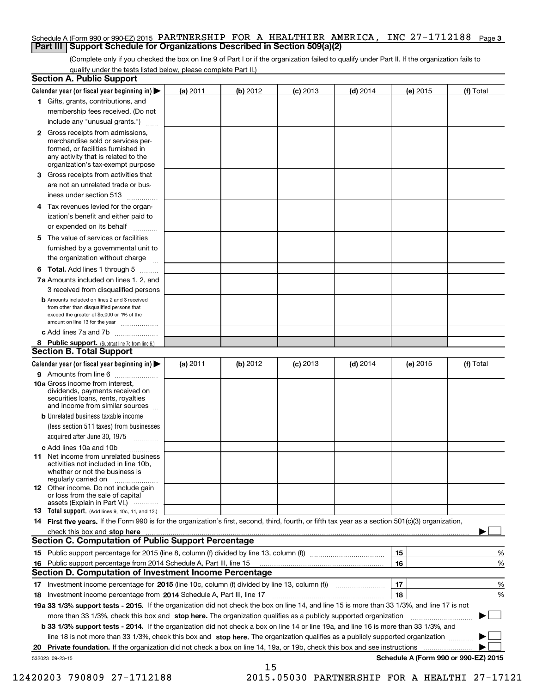#### Schedule A (Form 990 or 990-EZ) 2015 PARTNERSHIP FOR A HEALTHIER AMERICA, INC 27-1712188 Page 3 **Part III | Support Schedule for Organizations Described in Section 509(a)(2)**

(Complete only if you checked the box on line 9 of Part I or if the organization failed to qualify under Part II. If the organization fails to qualify under the tests listed below, please complete Part II.)

|                 | <b>Section A. Public Support</b>                                                                                                                                                                                               |          |          |            |            |          |                                      |
|-----------------|--------------------------------------------------------------------------------------------------------------------------------------------------------------------------------------------------------------------------------|----------|----------|------------|------------|----------|--------------------------------------|
|                 | Calendar year (or fiscal year beginning in) $\blacktriangleright$                                                                                                                                                              | (a) 2011 | (b) 2012 | $(c)$ 2013 | $(d)$ 2014 | (e) 2015 | (f) Total                            |
|                 | 1 Gifts, grants, contributions, and                                                                                                                                                                                            |          |          |            |            |          |                                      |
|                 | membership fees received. (Do not                                                                                                                                                                                              |          |          |            |            |          |                                      |
|                 | include any "unusual grants.")                                                                                                                                                                                                 |          |          |            |            |          |                                      |
|                 | <b>2</b> Gross receipts from admissions,<br>merchandise sold or services per-<br>formed, or facilities furnished in<br>any activity that is related to the<br>organization's tax-exempt purpose                                |          |          |            |            |          |                                      |
| З               | Gross receipts from activities that                                                                                                                                                                                            |          |          |            |            |          |                                      |
|                 | are not an unrelated trade or bus-                                                                                                                                                                                             |          |          |            |            |          |                                      |
|                 | iness under section 513                                                                                                                                                                                                        |          |          |            |            |          |                                      |
|                 | 4 Tax revenues levied for the organ-<br>ization's benefit and either paid to                                                                                                                                                   |          |          |            |            |          |                                      |
|                 | or expended on its behalf                                                                                                                                                                                                      |          |          |            |            |          |                                      |
|                 | 5 The value of services or facilities                                                                                                                                                                                          |          |          |            |            |          |                                      |
|                 | furnished by a governmental unit to                                                                                                                                                                                            |          |          |            |            |          |                                      |
|                 | the organization without charge                                                                                                                                                                                                |          |          |            |            |          |                                      |
|                 |                                                                                                                                                                                                                                |          |          |            |            |          |                                      |
|                 | <b>6 Total.</b> Add lines 1 through 5                                                                                                                                                                                          |          |          |            |            |          |                                      |
|                 | 7a Amounts included on lines 1, 2, and<br>3 received from disqualified persons                                                                                                                                                 |          |          |            |            |          |                                      |
|                 | <b>b</b> Amounts included on lines 2 and 3 received<br>from other than disqualified persons that<br>exceed the greater of \$5,000 or 1% of the<br>amount on line 13 for the year                                               |          |          |            |            |          |                                      |
|                 | c Add lines 7a and 7b                                                                                                                                                                                                          |          |          |            |            |          |                                      |
|                 | 8 Public support. (Subtract line 7c from line 6.)                                                                                                                                                                              |          |          |            |            |          |                                      |
|                 | <b>Section B. Total Support</b>                                                                                                                                                                                                |          |          |            |            |          |                                      |
|                 | Calendar year (or fiscal year beginning in) $\blacktriangleright$                                                                                                                                                              | (a) 2011 | (b) 2012 | $(c)$ 2013 | $(d)$ 2014 | (e) 2015 | (f) Total                            |
|                 | 9 Amounts from line 6<br>$\overline{\phantom{a}}$                                                                                                                                                                              |          |          |            |            |          |                                      |
|                 | 10a Gross income from interest,<br>dividends, payments received on<br>securities loans, rents, royalties<br>and income from similar sources                                                                                    |          |          |            |            |          |                                      |
|                 | <b>b</b> Unrelated business taxable income                                                                                                                                                                                     |          |          |            |            |          |                                      |
|                 | (less section 511 taxes) from businesses<br>acquired after June 30, 1975                                                                                                                                                       |          |          |            |            |          |                                      |
|                 | c Add lines 10a and 10b                                                                                                                                                                                                        |          |          |            |            |          |                                      |
|                 | <b>11</b> Net income from unrelated business<br>activities not included in line 10b,<br>whether or not the business is<br>regularly carried on                                                                                 |          |          |            |            |          |                                      |
|                 | 12 Other income. Do not include gain<br>or loss from the sale of capital<br>assets (Explain in Part VI.)                                                                                                                       |          |          |            |            |          |                                      |
|                 | <b>13</b> Total support. (Add lines 9, 10c, 11, and 12.)                                                                                                                                                                       |          |          |            |            |          |                                      |
|                 | 14 First five years. If the Form 990 is for the organization's first, second, third, fourth, or fifth tax year as a section 501(c)(3) organization,                                                                            |          |          |            |            |          |                                      |
|                 | check this box and stop here with the continuum control to the control of the control of the control of the control of the control of the control of the control of the control of the control of the control of the control o |          |          |            |            |          |                                      |
|                 | <b>Section C. Computation of Public Support Percentage</b>                                                                                                                                                                     |          |          |            |            |          |                                      |
|                 |                                                                                                                                                                                                                                |          |          |            |            | 15       | %                                    |
|                 | 16 Public support percentage from 2014 Schedule A, Part III, line 15                                                                                                                                                           |          |          |            |            | 16       | %                                    |
|                 | Section D. Computation of Investment Income Percentage                                                                                                                                                                         |          |          |            |            |          |                                      |
|                 | 17 Investment income percentage for 2015 (line 10c, column (f) divided by line 13, column (f) <i>manameronium</i>                                                                                                              |          |          |            |            | 17       | %                                    |
|                 | 18 Investment income percentage from 2014 Schedule A, Part III, line 17                                                                                                                                                        |          |          |            |            | 18       | %                                    |
|                 | 19a 33 1/3% support tests - 2015. If the organization did not check the box on line 14, and line 15 is more than 33 1/3%, and line 17 is not                                                                                   |          |          |            |            |          |                                      |
|                 | more than 33 1/3%, check this box and stop here. The organization qualifies as a publicly supported organization                                                                                                               |          |          |            |            |          |                                      |
|                 | b 33 1/3% support tests - 2014. If the organization did not check a box on line 14 or line 19a, and line 16 is more than 33 1/3%, and                                                                                          |          |          |            |            |          |                                      |
|                 | line 18 is not more than 33 1/3%, check this box and stop here. The organization qualifies as a publicly supported organization                                                                                                |          |          |            |            |          |                                      |
| 20              | Private foundation. If the organization did not check a box on line 14, 19a, or 19b, check this box and see instructions                                                                                                       |          |          |            |            | .        |                                      |
| 532023 09-23-15 |                                                                                                                                                                                                                                |          |          |            |            |          | Schedule A (Form 990 or 990-EZ) 2015 |
|                 |                                                                                                                                                                                                                                |          | 15       |            |            |          |                                      |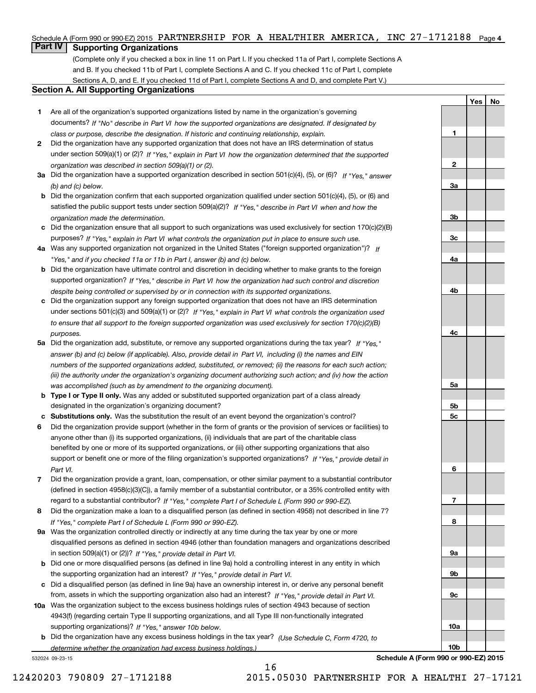## Schedule A (Form 990 or 990-EZ) 2015 PARTNERSHIP FOR A HEALTHIER AMERICA, INC 27-1712188 Page 4

## **Part IV Supporting Organizations**

(Complete only if you checked a box in line 11 on Part I. If you checked 11a of Part I, complete Sections A and B. If you checked 11b of Part I, complete Sections A and C. If you checked 11c of Part I, complete Sections A, D, and E. If you checked 11d of Part I, complete Sections A and D, and complete Part V.)

#### Section A. All Supporting Organizations

- 1 Are all of the organization's supported organizations listed by name in the organization's governing documents? If "No" describe in Part VI how the supported organizations are designated. If designated by class or purpose, describe the designation. If historic and continuing relationship, explain.
- 2 Did the organization have any supported organization that does not have an IRS determination of status under section 509(a)(1) or (2)? If "Yes," explain in Part VI how the organization determined that the supported organization was described in section 509(a)(1) or (2).
- 3a Did the organization have a supported organization described in section 501(c)(4), (5), or (6)? If "Yes," answer (b) and (c) below.
- b Did the organization confirm that each supported organization qualified under section 501(c)(4), (5), or (6) and satisfied the public support tests under section 509(a)(2)? If "Yes," describe in Part VI when and how the organization made the determination.
- c Did the organization ensure that all support to such organizations was used exclusively for section 170(c)(2)(B) purposes? If "Yes," explain in Part VI what controls the organization put in place to ensure such use.
- 4a Was any supported organization not organized in the United States ("foreign supported organization")? If "Yes," and if you checked 11a or 11b in Part I, answer (b) and (c) below.
- b Did the organization have ultimate control and discretion in deciding whether to make grants to the foreign supported organization? If "Yes," describe in Part VI how the organization had such control and discretion despite being controlled or supervised by or in connection with its supported organizations.
- c Did the organization support any foreign supported organization that does not have an IRS determination under sections 501(c)(3) and 509(a)(1) or (2)? If "Yes," explain in Part VI what controls the organization used to ensure that all support to the foreign supported organization was used exclusively for section 170(c)(2)(B) purposes.
- 5a Did the organization add, substitute, or remove any supported organizations during the tax year? If "Yes," answer (b) and (c) below (if applicable). Also, provide detail in Part VI, including (i) the names and EIN numbers of the supported organizations added, substituted, or removed; (ii) the reasons for each such action; (iii) the authority under the organization's organizing document authorizing such action; and (iv) how the action was accomplished (such as by amendment to the organizing document).
- **b Type I or Type II only.** Was any added or substituted supported organization part of a class already designated in the organization's organizing document?
- c Substitutions only. Was the substitution the result of an event beyond the organization's control?
- 6 Did the organization provide support (whether in the form of grants or the provision of services or facilities) to support or benefit one or more of the filing organization's supported organizations? If "Yes," provide detail in anyone other than (i) its supported organizations, (ii) individuals that are part of the charitable class benefited by one or more of its supported organizations, or (iii) other supporting organizations that also Part VI.
- 7 Did the organization provide a grant, loan, compensation, or other similar payment to a substantial contributor regard to a substantial contributor? If "Yes," complete Part I of Schedule L (Form 990 or 990-EZ). (defined in section 4958(c)(3)(C)), a family member of a substantial contributor, or a 35% controlled entity with
- 8 Did the organization make a loan to a disqualified person (as defined in section 4958) not described in line 7? If "Yes," complete Part I of Schedule L (Form 990 or 990-EZ).
- **9a** Was the organization controlled directly or indirectly at any time during the tax year by one or more in section 509(a)(1) or (2))? If "Yes," provide detail in Part VI. disqualified persons as defined in section 4946 (other than foundation managers and organizations described
- b Did one or more disqualified persons (as defined in line 9a) hold a controlling interest in any entity in which the supporting organization had an interest? If "Yes," provide detail in Part VI.
- c Did a disqualified person (as defined in line 9a) have an ownership interest in, or derive any personal benefit from, assets in which the supporting organization also had an interest? If "Yes," provide detail in Part VI.
- 10a Was the organization subject to the excess business holdings rules of section 4943 because of section supporting organizations)? If "Yes," answer 10b below. 4943(f) (regarding certain Type II supporting organizations, and all Type III non-functionally integrated
- **b** Did the organization have any excess business holdings in the tax year? (Use Schedule C, Form 4720, to determine whether the organization had excess business holdings.)

16

532024 09-23-15

4b 4c 5a 5b 5c 6 7 8 9a 9b 9c 10a 10b Schedule A (Form 990 or 990-EZ) 2015

Yes | No

1

2

3a

3b

3c

4a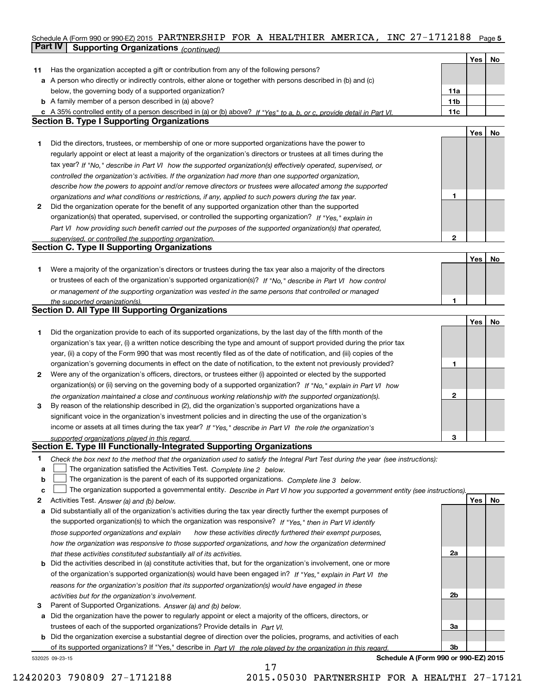## Schedule A (Form 990 or 990-EZ) 2015 PARTNERSHIP FOR A HEALTHIER AMERICA, INC 27-1712188 Page 5 **Part IV Supporting Organizations** (continued)

|    |                                                                                                                                   |                 | Yes | No |
|----|-----------------------------------------------------------------------------------------------------------------------------------|-----------------|-----|----|
| 11 | Has the organization accepted a gift or contribution from any of the following persons?                                           |                 |     |    |
|    | a A person who directly or indirectly controls, either alone or together with persons described in (b) and (c)                    |                 |     |    |
|    | below, the governing body of a supported organization?                                                                            | 11a             |     |    |
|    | <b>b</b> A family member of a person described in (a) above?                                                                      | 11 <sub>b</sub> |     |    |
|    | c A 35% controlled entity of a person described in (a) or (b) above? If "Yes" to a, b, or c, provide detail in Part VI.           | 11c             |     |    |
|    | <b>Section B. Type I Supporting Organizations</b>                                                                                 |                 |     |    |
|    |                                                                                                                                   |                 |     |    |
|    |                                                                                                                                   |                 | Yes | No |
| 1. | Did the directors, trustees, or membership of one or more supported organizations have the power to                               |                 |     |    |
|    | regularly appoint or elect at least a majority of the organization's directors or trustees at all times during the                |                 |     |    |
|    | tax year? If "No," describe in Part VI how the supported organization(s) effectively operated, supervised, or                     |                 |     |    |
|    | controlled the organization's activities. If the organization had more than one supported organization,                           |                 |     |    |
|    | describe how the powers to appoint and/or remove directors or trustees were allocated among the supported                         |                 |     |    |
|    | organizations and what conditions or restrictions, if any, applied to such powers during the tax year.                            | 1               |     |    |
| 2  | Did the organization operate for the benefit of any supported organization other than the supported                               |                 |     |    |
|    | organization(s) that operated, supervised, or controlled the supporting organization? If "Yes," explain in                        |                 |     |    |
|    | Part VI how providing such benefit carried out the purposes of the supported organization(s) that operated.                       |                 |     |    |
|    | supervised, or controlled the supporting organization.                                                                            | $\overline{2}$  |     |    |
|    | <b>Section C. Type II Supporting Organizations</b>                                                                                |                 |     |    |
|    |                                                                                                                                   |                 |     | No |
|    |                                                                                                                                   |                 | Yes |    |
| 1. | Were a majority of the organization's directors or trustees during the tax year also a majority of the directors                  |                 |     |    |
|    | or trustees of each of the organization's supported organization(s)? If "No," describe in Part VI how control                     |                 |     |    |
|    | or management of the supporting organization was vested in the same persons that controlled or managed                            |                 |     |    |
|    | the supported organization(s).                                                                                                    | 1               |     |    |
|    | <b>Section D. All Type III Supporting Organizations</b>                                                                           |                 |     |    |
|    |                                                                                                                                   |                 | Yes | No |
| 1. | Did the organization provide to each of its supported organizations, by the last day of the fifth month of the                    |                 |     |    |
|    | organization's tax year, (i) a written notice describing the type and amount of support provided during the prior tax             |                 |     |    |
|    | year, (ii) a copy of the Form 990 that was most recently filed as of the date of notification, and (iii) copies of the            |                 |     |    |
|    | organization's governing documents in effect on the date of notification, to the extent not previously provided?                  | 1               |     |    |
| 2  | Were any of the organization's officers, directors, or trustees either (i) appointed or elected by the supported                  |                 |     |    |
|    | organization(s) or (ii) serving on the governing body of a supported organization? If "No," explain in Part VI how                |                 |     |    |
|    | the organization maintained a close and continuous working relationship with the supported organization(s).                       | $\mathbf{2}$    |     |    |
| 3  | By reason of the relationship described in (2), did the organization's supported organizations have a                             |                 |     |    |
|    | significant voice in the organization's investment policies and in directing the use of the organization's                        |                 |     |    |
|    | income or assets at all times during the tax year? If "Yes," describe in Part VI the role the organization's                      |                 |     |    |
|    |                                                                                                                                   | 3               |     |    |
|    | supported organizations played in this regard.<br>Section E. Type III Functionally-Integrated Supporting Organizations            |                 |     |    |
|    |                                                                                                                                   |                 |     |    |
| 1. | Check the box next to the method that the organization used to satisfy the Integral Part Test during the year (see instructions): |                 |     |    |
| a  | The organization satisfied the Activities Test. Complete line 2 below.                                                            |                 |     |    |
| b  | The organization is the parent of each of its supported organizations. Complete line 3 below.                                     |                 |     |    |
| c  | The organization supported a governmental entity. Describe in Part VI how you supported a government entity (see instructions).   |                 |     |    |
| 2  | Activities Test. Answer (a) and (b) below.                                                                                        |                 | Yes | No |
| а  | Did substantially all of the organization's activities during the tax year directly further the exempt purposes of                |                 |     |    |
|    | the supported organization(s) to which the organization was responsive? If "Yes," then in Part VI identify                        |                 |     |    |
|    | those supported organizations and explain<br>how these activities directly furthered their exempt purposes,                       |                 |     |    |
|    | how the organization was responsive to those supported organizations, and how the organization determined                         |                 |     |    |
|    | that these activities constituted substantially all of its activities.                                                            | 2a              |     |    |
|    | Did the activities described in (a) constitute activities that, but for the organization's involvement, one or more               |                 |     |    |
|    | of the organization's supported organization(s) would have been engaged in? If "Yes," explain in Part VI the                      |                 |     |    |
|    | reasons for the organization's position that its supported organization(s) would have engaged in these                            |                 |     |    |
|    |                                                                                                                                   | 2b              |     |    |
|    | activities but for the organization's involvement.                                                                                |                 |     |    |
| з  | Parent of Supported Organizations. Answer (a) and (b) below.                                                                      |                 |     |    |
| а  | Did the organization have the power to regularly appoint or elect a majority of the officers, directors, or                       |                 |     |    |
|    | trustees of each of the supported organizations? Provide details in Part VI.                                                      | За              |     |    |
| b  | Did the organization exercise a substantial degree of direction over the policies, programs, and activities of each               |                 |     |    |
|    | of its supported organizations? If "Yes," describe in Part VI the role played by the organization in this regard                  | 3b              |     |    |
|    | Schedule A (Form 990 or 990-EZ) 2015<br>532025 09-23-15                                                                           |                 |     |    |

17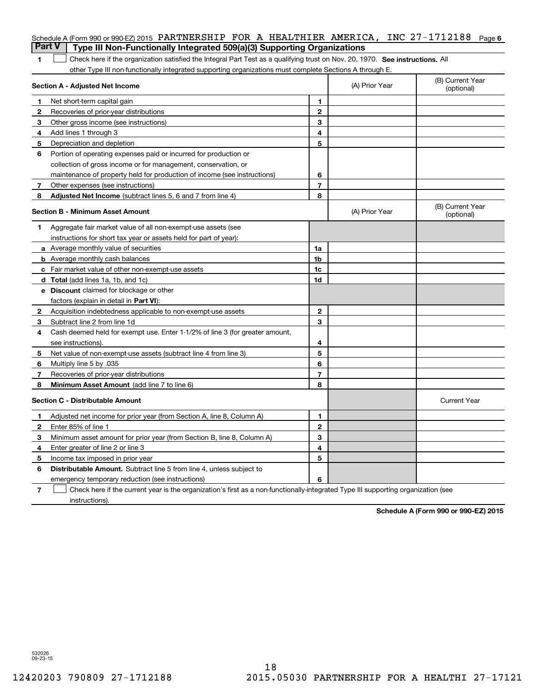| <b>Part V</b> | Schedule A (Form 990 or 990-EZ) 2015 PARTNERSHIP FOR A HEALTHIER AMERICA, INC 27-1712188<br>Type III Non-Functionally Integrated 509(a)(3) Supporting Organizations |                |                | Page 6                         |
|---------------|---------------------------------------------------------------------------------------------------------------------------------------------------------------------|----------------|----------------|--------------------------------|
| 1             | Check here if the organization satisfied the Integral Part Test as a qualifying trust on Nov. 20, 1970. See instructions. All                                       |                |                |                                |
|               | other Type III non-functionally integrated supporting organizations must complete Sections A through E.                                                             |                |                |                                |
|               | Section A - Adjusted Net Income                                                                                                                                     |                | (A) Prior Year | (B) Current Year<br>(optional) |
| 1             | Net short-term capital gain                                                                                                                                         | 1              |                |                                |
| 2             | Recoveries of prior-year distributions                                                                                                                              | $\mathbf{2}$   |                |                                |
| 3             | Other gross income (see instructions)                                                                                                                               | 3              |                |                                |
| 4             | Add lines 1 through 3                                                                                                                                               | 4              |                |                                |
| 5             | Depreciation and depletion                                                                                                                                          | 5              |                |                                |
| 6             | Portion of operating expenses paid or incurred for production or                                                                                                    |                |                |                                |
|               | collection of gross income or for management, conservation, or                                                                                                      |                |                |                                |
|               | maintenance of property held for production of income (see instructions)                                                                                            | 6              |                |                                |
| 7             | Other expenses (see instructions)                                                                                                                                   | $\overline{7}$ |                |                                |
| 8             | Adjusted Net Income (subtract lines 5, 6 and 7 from line 4)                                                                                                         | 8              |                |                                |
|               | <b>Section B - Minimum Asset Amount</b>                                                                                                                             |                | (A) Prior Year | (B) Current Year<br>(optional) |
| 1             | Aggregate fair market value of all non-exempt-use assets (see                                                                                                       |                |                |                                |
|               | instructions for short tax year or assets held for part of year):                                                                                                   |                |                |                                |
|               | a Average monthly value of securities                                                                                                                               | 1a             |                |                                |
|               | <b>b</b> Average monthly cash balances                                                                                                                              | 1b             |                |                                |
|               | <b>c</b> Fair market value of other non-exempt-use assets                                                                                                           | 1c             |                |                                |
|               | d Total (add lines 1a, 1b, and 1c)                                                                                                                                  | 1d             |                |                                |
|               | <b>e</b> Discount claimed for blockage or other                                                                                                                     |                |                |                                |
|               | factors (explain in detail in Part VI):                                                                                                                             |                |                |                                |
| 2             | Acquisition indebtedness applicable to non-exempt-use assets                                                                                                        | $\mathbf{2}$   |                |                                |
| 3             | Subtract line 2 from line 1d                                                                                                                                        | 3              |                |                                |
| 4             | Cash deemed held for exempt use. Enter 1-1/2% of line 3 (for greater amount,                                                                                        |                |                |                                |
|               | see instructions).                                                                                                                                                  | 4              |                |                                |
| 5             | Net value of non-exempt-use assets (subtract line 4 from line 3)                                                                                                    | 5              |                |                                |
| 6             | Multiply line 5 by .035                                                                                                                                             | 6              |                |                                |
| 7             | Recoveries of prior-year distributions                                                                                                                              | $\overline{7}$ |                |                                |
| 8             | Minimum Asset Amount (add line 7 to line 6)                                                                                                                         | 8              |                |                                |
|               | <b>Section C - Distributable Amount</b>                                                                                                                             |                |                | <b>Current Year</b>            |
|               | Adjusted net income for prior year (from Section A, line 8, Column A)                                                                                               | 1              |                |                                |
| 2             | Enter 85% of line 1                                                                                                                                                 | 2              |                |                                |
| 3             | Minimum asset amount for prior year (from Section B, line 8, Column A)                                                                                              | 3              |                |                                |
| 4             | Enter greater of line 2 or line 3                                                                                                                                   | 4              |                |                                |
| 5             | Income tax imposed in prior year                                                                                                                                    | 5              |                |                                |
| 6             | Distributable Amount. Subtract line 5 from line 4, unless subject to                                                                                                |                |                |                                |
|               | emergency temporary reduction (see instructions)                                                                                                                    | 6              |                |                                |
| 7             | Check here if the current year is the organization's first as a non-functionally-integrated Type III supporting organization (see                                   |                |                |                                |

instructions).

Schedule A (Form 990 or 990-EZ) 2015

532026 09-23-15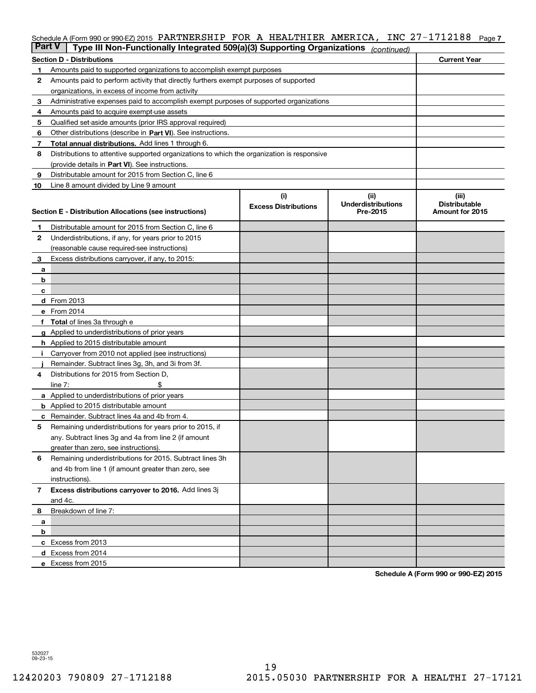### Schedule A (Form 990 or 990-EZ) 2015 PARTNERSHIP FOR A HEALTHIER AMERICA, INC 27-1712188 Page 7

| ∣ Part V     | Type III Non-Functionally Integrated 509(a)(3) Supporting Organizations                    |                             | (continued)                           |                                                |  |  |  |  |
|--------------|--------------------------------------------------------------------------------------------|-----------------------------|---------------------------------------|------------------------------------------------|--|--|--|--|
|              | <b>Section D - Distributions</b>                                                           |                             |                                       | <b>Current Year</b>                            |  |  |  |  |
| 1.           | Amounts paid to supported organizations to accomplish exempt purposes                      |                             |                                       |                                                |  |  |  |  |
| 2            | Amounts paid to perform activity that directly furthers exempt purposes of supported       |                             |                                       |                                                |  |  |  |  |
|              | organizations, in excess of income from activity                                           |                             |                                       |                                                |  |  |  |  |
| 3            | Administrative expenses paid to accomplish exempt purposes of supported organizations      |                             |                                       |                                                |  |  |  |  |
| 4            | Amounts paid to acquire exempt-use assets                                                  |                             |                                       |                                                |  |  |  |  |
| 5            | Qualified set-aside amounts (prior IRS approval required)                                  |                             |                                       |                                                |  |  |  |  |
| 6            | Other distributions (describe in Part VI). See instructions.                               |                             |                                       |                                                |  |  |  |  |
| 7            | <b>Total annual distributions.</b> Add lines 1 through 6.                                  |                             |                                       |                                                |  |  |  |  |
| 8            | Distributions to attentive supported organizations to which the organization is responsive |                             |                                       |                                                |  |  |  |  |
|              | (provide details in Part VI). See instructions.                                            |                             |                                       |                                                |  |  |  |  |
| 9            | Distributable amount for 2015 from Section C, line 6                                       |                             |                                       |                                                |  |  |  |  |
| 10           | Line 8 amount divided by Line 9 amount                                                     |                             |                                       |                                                |  |  |  |  |
|              |                                                                                            | (i)                         | (iii)                                 | (iii)                                          |  |  |  |  |
|              | Section E - Distribution Allocations (see instructions)                                    | <b>Excess Distributions</b> | <b>Underdistributions</b><br>Pre-2015 | <b>Distributable</b><br><b>Amount for 2015</b> |  |  |  |  |
|              |                                                                                            |                             |                                       |                                                |  |  |  |  |
| 1.           | Distributable amount for 2015 from Section C, line 6                                       |                             |                                       |                                                |  |  |  |  |
| 2            | Underdistributions, if any, for years prior to 2015                                        |                             |                                       |                                                |  |  |  |  |
|              | (reasonable cause required-see instructions)                                               |                             |                                       |                                                |  |  |  |  |
| 3            | Excess distributions carryover, if any, to 2015:                                           |                             |                                       |                                                |  |  |  |  |
| а            |                                                                                            |                             |                                       |                                                |  |  |  |  |
| b            |                                                                                            |                             |                                       |                                                |  |  |  |  |
| с            | d From 2013                                                                                |                             |                                       |                                                |  |  |  |  |
|              | e From 2014                                                                                |                             |                                       |                                                |  |  |  |  |
| f            | Total of lines 3a through e                                                                |                             |                                       |                                                |  |  |  |  |
|              | g Applied to underdistributions of prior years                                             |                             |                                       |                                                |  |  |  |  |
|              | <b>h</b> Applied to 2015 distributable amount                                              |                             |                                       |                                                |  |  |  |  |
| Ť.           | Carryover from 2010 not applied (see instructions)                                         |                             |                                       |                                                |  |  |  |  |
|              | Remainder. Subtract lines 3g, 3h, and 3i from 3f.                                          |                             |                                       |                                                |  |  |  |  |
| 4            | Distributions for 2015 from Section D,                                                     |                             |                                       |                                                |  |  |  |  |
|              | line $7:$                                                                                  |                             |                                       |                                                |  |  |  |  |
|              | a Applied to underdistributions of prior years                                             |                             |                                       |                                                |  |  |  |  |
|              | <b>b</b> Applied to 2015 distributable amount                                              |                             |                                       |                                                |  |  |  |  |
| c            | Remainder. Subtract lines 4a and 4b from 4.                                                |                             |                                       |                                                |  |  |  |  |
| 5            | Remaining underdistributions for years prior to 2015, if                                   |                             |                                       |                                                |  |  |  |  |
|              | any. Subtract lines 3g and 4a from line 2 (if amount                                       |                             |                                       |                                                |  |  |  |  |
|              | greater than zero, see instructions).                                                      |                             |                                       |                                                |  |  |  |  |
| 6            | Remaining underdistributions for 2015. Subtract lines 3h                                   |                             |                                       |                                                |  |  |  |  |
|              | and 4b from line 1 (if amount greater than zero, see                                       |                             |                                       |                                                |  |  |  |  |
|              | instructions).                                                                             |                             |                                       |                                                |  |  |  |  |
| $\mathbf{7}$ | Excess distributions carryover to 2016. Add lines 3j                                       |                             |                                       |                                                |  |  |  |  |
|              | and 4c.                                                                                    |                             |                                       |                                                |  |  |  |  |
| 8            | Breakdown of line 7:                                                                       |                             |                                       |                                                |  |  |  |  |
| а            |                                                                                            |                             |                                       |                                                |  |  |  |  |
| b            |                                                                                            |                             |                                       |                                                |  |  |  |  |
|              | c Excess from 2013                                                                         |                             |                                       |                                                |  |  |  |  |
|              | d Excess from 2014                                                                         |                             |                                       |                                                |  |  |  |  |
|              | e Excess from 2015                                                                         |                             |                                       |                                                |  |  |  |  |

Schedule A (Form 990 or 990-EZ) 2015

532027 09-23-15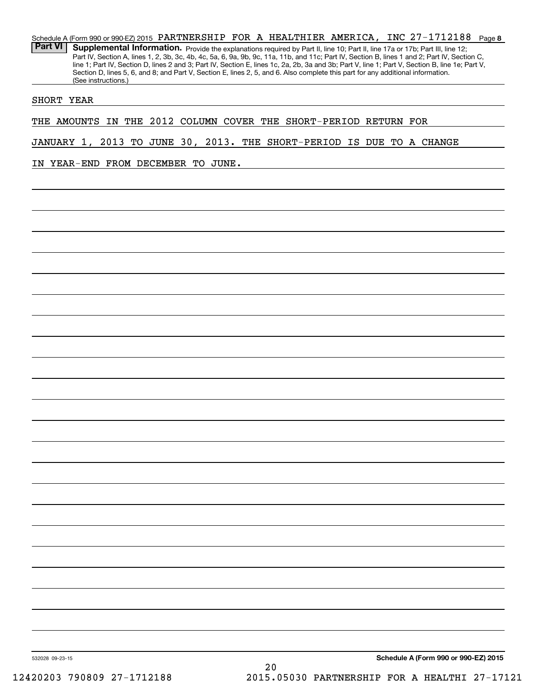27-1712188 Page 8 Schedule A (Form 990 or 990-EZ) 2015 PARTNERSHIP FOR A HEALTHIER AMERICA, INC  $27-1712188$  Page Part VI | Supplemental Information. Provide the explanations required by Part II, line 10; Part II, line 17a or 17b; Part III, line 12; Part IV, Section A, lines 1, 2, 3b, 3c, 4b, 4c, 5a, 6, 9a, 9b, 9c, 11a, 11b, and 11c; Part IV, Section B, lines 1 and 2; Part IV, Section C, line 1; Part IV, Section D, lines 2 and 3; Part IV, Section E, lines 1c, 2a, 2b, 3a and 3b; Part V, line 1; Part V, Section B, line 1e; Part V, Section D, lines 5, 6, and 8; and Part V, Section E, lines 2, 5, and 6. Also complete this part for any additional information. (See instructions.)

### SHORT YEAR

THE AMOUNTS IN THE 2012 COLUMN COVER THE SHORT-PERIOD RETURN FOR

JANUARY 1, 2013 TO JUNE 30, 2013. THE SHORT-PERIOD IS DUE TO A CHANGE

IN YEAR-END FROM DECEMBER TO JUNE.

Schedule A (Form 990 or 990-EZ) 2015

532028 09-23-15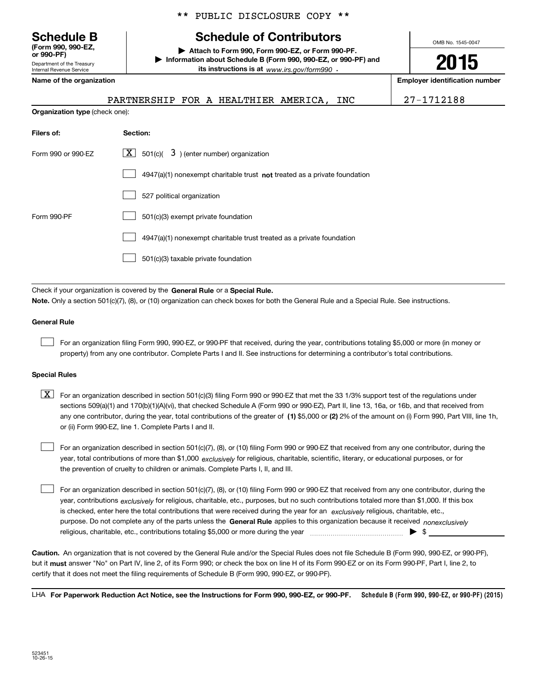Department of the Treasury Internal Revenue Service (Form 990, 990-EZ, \*\* PUBLIC DISCLOSURE COPY \*\*

## Schedule B Schedule of Contributors

Attach to Form 990, Form 990-EZ, or Form 990-PF. | Information about Schedule B (Form 990, 990-EZ, or 990-PF) and its instructions is at www.irs.gov/form990.

Name of the organization extensive properties and the organization number of the organization number

Organization type (check one):

PARTNERSHIP FOR A HEALTHIER AMERICA, INC 27-1712188

OMB No. 1545-0047

2015

| Filers of:         | Section:                                                                    |
|--------------------|-----------------------------------------------------------------------------|
| Form 990 or 990-EZ | $\lfloor x \rfloor$ 501(c)( 3) (enter number) organization                  |
|                    | $4947(a)(1)$ nonexempt charitable trust not treated as a private foundation |
|                    | 527 political organization                                                  |
| Form 990-PF        | 501(c)(3) exempt private foundation                                         |
|                    | 4947(a)(1) nonexempt charitable trust treated as a private foundation       |
|                    | 501(c)(3) taxable private foundation                                        |

Check if your organization is covered by the General Rule or a Special Rule. Note. Only a section 501(c)(7), (8), or (10) organization can check boxes for both the General Rule and a Special Rule. See instructions.

#### General Rule

 $\begin{array}{c} \hline \end{array}$ 

 $\begin{array}{c} \hline \end{array}$ 

For an organization filing Form 990, 990-EZ, or 990-PF that received, during the year, contributions totaling \$5,000 or more (in money or property) from any one contributor. Complete Parts I and II. See instructions for determining a contributor's total contributions.

#### Special Rules

any one contributor, during the year, total contributions of the greater of (1) \$5,000 or (2) 2% of the amount on (i) Form 990, Part VIII, line 1h,  $\boxed{\textbf{X}}$  For an organization described in section 501(c)(3) filing Form 990 or 990-EZ that met the 33 1/3% support test of the regulations under sections 509(a)(1) and 170(b)(1)(A)(vi), that checked Schedule A (Form 990 or 990-EZ), Part II, line 13, 16a, or 16b, and that received from or (ii) Form 990-EZ, line 1. Complete Parts I and II.

year, total contributions of more than \$1,000 *exclusively* for religious, charitable, scientific, literary, or educational purposes, or for For an organization described in section 501(c)(7), (8), or (10) filing Form 990 or 990-EZ that received from any one contributor, during the the prevention of cruelty to children or animals. Complete Parts I, II, and III.  $\begin{array}{c} \hline \end{array}$ 

purpose. Do not complete any of the parts unless the General Rule applies to this organization because it received nonexclusively year, contributions <sub>exclusively</sub> for religious, charitable, etc., purposes, but no such contributions totaled more than \$1,000. If this box is checked, enter here the total contributions that were received during the year for an exclusively religious, charitable, etc., For an organization described in section 501(c)(7), (8), or (10) filing Form 990 or 990-EZ that received from any one contributor, during the religious, charitable, etc., contributions totaling \$5,000 or more during the year  $\Box$ — $\Box$   $\Box$ 

Caution. An organization that is not covered by the General Rule and/or the Special Rules does not file Schedule B (Form 990, 990-EZ, or 990-PF), but it **must** answer "No" on Part IV, line 2, of its Form 990; or check the box on line H of its Form 990-EZ or on its Form 990-PF, Part I, line 2, to certify that it does not meet the filing requirements of Schedule B (Form 990, 990-EZ, or 990-PF).

Schedule B (Form 990, 990-EZ, or 990-PF) (2015) LHA For Paperwork Reduction Act Notice, see the Instructions for Form 990, 990-EZ, or 990-PF.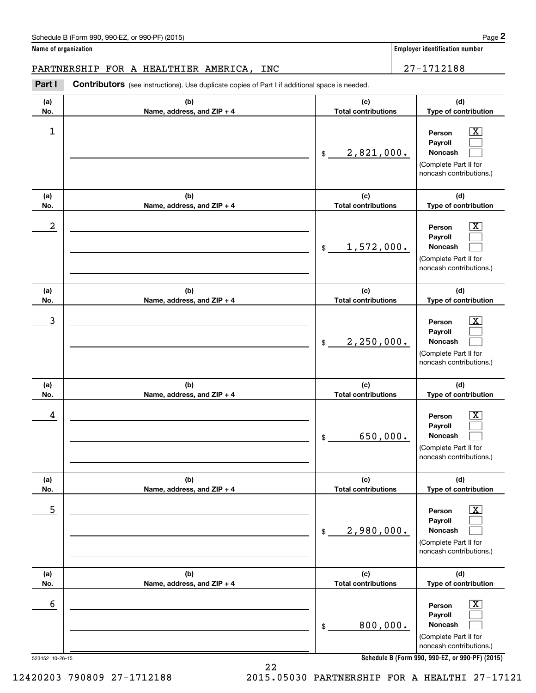PARTNERSHIP FOR A HEALTHIER AMERICA, INC 27-1712188

| Part I               | Contributors (see instructions). Use duplicate copies of Part I if additional space is needed. |                                   |                                                                                                                                                                |
|----------------------|------------------------------------------------------------------------------------------------|-----------------------------------|----------------------------------------------------------------------------------------------------------------------------------------------------------------|
| (a)<br>No.           | (b)<br>Name, address, and ZIP + 4                                                              | (c)<br><b>Total contributions</b> | (d)<br>Type of contribution                                                                                                                                    |
| 1                    |                                                                                                | 2,821,000.<br>$\frac{1}{2}$       | $\boxed{\text{X}}$<br>Person<br>Payroll<br>Noncash<br>(Complete Part II for<br>noncash contributions.)                                                         |
| (a)<br>No.           | (b)<br>Name, address, and ZIP + 4                                                              | (c)<br><b>Total contributions</b> | (d)<br>Type of contribution                                                                                                                                    |
| 2                    |                                                                                                | 1,572,000.<br>\$                  | $\boxed{\text{X}}$<br>Person<br>Payroll<br>Noncash<br>(Complete Part II for<br>noncash contributions.)                                                         |
| (a)<br>No.           | (b)<br>Name, address, and ZIP + 4                                                              | (c)<br><b>Total contributions</b> | (d)<br>Type of contribution                                                                                                                                    |
| 3                    |                                                                                                | 2,250,000.<br>$\frac{1}{2}$       | $\boxed{\text{X}}$<br>Person<br>Payroll<br><b>Noncash</b><br>(Complete Part II for<br>noncash contributions.)                                                  |
| (a)<br>No.           | (b)<br>Name, address, and ZIP + 4                                                              | (c)<br><b>Total contributions</b> | (d)<br>Type of contribution                                                                                                                                    |
| 4                    |                                                                                                | 650,000.<br>\$                    | $\boxed{\text{X}}$<br>Person<br>Payroll<br>Noncash<br>(Complete Part II for<br>noncash contributions.)                                                         |
| (a)<br>No.           | (b)<br>Name, address, and ZIP + 4                                                              | (c)<br><b>Total contributions</b> | (d)<br>Type of contribution                                                                                                                                    |
| $\mathbf 5$          |                                                                                                | 2,980,000.<br>$$\mathbb{S}$$      | $\boxed{\text{X}}$<br>Person<br>Payroll<br>Noncash<br>(Complete Part II for<br>noncash contributions.)                                                         |
| (a)<br>No.           | (b)<br>Name, address, and ZIP + 4                                                              | (c)<br><b>Total contributions</b> | (d)<br>Type of contribution                                                                                                                                    |
| 6<br>523452 10-26-15 |                                                                                                | 800,000.<br>\$                    | $\overline{\mathbf{X}}$<br>Person<br>Payroll<br>Noncash<br>(Complete Part II for<br>noncash contributions.)<br>Schedule B (Form 990, 990-EZ, or 990-PF) (2015) |

22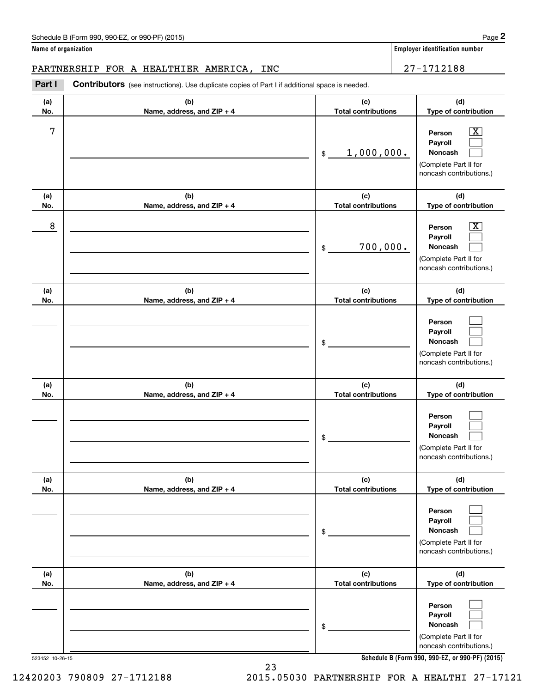PARTNERSHIP FOR A HEALTHIER AMERICA, INC  $\vert$  27-1712188

(a) No. (b) Name, address, and ZIP + 4 (c) Total contributions (d) Type of contribution Person Payroll Noncash (a) No. (b) Name, address, and ZIP + 4 (c) Total contributions (d) Type of contribution Person Payroll Noncash (a) No. (b) Name, address, and ZIP + 4 (c) Total contributions (d) Type of contribution Person Payroll Noncash (a) No. (b) Name, address, and ZIP + 4 (c) Total contributions (d) Type of contribution Person Part I Contributors (see instructions). Use duplicate copies of Part I if additional space is needed. \$ (Complete Part II for noncash contributions.) \$ (Complete Part II for noncash contributions.) \$ (Complete Part II for noncash contributions.)  $\boxed{\text{X}}$  $\begin{array}{c} \hline \end{array}$  $\begin{array}{c} \hline \end{array}$  $\boxed{\text{X}}$  $\begin{array}{c} \hline \end{array}$  $\begin{array}{c} \hline \end{array}$  $\begin{array}{c} \hline \end{array}$  $\begin{array}{c} \hline \end{array}$  $\begin{array}{c} \hline \end{array}$  $\Box$  $7$   $|$  Person  $\overline{\text{X}}$ 1,000,000.  $8$  Person  $\overline{\text{X}}$ 700,000.

|     |                            | \$                         | Payroll<br>Noncash<br>(Complete Part II for<br>noncash contributions.)                  |
|-----|----------------------------|----------------------------|-----------------------------------------------------------------------------------------|
| (a) | (b)                        | (c)                        | (d)                                                                                     |
| No. | Name, address, and ZIP + 4 | <b>Total contributions</b> | Type of contribution                                                                    |
|     |                            | \$                         | Person<br>Payroll<br><b>Noncash</b><br>(Complete Part II for<br>noncash contributions.) |
| (a) | (b)                        | (c)                        | (d)                                                                                     |
| No. | Name, address, and ZIP + 4 | <b>Total contributions</b> | Type of contribution                                                                    |
|     |                            | \$                         | Person<br>Payroll<br>Noncash<br>(Complete Part II for<br>noncash contributions.)        |

Schedule B (Form 990, 990-EZ, or 990-PF) (2015)

Page 2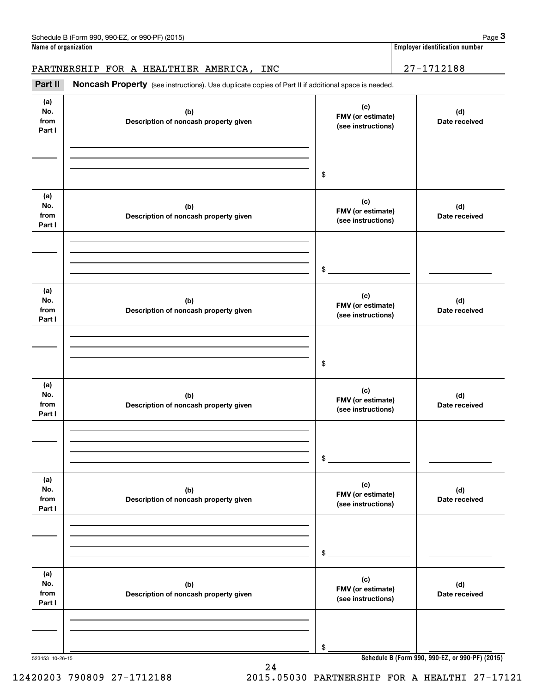# PARTNERSHIP FOR A HEALTHIER AMERICA, INC 27-1712188

Part II Noncash Property (see instructions). Use duplicate copies of Part II if additional space is needed.

| (a)<br>No.<br>from<br>Part I | (b)<br>Description of noncash property given | (c)<br>FMV (or estimate)<br>(see instructions) | (d)<br>Date received                            |
|------------------------------|----------------------------------------------|------------------------------------------------|-------------------------------------------------|
|                              |                                              |                                                |                                                 |
|                              |                                              |                                                |                                                 |
|                              |                                              | \$                                             |                                                 |
| (a)<br>No.<br>from<br>Part I | (b)<br>Description of noncash property given | (c)<br>FMV (or estimate)<br>(see instructions) | (d)<br>Date received                            |
|                              |                                              |                                                |                                                 |
|                              |                                              |                                                |                                                 |
|                              |                                              | \$                                             |                                                 |
| (a)<br>No.<br>from<br>Part I | (b)<br>Description of noncash property given | (c)<br>FMV (or estimate)<br>(see instructions) | (d)<br>Date received                            |
|                              |                                              |                                                |                                                 |
|                              |                                              |                                                |                                                 |
|                              |                                              | \$                                             |                                                 |
| (a)                          |                                              |                                                |                                                 |
| No.<br>from<br>Part I        | (b)<br>Description of noncash property given | (c)<br>FMV (or estimate)<br>(see instructions) | (d)<br>Date received                            |
|                              |                                              |                                                |                                                 |
|                              |                                              |                                                |                                                 |
|                              |                                              | \$                                             |                                                 |
| (a)                          |                                              |                                                |                                                 |
| No.<br>from<br>Part I        | (b)<br>Description of noncash property given | (c)<br>FMV (or estimate)<br>(see instructions) | (d)<br>Date received                            |
|                              |                                              |                                                |                                                 |
|                              |                                              |                                                |                                                 |
|                              |                                              | \$                                             |                                                 |
| (a)                          |                                              |                                                |                                                 |
| No.<br>from                  | (b)                                          | (c)<br>FMV (or estimate)                       | (d)                                             |
| Part I                       | Description of noncash property given        | (see instructions)                             | Date received                                   |
|                              |                                              |                                                |                                                 |
|                              |                                              |                                                |                                                 |
|                              |                                              | \$                                             |                                                 |
| 523453 10-26-15              |                                              |                                                | Schedule B (Form 990, 990-EZ, or 990-PF) (2015) |

24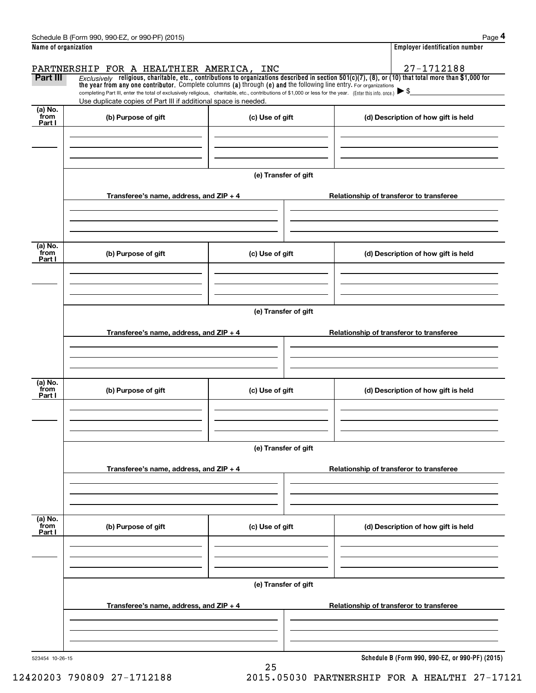| Schedule B (Form 990, 990-EZ, or 990-PF) (2015)                                | Page                                  |
|--------------------------------------------------------------------------------|---------------------------------------|
| Name of organization                                                           | <b>Employer identification number</b> |
| $-1$<br>P1.5.011777.01177.010<br>$\ddot{\phantom{a}}$<br>----- <i>--</i> ----- | 1 71 01 00                            |

 $\vert$  Employer identification number Page 4

|                           | PARTNERSHIP FOR A HEALTHIER AMERICA, INC                                                                                                                                                                                                                                        |                      |                                          | 27-1712188                          |  |  |
|---------------------------|---------------------------------------------------------------------------------------------------------------------------------------------------------------------------------------------------------------------------------------------------------------------------------|----------------------|------------------------------------------|-------------------------------------|--|--|
| Part III                  | Exclusively religious, charitable, etc., contributions to organizations described in section $501(c)(7)$ , (8), or (10) that total more than \$1,000 for<br>the year from any one contributor. Complete columns (a) through (e) and the following line entry. For organizations |                      |                                          |                                     |  |  |
|                           | completing Part III, enter the total of exclusively religious, charitable, etc., contributions of \$1,000 or less for the year. (Enter this info. once.)                                                                                                                        |                      |                                          |                                     |  |  |
| (a) No.                   | Use duplicate copies of Part III if additional space is needed.                                                                                                                                                                                                                 |                      |                                          |                                     |  |  |
| from<br>Part I            | (b) Purpose of gift                                                                                                                                                                                                                                                             | (c) Use of gift      |                                          | (d) Description of how gift is held |  |  |
|                           |                                                                                                                                                                                                                                                                                 |                      |                                          |                                     |  |  |
|                           |                                                                                                                                                                                                                                                                                 | (e) Transfer of gift |                                          |                                     |  |  |
|                           | Transferee's name, address, and $ZIP + 4$                                                                                                                                                                                                                                       |                      | Relationship of transferor to transferee |                                     |  |  |
|                           |                                                                                                                                                                                                                                                                                 |                      |                                          |                                     |  |  |
| (a) No.<br>from<br>Part I | (b) Purpose of gift                                                                                                                                                                                                                                                             | (c) Use of gift      |                                          | (d) Description of how gift is held |  |  |
|                           |                                                                                                                                                                                                                                                                                 |                      |                                          |                                     |  |  |
|                           |                                                                                                                                                                                                                                                                                 | (e) Transfer of gift |                                          |                                     |  |  |
|                           | Transferee's name, address, and $ZIP + 4$                                                                                                                                                                                                                                       |                      | Relationship of transferor to transferee |                                     |  |  |
|                           |                                                                                                                                                                                                                                                                                 |                      |                                          |                                     |  |  |
| (a) No.                   |                                                                                                                                                                                                                                                                                 |                      |                                          |                                     |  |  |
| from<br>Part I            | (b) Purpose of gift                                                                                                                                                                                                                                                             | (c) Use of gift      |                                          | (d) Description of how gift is held |  |  |
|                           |                                                                                                                                                                                                                                                                                 |                      |                                          |                                     |  |  |
|                           |                                                                                                                                                                                                                                                                                 | (e) Transfer of gift |                                          |                                     |  |  |
|                           | Transferee's name, address, and ZIP + 4                                                                                                                                                                                                                                         |                      | Relationship of transferor to transferee |                                     |  |  |
|                           |                                                                                                                                                                                                                                                                                 |                      |                                          |                                     |  |  |
| (a) No.<br>from<br>Part I | (b) Purpose of gift                                                                                                                                                                                                                                                             | (c) Use of gift      |                                          | (d) Description of how gift is held |  |  |
|                           |                                                                                                                                                                                                                                                                                 |                      |                                          |                                     |  |  |
|                           |                                                                                                                                                                                                                                                                                 | (e) Transfer of gift |                                          |                                     |  |  |
|                           | Transferee's name, address, and ZIP + 4                                                                                                                                                                                                                                         |                      | Relationship of transferor to transferee |                                     |  |  |
|                           |                                                                                                                                                                                                                                                                                 |                      |                                          |                                     |  |  |
|                           |                                                                                                                                                                                                                                                                                 |                      |                                          |                                     |  |  |

25

523454 10-26-15

Schedule B (Form 990, 990-EZ, or 990-PF) (2015)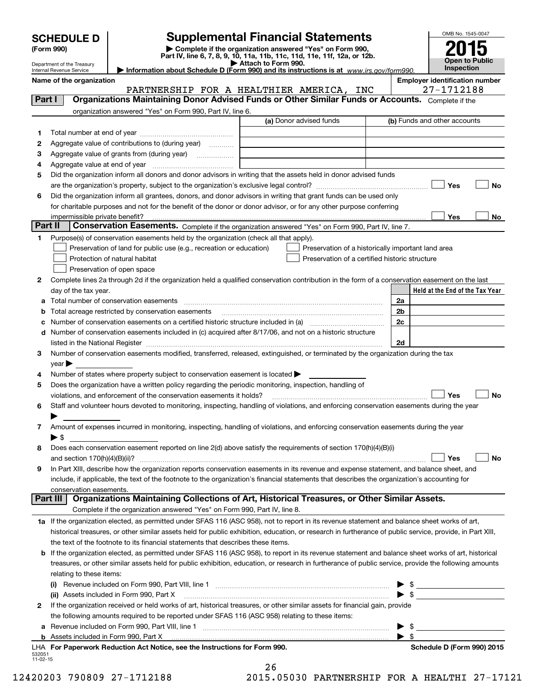(Form 990) | Complete if the organization answered "Yes" on Form 990, Part IV, line 6, 7, 8, 9, 10, 11a, 11b, 11c, 11d, 11e, 11f, 12a, or 12b. SCHEDULE D Supplemental Financial Statements<br>
Form 990) Somplete if the organization answered "Yes" on Form 990,<br>
Part IV, line 6, 7, 8, 9, 10, 11a, 11b, 11c, 11d, 11e, 11f, 12a, or 12b.



|         | Department of the Treasury<br>Internal Revenue Service                                                              |                                                                                                                                                                                                                                                | Attach to Form 990.<br>Information about Schedule D (Form 990) and its instructions is at www.irs.gov/form990. |  |                         | <b>Open to Public</b><br>Inspection |    |  |
|---------|---------------------------------------------------------------------------------------------------------------------|------------------------------------------------------------------------------------------------------------------------------------------------------------------------------------------------------------------------------------------------|----------------------------------------------------------------------------------------------------------------|--|-------------------------|-------------------------------------|----|--|
|         | <b>Employer identification number</b><br>Name of the organization                                                   |                                                                                                                                                                                                                                                |                                                                                                                |  |                         |                                     |    |  |
|         |                                                                                                                     |                                                                                                                                                                                                                                                | PARTNERSHIP FOR A HEALTHIER AMERICA, INC                                                                       |  |                         | 27-1712188                          |    |  |
| Part I  |                                                                                                                     | Organizations Maintaining Donor Advised Funds or Other Similar Funds or Accounts. Complete if the                                                                                                                                              |                                                                                                                |  |                         |                                     |    |  |
|         |                                                                                                                     | organization answered "Yes" on Form 990, Part IV, line 6.                                                                                                                                                                                      |                                                                                                                |  |                         |                                     |    |  |
|         |                                                                                                                     |                                                                                                                                                                                                                                                | (a) Donor advised funds                                                                                        |  |                         | (b) Funds and other accounts        |    |  |
| 1.      |                                                                                                                     |                                                                                                                                                                                                                                                |                                                                                                                |  |                         |                                     |    |  |
| 2       |                                                                                                                     | Aggregate value of contributions to (during year)                                                                                                                                                                                              |                                                                                                                |  |                         |                                     |    |  |
| 3       |                                                                                                                     | Aggregate value of grants from (during year)                                                                                                                                                                                                   |                                                                                                                |  |                         |                                     |    |  |
| 4       |                                                                                                                     |                                                                                                                                                                                                                                                |                                                                                                                |  |                         |                                     |    |  |
| 5       |                                                                                                                     | Did the organization inform all donors and donor advisors in writing that the assets held in donor advised funds                                                                                                                               |                                                                                                                |  |                         |                                     |    |  |
|         |                                                                                                                     |                                                                                                                                                                                                                                                |                                                                                                                |  |                         | Yes                                 | No |  |
| 6       |                                                                                                                     | Did the organization inform all grantees, donors, and donor advisors in writing that grant funds can be used only                                                                                                                              |                                                                                                                |  |                         |                                     |    |  |
|         |                                                                                                                     | for charitable purposes and not for the benefit of the donor or donor advisor, or for any other purpose conferring                                                                                                                             |                                                                                                                |  |                         |                                     |    |  |
|         | impermissible private benefit?                                                                                      |                                                                                                                                                                                                                                                |                                                                                                                |  |                         | Yes                                 | No |  |
| Part II |                                                                                                                     | Conservation Easements. Complete if the organization answered "Yes" on Form 990, Part IV, line 7.                                                                                                                                              |                                                                                                                |  |                         |                                     |    |  |
| 1       |                                                                                                                     | Purpose(s) of conservation easements held by the organization (check all that apply).                                                                                                                                                          |                                                                                                                |  |                         |                                     |    |  |
|         |                                                                                                                     | Preservation of land for public use (e.g., recreation or education)                                                                                                                                                                            | Preservation of a historically important land area                                                             |  |                         |                                     |    |  |
|         |                                                                                                                     | Protection of natural habitat                                                                                                                                                                                                                  | Preservation of a certified historic structure                                                                 |  |                         |                                     |    |  |
|         |                                                                                                                     | Preservation of open space                                                                                                                                                                                                                     |                                                                                                                |  |                         |                                     |    |  |
| 2       |                                                                                                                     | Complete lines 2a through 2d if the organization held a qualified conservation contribution in the form of a conservation easement on the last                                                                                                 |                                                                                                                |  |                         |                                     |    |  |
|         | day of the tax year.                                                                                                |                                                                                                                                                                                                                                                |                                                                                                                |  |                         | Held at the End of the Tax Year     |    |  |
| а       |                                                                                                                     | Total number of conservation easements                                                                                                                                                                                                         |                                                                                                                |  | 2a<br>2 <sub>b</sub>    |                                     |    |  |
| b       |                                                                                                                     | Total acreage restricted by conservation easements                                                                                                                                                                                             |                                                                                                                |  |                         |                                     |    |  |
| d       | 2c<br>с<br>Number of conservation easements included in (c) acquired after 8/17/06, and not on a historic structure |                                                                                                                                                                                                                                                |                                                                                                                |  |                         |                                     |    |  |
|         |                                                                                                                     | listed in the National Register [111] Marshall Register [11] Marshall Register [11] Marshall Register [11] Marshall Register [11] Marshall Register [11] Marshall Register [11] Marshall Register [11] Marshall Register [11]                  |                                                                                                                |  | 2d                      |                                     |    |  |
| З       |                                                                                                                     | Number of conservation easements modified, transferred, released, extinguished, or terminated by the organization during the tax                                                                                                               |                                                                                                                |  |                         |                                     |    |  |
|         | year                                                                                                                |                                                                                                                                                                                                                                                |                                                                                                                |  |                         |                                     |    |  |
| 4       |                                                                                                                     | Number of states where property subject to conservation easement is located                                                                                                                                                                    |                                                                                                                |  |                         |                                     |    |  |
| 5       |                                                                                                                     | Does the organization have a written policy regarding the periodic monitoring, inspection, handling of                                                                                                                                         |                                                                                                                |  |                         |                                     |    |  |
|         |                                                                                                                     | violations, and enforcement of the conservation easements it holds?                                                                                                                                                                            |                                                                                                                |  |                         | Yes                                 | No |  |
| 6       |                                                                                                                     | Staff and volunteer hours devoted to monitoring, inspecting, handling of violations, and enforcing conservation easements during the year                                                                                                      |                                                                                                                |  |                         |                                     |    |  |
|         |                                                                                                                     |                                                                                                                                                                                                                                                |                                                                                                                |  |                         |                                     |    |  |
| 7       |                                                                                                                     | Amount of expenses incurred in monitoring, inspecting, handling of violations, and enforcing conservation easements during the year                                                                                                            |                                                                                                                |  |                         |                                     |    |  |
|         | ▶ \$                                                                                                                |                                                                                                                                                                                                                                                |                                                                                                                |  |                         |                                     |    |  |
| 8       |                                                                                                                     | Does each conservation easement reported on line 2(d) above satisfy the requirements of section 170(h)(4)(B)(i)                                                                                                                                |                                                                                                                |  |                         |                                     |    |  |
|         | and section 170(h)(4)(B)(ii)?                                                                                       |                                                                                                                                                                                                                                                |                                                                                                                |  |                         | Yes                                 | No |  |
| 9       |                                                                                                                     | In Part XIII, describe how the organization reports conservation easements in its revenue and expense statement, and balance sheet, and                                                                                                        |                                                                                                                |  |                         |                                     |    |  |
|         |                                                                                                                     | include, if applicable, the text of the footnote to the organization's financial statements that describes the organization's accounting for                                                                                                   |                                                                                                                |  |                         |                                     |    |  |
|         | conservation easements.                                                                                             | Organizations Maintaining Collections of Art, Historical Treasures, or Other Similar Assets.                                                                                                                                                   |                                                                                                                |  |                         |                                     |    |  |
|         | Part III                                                                                                            |                                                                                                                                                                                                                                                |                                                                                                                |  |                         |                                     |    |  |
|         |                                                                                                                     | Complete if the organization answered "Yes" on Form 990, Part IV, line 8.                                                                                                                                                                      |                                                                                                                |  |                         |                                     |    |  |
|         |                                                                                                                     | 1a If the organization elected, as permitted under SFAS 116 (ASC 958), not to report in its revenue statement and balance sheet works of art,                                                                                                  |                                                                                                                |  |                         |                                     |    |  |
|         |                                                                                                                     | historical treasures, or other similar assets held for public exhibition, education, or research in furtherance of public service, provide, in Part XIII,                                                                                      |                                                                                                                |  |                         |                                     |    |  |
|         |                                                                                                                     | the text of the footnote to its financial statements that describes these items.                                                                                                                                                               |                                                                                                                |  |                         |                                     |    |  |
| b       |                                                                                                                     | If the organization elected, as permitted under SFAS 116 (ASC 958), to report in its revenue statement and balance sheet works of art, historical                                                                                              |                                                                                                                |  |                         |                                     |    |  |
|         |                                                                                                                     | treasures, or other similar assets held for public exhibition, education, or research in furtherance of public service, provide the following amounts                                                                                          |                                                                                                                |  |                         |                                     |    |  |
|         | relating to these items:                                                                                            |                                                                                                                                                                                                                                                |                                                                                                                |  |                         |                                     |    |  |
|         | (I)                                                                                                                 |                                                                                                                                                                                                                                                |                                                                                                                |  |                         | $\frac{1}{2}$                       |    |  |
| 2       |                                                                                                                     | (ii) Assets included in Form 990, Part X [11] Marten and Martin Martin Marten and Martin Martin Marten and Mar<br>If the organization received or held works of art, historical treasures, or other similar assets for financial gain, provide |                                                                                                                |  |                         |                                     |    |  |
|         |                                                                                                                     | the following amounts required to be reported under SFAS 116 (ASC 958) relating to these items:                                                                                                                                                |                                                                                                                |  |                         |                                     |    |  |
| а       |                                                                                                                     |                                                                                                                                                                                                                                                |                                                                                                                |  | $\frac{1}{2}$           |                                     |    |  |
|         |                                                                                                                     |                                                                                                                                                                                                                                                |                                                                                                                |  | $\blacktriangleright$ s |                                     |    |  |

LHA For Paperwork Reduction Act Notice, see the Instructions for Form 990. Shand the Schedule D (Form 990) 2015

26

532051 11-02-15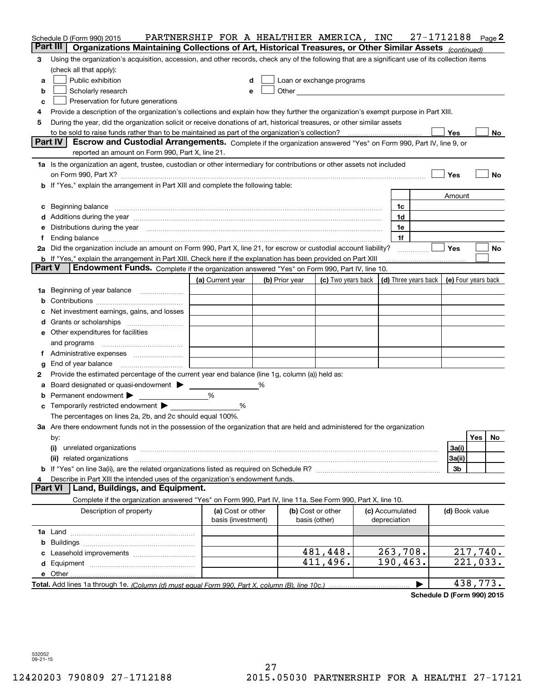|               | Schedule D (Form 990) 2015                                                                                                                                                                                                                                                                                                                           | PARTNERSHIP FOR A HEALTHIER AMERICA, INC |  |                |                                                                                                                                                                                                                               |  |                                 | 27-1712188 |                     |          | Page 2 |
|---------------|------------------------------------------------------------------------------------------------------------------------------------------------------------------------------------------------------------------------------------------------------------------------------------------------------------------------------------------------------|------------------------------------------|--|----------------|-------------------------------------------------------------------------------------------------------------------------------------------------------------------------------------------------------------------------------|--|---------------------------------|------------|---------------------|----------|--------|
|               | Part III<br>Organizations Maintaining Collections of Art, Historical Treasures, or Other Similar Assets (continued)                                                                                                                                                                                                                                  |                                          |  |                |                                                                                                                                                                                                                               |  |                                 |            |                     |          |        |
| 3             | Using the organization's acquisition, accession, and other records, check any of the following that are a significant use of its collection items                                                                                                                                                                                                    |                                          |  |                |                                                                                                                                                                                                                               |  |                                 |            |                     |          |        |
|               | (check all that apply):                                                                                                                                                                                                                                                                                                                              |                                          |  |                |                                                                                                                                                                                                                               |  |                                 |            |                     |          |        |
| а             | Public exhibition                                                                                                                                                                                                                                                                                                                                    | d                                        |  |                | Loan or exchange programs                                                                                                                                                                                                     |  |                                 |            |                     |          |        |
| b             | Scholarly research                                                                                                                                                                                                                                                                                                                                   | е                                        |  |                | Other and the contract of the contract of the contract of the contract of the contract of the contract of the contract of the contract of the contract of the contract of the contract of the contract of the contract of the |  |                                 |            |                     |          |        |
| c             | Preservation for future generations                                                                                                                                                                                                                                                                                                                  |                                          |  |                |                                                                                                                                                                                                                               |  |                                 |            |                     |          |        |
| 4             | Provide a description of the organization's collections and explain how they further the organization's exempt purpose in Part XIII.                                                                                                                                                                                                                 |                                          |  |                |                                                                                                                                                                                                                               |  |                                 |            |                     |          |        |
| 5             | During the year, did the organization solicit or receive donations of art, historical treasures, or other similar assets                                                                                                                                                                                                                             |                                          |  |                |                                                                                                                                                                                                                               |  |                                 |            |                     |          |        |
|               |                                                                                                                                                                                                                                                                                                                                                      |                                          |  |                |                                                                                                                                                                                                                               |  |                                 |            | Yes                 |          | No     |
|               | Part IV<br>Escrow and Custodial Arrangements. Complete if the organization answered "Yes" on Form 990, Part IV, line 9, or<br>reported an amount on Form 990, Part X, line 21.                                                                                                                                                                       |                                          |  |                |                                                                                                                                                                                                                               |  |                                 |            |                     |          |        |
|               |                                                                                                                                                                                                                                                                                                                                                      |                                          |  |                |                                                                                                                                                                                                                               |  |                                 |            |                     |          |        |
|               | 1a Is the organization an agent, trustee, custodian or other intermediary for contributions or other assets not included                                                                                                                                                                                                                             |                                          |  |                |                                                                                                                                                                                                                               |  |                                 |            |                     |          |        |
|               | on Form 990, Part X? [11] matter and the contract of the contract of the contract of the contract of the contract of the contract of the contract of the contract of the contract of the contract of the contract of the contr                                                                                                                       |                                          |  |                |                                                                                                                                                                                                                               |  |                                 |            | Yes                 |          | No     |
|               | b If "Yes," explain the arrangement in Part XIII and complete the following table:                                                                                                                                                                                                                                                                   |                                          |  |                |                                                                                                                                                                                                                               |  |                                 |            |                     |          |        |
|               |                                                                                                                                                                                                                                                                                                                                                      |                                          |  |                |                                                                                                                                                                                                                               |  |                                 |            | Amount              |          |        |
| c             | Beginning balance <b>contract to the contract of the contract of the contract of the contract of the contract of t</b>                                                                                                                                                                                                                               |                                          |  |                |                                                                                                                                                                                                                               |  | 1c                              |            |                     |          |        |
|               |                                                                                                                                                                                                                                                                                                                                                      |                                          |  |                |                                                                                                                                                                                                                               |  | 1d                              |            |                     |          |        |
| е             | Distributions during the year manufactured and continuum and continuum and the year manufactured and continuum                                                                                                                                                                                                                                       |                                          |  |                |                                                                                                                                                                                                                               |  | 1e<br>1f                        |            |                     |          |        |
| Ť.            | Ending balance manufactured and contract the contract of the contract of the contract of the contract of the contract of the contract of the contract of the contract of the contract of the contract of the contract of the c<br>2a Did the organization include an amount on Form 990, Part X, line 21, for escrow or custodial account liability? |                                          |  |                |                                                                                                                                                                                                                               |  |                                 |            | Yes                 |          | No     |
|               | <b>b</b> If "Yes," explain the arrangement in Part XIII. Check here if the explanation has been provided on Part XIII                                                                                                                                                                                                                                |                                          |  |                |                                                                                                                                                                                                                               |  |                                 |            |                     |          |        |
| <b>Part V</b> | Endowment Funds. Complete if the organization answered "Yes" on Form 990, Part IV, line 10.                                                                                                                                                                                                                                                          |                                          |  |                |                                                                                                                                                                                                                               |  |                                 |            |                     |          |        |
|               |                                                                                                                                                                                                                                                                                                                                                      | (a) Current year                         |  | (b) Prior year | (c) Two years back $\vert$ (d) Three years back $\vert$                                                                                                                                                                       |  |                                 |            | (e) Four years back |          |        |
|               | 1a Beginning of year balance                                                                                                                                                                                                                                                                                                                         |                                          |  |                |                                                                                                                                                                                                                               |  |                                 |            |                     |          |        |
| b             |                                                                                                                                                                                                                                                                                                                                                      |                                          |  |                |                                                                                                                                                                                                                               |  |                                 |            |                     |          |        |
|               | Net investment earnings, gains, and losses                                                                                                                                                                                                                                                                                                           |                                          |  |                |                                                                                                                                                                                                                               |  |                                 |            |                     |          |        |
| d             |                                                                                                                                                                                                                                                                                                                                                      |                                          |  |                |                                                                                                                                                                                                                               |  |                                 |            |                     |          |        |
|               | <b>e</b> Other expenditures for facilities                                                                                                                                                                                                                                                                                                           |                                          |  |                |                                                                                                                                                                                                                               |  |                                 |            |                     |          |        |
|               | and programs                                                                                                                                                                                                                                                                                                                                         |                                          |  |                |                                                                                                                                                                                                                               |  |                                 |            |                     |          |        |
| Ť.            |                                                                                                                                                                                                                                                                                                                                                      |                                          |  |                |                                                                                                                                                                                                                               |  |                                 |            |                     |          |        |
| g             | End of year balance                                                                                                                                                                                                                                                                                                                                  |                                          |  |                |                                                                                                                                                                                                                               |  |                                 |            |                     |          |        |
| 2             | Provide the estimated percentage of the current year end balance (line 1g, column (a)) held as:                                                                                                                                                                                                                                                      |                                          |  |                |                                                                                                                                                                                                                               |  |                                 |            |                     |          |        |
| а             | Board designated or quasi-endowment > _____                                                                                                                                                                                                                                                                                                          |                                          |  |                |                                                                                                                                                                                                                               |  |                                 |            |                     |          |        |
| b             | Permanent endowment                                                                                                                                                                                                                                                                                                                                  | %                                        |  |                |                                                                                                                                                                                                                               |  |                                 |            |                     |          |        |
| с             | Temporarily restricted endowment ▶                                                                                                                                                                                                                                                                                                                   | %                                        |  |                |                                                                                                                                                                                                                               |  |                                 |            |                     |          |        |
|               | The percentages on lines 2a, 2b, and 2c should equal 100%.                                                                                                                                                                                                                                                                                           |                                          |  |                |                                                                                                                                                                                                                               |  |                                 |            |                     |          |        |
|               | 3a Are there endowment funds not in the possession of the organization that are held and administered for the organization                                                                                                                                                                                                                           |                                          |  |                |                                                                                                                                                                                                                               |  |                                 |            |                     |          |        |
|               | by:                                                                                                                                                                                                                                                                                                                                                  |                                          |  |                |                                                                                                                                                                                                                               |  |                                 |            |                     | Yes      | No.    |
|               | (i)                                                                                                                                                                                                                                                                                                                                                  |                                          |  |                |                                                                                                                                                                                                                               |  |                                 |            | 3a(i)               |          |        |
|               |                                                                                                                                                                                                                                                                                                                                                      |                                          |  |                |                                                                                                                                                                                                                               |  |                                 |            | 3a(ii)              |          |        |
|               |                                                                                                                                                                                                                                                                                                                                                      |                                          |  |                |                                                                                                                                                                                                                               |  |                                 |            | 3b                  |          |        |
| 4             | Describe in Part XIII the intended uses of the organization's endowment funds.                                                                                                                                                                                                                                                                       |                                          |  |                |                                                                                                                                                                                                                               |  |                                 |            |                     |          |        |
|               | Land, Buildings, and Equipment.<br><b>Part VI</b>                                                                                                                                                                                                                                                                                                    |                                          |  |                |                                                                                                                                                                                                                               |  |                                 |            |                     |          |        |
|               | Complete if the organization answered "Yes" on Form 990, Part IV, line 11a. See Form 990, Part X, line 10.                                                                                                                                                                                                                                           |                                          |  |                |                                                                                                                                                                                                                               |  |                                 |            |                     |          |        |
|               | Description of property                                                                                                                                                                                                                                                                                                                              | (a) Cost or other<br>basis (investment)  |  |                | (b) Cost or other<br>basis (other)                                                                                                                                                                                            |  | (c) Accumulated<br>depreciation |            | (d) Book value      |          |        |
|               |                                                                                                                                                                                                                                                                                                                                                      |                                          |  |                |                                                                                                                                                                                                                               |  |                                 |            |                     |          |        |
|               |                                                                                                                                                                                                                                                                                                                                                      |                                          |  |                |                                                                                                                                                                                                                               |  |                                 |            |                     |          |        |
| c             |                                                                                                                                                                                                                                                                                                                                                      |                                          |  |                | 481,448.                                                                                                                                                                                                                      |  | 263,708.                        |            |                     | 217,740. |        |
|               |                                                                                                                                                                                                                                                                                                                                                      |                                          |  |                | 411,496.                                                                                                                                                                                                                      |  | 190, 463.                       |            |                     | 221,033. |        |
|               |                                                                                                                                                                                                                                                                                                                                                      |                                          |  |                |                                                                                                                                                                                                                               |  |                                 |            |                     |          |        |
|               |                                                                                                                                                                                                                                                                                                                                                      |                                          |  |                |                                                                                                                                                                                                                               |  |                                 |            | 438,773.            |          |        |

Schedule D (Form 990) 2015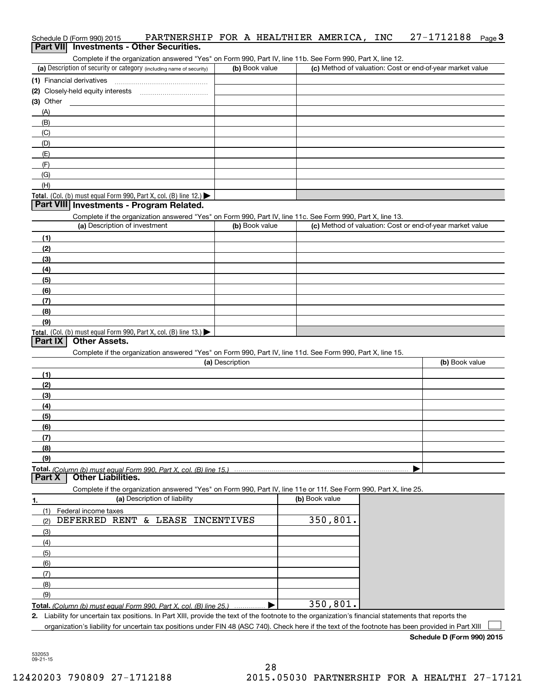| Schedule D (Form 990) 2015 | PARTNERSHIP FOR A HEALTHIER AMERICA, INC 27-1712188 Page 3 |  |  |  |  |
|----------------------------|------------------------------------------------------------|--|--|--|--|
|                            | Part VII Investments - Other Securities.                   |  |  |  |  |

Complete if the organization answered "Yes" on Form 990, Part IV, line 11b. See Form 990, Part X, line 12.

| (a) Description of security or category (including name of security) | (b) Book value | (c) Method of valuation: Cost or end-of-year market value |
|----------------------------------------------------------------------|----------------|-----------------------------------------------------------|
| (1) Financial derivatives                                            |                |                                                           |
| (2) Closely-held equity interests                                    |                |                                                           |
| $(3)$ Other                                                          |                |                                                           |
| (A)                                                                  |                |                                                           |
| (B)                                                                  |                |                                                           |
| (C)                                                                  |                |                                                           |
| (D)                                                                  |                |                                                           |
| (E)                                                                  |                |                                                           |
| (F)                                                                  |                |                                                           |
| (G)                                                                  |                |                                                           |
| (H)                                                                  |                |                                                           |
| Total. (Col. (b) must equal Form 990, Part X, col. (B) line 12.)     |                |                                                           |

#### **Part VIII Investments - Program Related.**

Complete if the organization answered "Yes" on Form 990, Part IV, line 11c. See Form 990, Part X, line 13.

| (a) Description of investment                                       | (b) Book value | (c) Method of valuation: Cost or end-of-year market value |
|---------------------------------------------------------------------|----------------|-----------------------------------------------------------|
| (1)                                                                 |                |                                                           |
| (2)                                                                 |                |                                                           |
| (3)                                                                 |                |                                                           |
| (4)                                                                 |                |                                                           |
| $\frac{1}{2}$                                                       |                |                                                           |
| (6)                                                                 |                |                                                           |
| (7)                                                                 |                |                                                           |
| (8)                                                                 |                |                                                           |
| (9)                                                                 |                |                                                           |
| Total. (Col. (b) must equal Form 990, Part X, col. (B) line $13.$ ) |                |                                                           |

## **Part IX Other Assets.**

Complete if the organization answered "Yes" on Form 990, Part IV, line 11d. See Form 990, Part X, line 15.

| (a) Description   | (b) Book value |
|-------------------|----------------|
| (1)               |                |
| (2)               |                |
| $\frac{1}{2}$     |                |
| (4)               |                |
| $\frac{1}{2}$ (5) |                |
| (6)               |                |
| (7)               |                |
| (8)               |                |
| (9)               |                |
|                   |                |

Part X | Other Liabilities.

Complete if the organization answered "Yes" on Form 990, Part IV, line 11e or 11f. See Form 990, Part X, line 25.

| 1.  | (a) Description of liability                                       | (b) Book value |
|-----|--------------------------------------------------------------------|----------------|
| (1) | Federal income taxes                                               |                |
| (2) | DEFERRED RENT & LEASE INCENTIVES                                   | 350,801.       |
| (3) |                                                                    |                |
| (4) |                                                                    |                |
| (5) |                                                                    |                |
| (6) |                                                                    |                |
| (7) |                                                                    |                |
| (8) |                                                                    |                |
| (9) |                                                                    |                |
|     | Total. (Column (b) must equal Form 990, Part X, col. (B) line 25.) | 350,801.       |

2. Liability for uncertain tax positions. In Part XIII, provide the text of the footnote to the organization's financial statements that reports the organization's liability for uncertain tax positions under FIN 48 (ASC 740). Check here if the text of the footnote has been provided in Part XIII  $\begin{array}{c} \hline \end{array}$ 

Schedule D (Form 990) 2015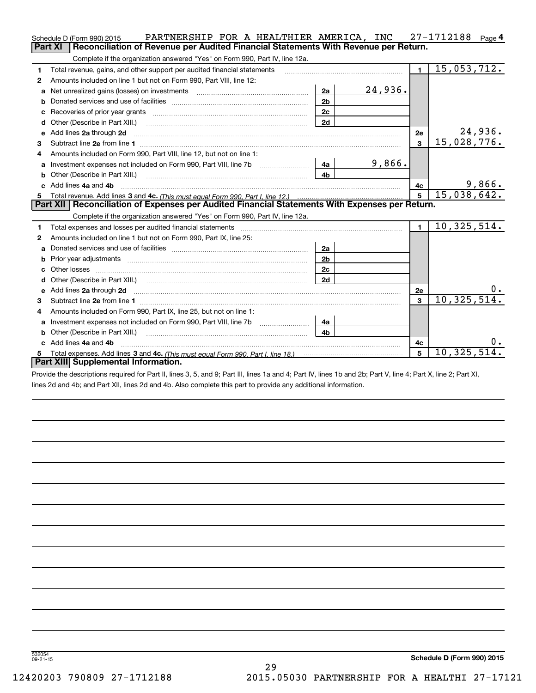| Reconciliation of Revenue per Audited Financial Statements With Revenue per Return.<br>Part XI<br>Complete if the organization answered "Yes" on Form 990, Part IV, line 12a.<br>15,053,712.<br>$\blacksquare$<br>Total revenue, gains, and other support per audited financial statements<br>1<br>Amounts included on line 1 but not on Form 990, Part VIII, line 12:<br>2 |         |
|-----------------------------------------------------------------------------------------------------------------------------------------------------------------------------------------------------------------------------------------------------------------------------------------------------------------------------------------------------------------------------|---------|
|                                                                                                                                                                                                                                                                                                                                                                             |         |
|                                                                                                                                                                                                                                                                                                                                                                             |         |
|                                                                                                                                                                                                                                                                                                                                                                             |         |
|                                                                                                                                                                                                                                                                                                                                                                             |         |
| 24,936.<br>2a<br>Net unrealized gains (losses) on investments [11] matter contracts and the unrealized gains (losses) on investments<br>a                                                                                                                                                                                                                                   |         |
| 2 <sub>b</sub><br>b                                                                                                                                                                                                                                                                                                                                                         |         |
| 2c                                                                                                                                                                                                                                                                                                                                                                          |         |
| 2d<br>d                                                                                                                                                                                                                                                                                                                                                                     |         |
| Add lines 2a through 2d<br>2е<br>e                                                                                                                                                                                                                                                                                                                                          | 24,936. |
| 15,028,776.<br>$\overline{\mathbf{3}}$<br>3                                                                                                                                                                                                                                                                                                                                 |         |
| Amounts included on Form 990, Part VIII, line 12, but not on line 1:<br>4                                                                                                                                                                                                                                                                                                   |         |
| 9,866.<br>4a<br>a                                                                                                                                                                                                                                                                                                                                                           |         |
| 4 <sub>b</sub>                                                                                                                                                                                                                                                                                                                                                              |         |
| Add lines 4a and 4b<br>c.<br>4с                                                                                                                                                                                                                                                                                                                                             | 9,866.  |
| 15,038,642.<br>5                                                                                                                                                                                                                                                                                                                                                            |         |
| Part XII   Reconciliation of Expenses per Audited Financial Statements With Expenses per Return.                                                                                                                                                                                                                                                                            |         |
| Complete if the organization answered "Yes" on Form 990, Part IV, line 12a.                                                                                                                                                                                                                                                                                                 |         |
| 10, 325, 514.<br>$\mathbf{1}$<br>1                                                                                                                                                                                                                                                                                                                                          |         |
| Amounts included on line 1 but not on Form 990, Part IX, line 25:<br>2                                                                                                                                                                                                                                                                                                      |         |
| 2a<br>a                                                                                                                                                                                                                                                                                                                                                                     |         |
| 2 <sub>b</sub><br>b                                                                                                                                                                                                                                                                                                                                                         |         |
| 2c                                                                                                                                                                                                                                                                                                                                                                          |         |
| 2d<br>d                                                                                                                                                                                                                                                                                                                                                                     |         |
| Add lines 2a through 2d <b>must be a constructed as the constant of the constant of the constant of the construction</b><br>2е<br>е                                                                                                                                                                                                                                         | υ.      |
| 10, 325, 514.<br>$\mathbf{a}$<br>з                                                                                                                                                                                                                                                                                                                                          |         |
| Amounts included on Form 990, Part IX, line 25, but not on line 1:<br>4                                                                                                                                                                                                                                                                                                     |         |
| Investment expenses not included on Form 990, Part VIII, line 7b [1000000000000000000000000000000000<br>4a<br>a                                                                                                                                                                                                                                                             |         |
| 4 <sub>b</sub><br>Other (Describe in Part XIII.)<br>b                                                                                                                                                                                                                                                                                                                       |         |
| Add lines 4a and 4b<br>4c<br>c.                                                                                                                                                                                                                                                                                                                                             | υ.      |
| 10, 325, 514.<br>5<br>5                                                                                                                                                                                                                                                                                                                                                     |         |
| Part XIII Supplemental Information.                                                                                                                                                                                                                                                                                                                                         |         |

Provide the descriptions required for Part II, lines 3, 5, and 9; Part III, lines 1a and 4; Part IV, lines 1b and 2b; Part V, line 4; Part X, line 2; Part XI, lines 2d and 4b; and Part XII, lines 2d and 4b. Also complete this part to provide any additional information.

29

532054 09-21-15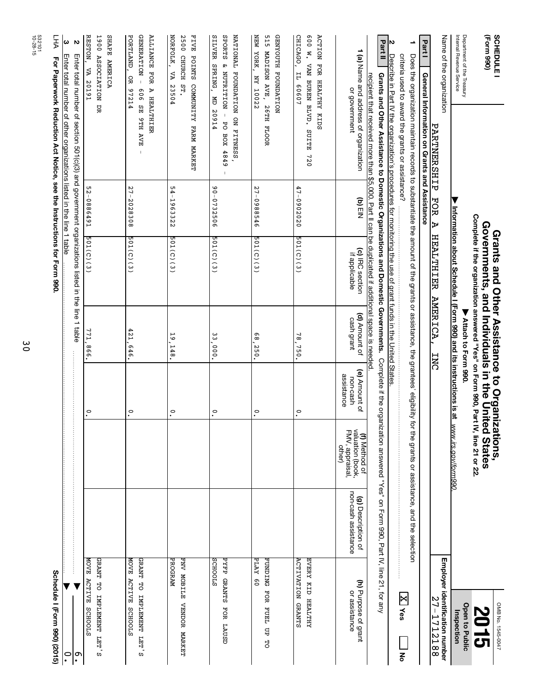| <b>SCHEDULE</b>                                             |                                                                                                                                                                          |                  | Grants and Other Assistance to Organizations,                                                                                        |                              |                                         |                                                                       |                                                                                    | OMB No. 1545-0047                             |
|-------------------------------------------------------------|--------------------------------------------------------------------------------------------------------------------------------------------------------------------------|------------------|--------------------------------------------------------------------------------------------------------------------------------------|------------------------------|-----------------------------------------|-----------------------------------------------------------------------|------------------------------------------------------------------------------------|-----------------------------------------------|
| (Form 990)                                                  |                                                                                                                                                                          |                  | Complete if the organization answered "Yes" on Form 990, Part IV, line 21 or 22<br>Governments, and Individuals in the United States |                              |                                         |                                                                       |                                                                                    | <b>2015</b>                                   |
| Department of the Treasury<br>Internal Revenue Service      |                                                                                                                                                                          |                  |                                                                                                                                      | Attach to Form 990.          |                                         |                                                                       |                                                                                    | <b>Open to Public</b>                         |
|                                                             |                                                                                                                                                                          |                  | Information about Schedule I (Form 990) and its instructions is at                                                                   |                              |                                         | www.irs.gov/form990.                                                  |                                                                                    | Inspection                                    |
| Name of the organization                                    | PARTNERSHIP                                                                                                                                                              | FOR<br>Ъ         | HEALTHIER                                                                                                                            | <b>ANERICA</b><br><b>INC</b> |                                         |                                                                       |                                                                                    | Employer identification number<br>27-1712188  |
| Part <sup>1</sup>                                           | General Information on Grants and Assistance                                                                                                                             |                  |                                                                                                                                      |                              |                                         |                                                                       |                                                                                    |                                               |
|                                                             | Does the organization maintain records to substantiate the amount of the grants or assistance, the grantees' eligibility                                                 |                  |                                                                                                                                      |                              |                                         |                                                                       | for the grants or assistance, and the selection                                    |                                               |
|                                                             | criteria used to award the grants or assistance?                                                                                                                         |                  |                                                                                                                                      |                              |                                         |                                                                       |                                                                                    | $ \mathbf{X} $ yes<br>종                       |
| N                                                           | <u>Describe in Part IV the organization's procedures for monitoring the use of grant funds in the United States</u>                                                      |                  |                                                                                                                                      |                              |                                         |                                                                       |                                                                                    |                                               |
| Part II                                                     | Grants and Other Assistance to Domestic Organizations and Domestic Governments.                                                                                          |                  |                                                                                                                                      |                              |                                         |                                                                       | Complete if the organization answered "Yes" on Form 990, Part IV, line 21, for any |                                               |
|                                                             | recipient that received more than \$5,000. Part II can be duplicated if additional space is needec                                                                       |                  |                                                                                                                                      |                              |                                         |                                                                       |                                                                                    |                                               |
|                                                             | 1 (a) Name and address of organization<br>or government                                                                                                                  | $\mathbf{p}$ EIN | (c) IRC section<br>if applicable                                                                                                     | (d) Amount of<br>cash grant  | (e) Amount of<br>assistance<br>non-cash | <b>(f)</b> Method of<br>valuation (book,<br>FMV, appraisal,<br>other) | non-cash assistance<br>(g) Description of                                          | (h) Purpose of grant<br>or assistance         |
| <b>ACTION FOR</b><br>HEALTHY KIDS                           |                                                                                                                                                                          |                  |                                                                                                                                      |                              |                                         |                                                                       |                                                                                    |                                               |
| 600W.<br>CHICAGO,<br>VAN BUREN BLVD.<br>Ħ<br>60607          | <b>SUITE</b><br>720                                                                                                                                                      | $47 - 0902020$   | 501(C)(3)                                                                                                                            | $\approx$<br>750.            | $\cdot^{\circ}$                         |                                                                       |                                                                                    | <b>ACTIVATION GRANTS</b><br>EVERY KID HEALTHY |
| 515<br><b>GENYOUTH FOUNDATION</b><br>MADISON AVE,           | 26TH<br><b>FLOOR</b>                                                                                                                                                     |                  |                                                                                                                                      |                              |                                         |                                                                       |                                                                                    | <b>FUNDING</b><br>FOR FUEL UP<br>5D           |
| <b>MEN</b><br>YORK,<br>ZZ001 ZN                             |                                                                                                                                                                          | 27-09885<br>46   | 501(0)(3)                                                                                                                            | 89<br>250.                   | .°                                      |                                                                       |                                                                                    | <b>DPLAY 60</b>                               |
| SPORTS<br><b>NATIONAL</b><br>ጽ<br><b>NOTTRITRUN</b>         | <b>FOUNDATION ON FITNESS</b><br>$\bar{1}$<br>ЪO<br>BOX<br>4849                                                                                                           |                  |                                                                                                                                      |                              |                                         |                                                                       |                                                                                    | PYFP GRANTS<br>FOR LAUSD                      |
| SILVER SPRING                                               | <b>PT60Z CIN</b>                                                                                                                                                         | 90-0732506       | 501(C)(3)                                                                                                                            | ω<br>000                     | .°                                      |                                                                       |                                                                                    | <b>SCHOOLS</b>                                |
| <b>FIVE</b><br>POINTS<br>COMMUNITY                          | <b>FARM MARKET</b>                                                                                                                                                       |                  |                                                                                                                                      |                              |                                         |                                                                       |                                                                                    |                                               |
| NORFOLK,<br>2500<br>CHURCH<br><b>NA</b><br>임<br>년.<br>23504 |                                                                                                                                                                          | 54-1963322       | 501 (C) (3)                                                                                                                          | 5<br>148                     | $\tilde{\cdot}$                         |                                                                       |                                                                                    | <b>PROGRAM</b><br>FNN KOBILE VENDOR KARKEL    |
| <b>ALLIANCE FOR</b><br>A HEALTHIER                          |                                                                                                                                                                          |                  |                                                                                                                                      |                              |                                         |                                                                       |                                                                                    |                                               |
| GENERATION -<br>909<br>SЕ                                   | <b>STH AVE</b>                                                                                                                                                           |                  |                                                                                                                                      |                              |                                         |                                                                       |                                                                                    | GRANT TO IMPLEMENT LET'S                      |
| PORTLAND<br>ЯÓ<br>97214                                     |                                                                                                                                                                          | 27-2028308       | 501(C)(3)                                                                                                                            | 121<br>979                   | .°                                      |                                                                       |                                                                                    | MOVE ACTIVE SCHOOLS                           |
| SHAPE<br><b>AMERICA</b>                                     |                                                                                                                                                                          |                  |                                                                                                                                      |                              |                                         |                                                                       |                                                                                    |                                               |
| 1900 ASSOCIATION<br>묘                                       |                                                                                                                                                                          |                  |                                                                                                                                      |                              |                                         |                                                                       |                                                                                    | GRANT TO IMPLEMENT LET'S                      |
| <b>RESTON</b><br>VA 20191                                   |                                                                                                                                                                          | 52-0886491       | 501(C)(3)                                                                                                                            | 771<br>98                    | <u>ຸ</u>                                |                                                                       |                                                                                    | MOVE ACTIVE SCHOOLS<br>,<br>ა                 |
| ω<br>N                                                      | Enter total number of other organizations listed in the line 1 table<br>Enter total number of section 501 (c)(3) and government organizations listed in the line 1 table |                  |                                                                                                                                      |                              |                                         |                                                                       |                                                                                    | $\overset{\circ}{\cdot}$                      |
| F                                                           | For Paperwork Reduction Act Notice, see the Instructions for Form 990.                                                                                                   |                  |                                                                                                                                      |                              |                                         |                                                                       |                                                                                    | Schedule I (Form 990) (2015)                  |
| 532101                                                      |                                                                                                                                                                          |                  |                                                                                                                                      |                              |                                         |                                                                       |                                                                                    |                                               |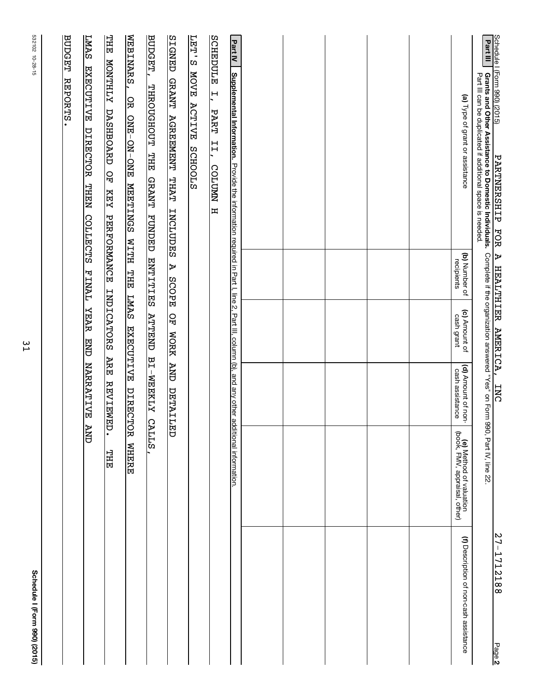| <u>Schedule I (Form 990) (2015)</u><br>PARTNERSHIP FOR                                                                                                                                   |                             | <u>A HEALTHIER AMERICA,</u>                          | <b>INC</b>                            |                                                          | 27-1712188<br>Page 2                   |
|------------------------------------------------------------------------------------------------------------------------------------------------------------------------------------------|-----------------------------|------------------------------------------------------|---------------------------------------|----------------------------------------------------------|----------------------------------------|
| Part III<br><b>Grants and Other Assistance to Domestic Individuals.</b> Complete if the organization answered "Yes" on Form<br>Part III can be duplicated if additional space is needed. |                             |                                                      |                                       | 990, Part IV, line 22.                                   |                                        |
| (a) Type of grant or assistance                                                                                                                                                          | (b) Number of<br>recipients | (c) Amount of<br>cash grant                          | (d) Amount of non-<br>cash assistance | (e) Method of valuation<br>(book, FMV, appraisal, other) | (f) Description of non-cash assistance |
|                                                                                                                                                                                          |                             |                                                      |                                       |                                                          |                                        |
|                                                                                                                                                                                          |                             |                                                      |                                       |                                                          |                                        |
|                                                                                                                                                                                          |                             |                                                      |                                       |                                                          |                                        |
|                                                                                                                                                                                          |                             |                                                      |                                       |                                                          |                                        |
|                                                                                                                                                                                          |                             |                                                      |                                       |                                                          |                                        |
| Part IV<br>Supplemental Information. Provide the information required in Part I, line 2, Part III, column (b), and any other additional information.                                     |                             |                                                      |                                       |                                                          |                                        |
| <b>LET'S</b><br>SCHEDULE<br><b>NOVE</b><br>$\overline{H}$<br><b>ACTIVE</b><br><b>PART</b><br>II,<br><b>SCHOOLS</b><br><b>COLUMN</b><br>$\mathbf{H}$                                      |                             |                                                      |                                       |                                                          |                                        |
| <b>SIGNED</b><br><b>GRANT</b><br><b>AGREEMENT THAT</b><br><b>INCLUDES</b>                                                                                                                | А<br><b>SCOPE</b>           | 오<br>먼<br><b>NORK</b>                                | <b>CINY</b><br><b>DETAILED</b>        |                                                          |                                        |
| <b>BUDGET,</b><br>THROUGHOUT THE<br><b>GRANT</b><br><b>FUNDED</b>                                                                                                                        | <b>ENTITIES</b>             | <b>ATTEND</b>                                        | <b>BI-WEEKLY</b>                      | <b>CALLS</b>                                             |                                        |
| WEBINARS,<br><b>THE</b><br><b>ATHLMON</b><br>OR<br><b>DASHBOARD</b><br>ONE-ON-ONE<br>요<br>모<br><b>NRETINGS</b><br><b>KEY</b>                                                             | PERFORMANCE<br>WITH THE     | <b>INDICATORS</b><br><b>LMAS</b><br><b>EXECUTIVE</b> | <b>ARE</b><br><b>REVIEW</b>           | DIRECTOR WHERE<br>ED.<br>HH                              |                                        |
| <b>LMAS</b><br><b>EXECUTIVE</b><br><b>DIRECTOR</b><br><b>NEEKL</b><br>COLLECTS                                                                                                           | <b>TVNTH</b>                | <b>HARR</b><br><b>ENE</b>                            | <b>NARRATIVE</b>                      | <b>CNY</b>                                               |                                        |
| <b>BUDGET</b><br>REPORTS.                                                                                                                                                                |                             |                                                      |                                       |                                                          |                                        |
|                                                                                                                                                                                          |                             |                                                      |                                       |                                                          |                                        |

31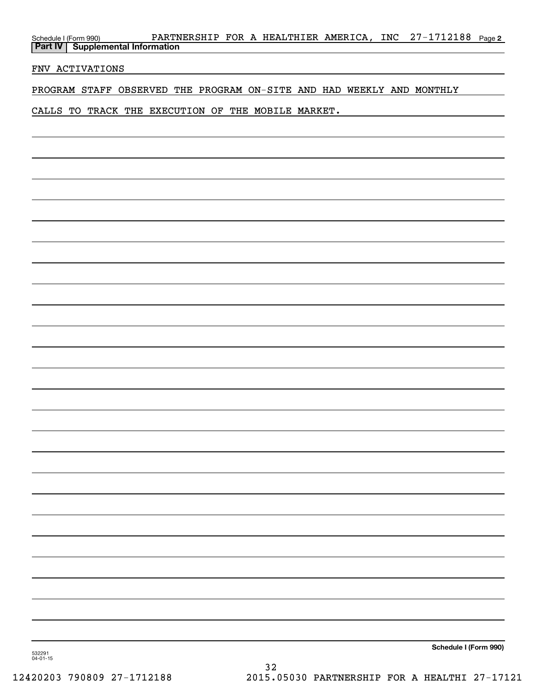| Schedule I (Form 990) PARTNERSHIP FOR A HEALTHIER AMERICA, INC 27-1712188 Page 2<br>Part IV Supplemental Information |
|----------------------------------------------------------------------------------------------------------------------|
| FNV ACTIVATIONS                                                                                                      |
| PROGRAM STAFF OBSERVED THE PROGRAM ON-SITE AND HAD WEEKLY AND MONTHLY                                                |
| CALLS TO TRACK THE EXECUTION OF THE MOBILE MARKET.                                                                   |
|                                                                                                                      |
|                                                                                                                      |
|                                                                                                                      |
|                                                                                                                      |
|                                                                                                                      |
|                                                                                                                      |
|                                                                                                                      |
|                                                                                                                      |
|                                                                                                                      |
|                                                                                                                      |
|                                                                                                                      |
|                                                                                                                      |
|                                                                                                                      |
|                                                                                                                      |
|                                                                                                                      |
|                                                                                                                      |
|                                                                                                                      |
|                                                                                                                      |
|                                                                                                                      |
|                                                                                                                      |
|                                                                                                                      |
|                                                                                                                      |
|                                                                                                                      |
|                                                                                                                      |
|                                                                                                                      |
| Schedule I (Form 990)<br>532291                                                                                      |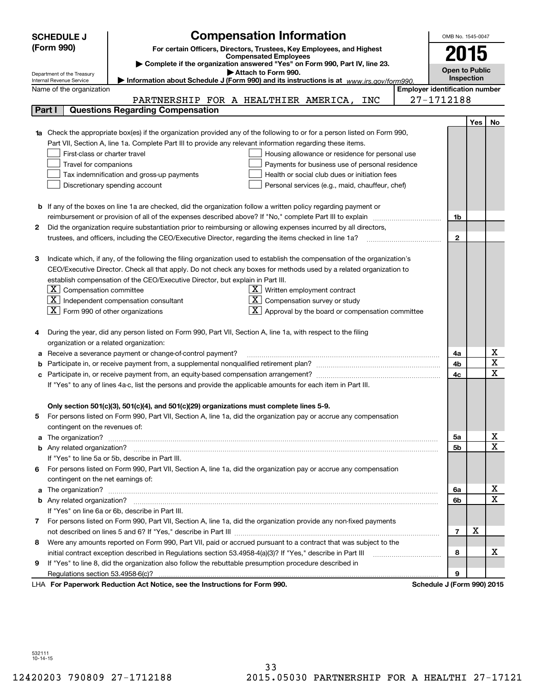|        | <b>Compensation Information</b><br><b>SCHEDULE J</b>                                                                                              |                                       | OMB No. 1545-0047     |     |             |
|--------|---------------------------------------------------------------------------------------------------------------------------------------------------|---------------------------------------|-----------------------|-----|-------------|
|        | (Form 990)<br>For certain Officers, Directors, Trustees, Key Employees, and Highest                                                               |                                       |                       |     |             |
|        | <b>Compensated Employees</b>                                                                                                                      |                                       | 2015                  |     |             |
|        | Complete if the organization answered "Yes" on Form 990, Part IV, line 23.<br>Attach to Form 990.                                                 |                                       | <b>Open to Public</b> |     |             |
|        | Department of the Treasury<br>Information about Schedule J (Form 990) and its instructions is at www.irs.gov/form990.<br>Internal Revenue Service |                                       | Inspection            |     |             |
|        | Name of the organization                                                                                                                          | <b>Employer identification number</b> |                       |     |             |
|        | PARTNERSHIP FOR A HEALTHIER AMERICA, INC                                                                                                          | 27-1712188                            |                       |     |             |
| Part I | <b>Questions Regarding Compensation</b>                                                                                                           |                                       |                       |     |             |
|        |                                                                                                                                                   |                                       |                       | Yes | No          |
|        | Check the appropriate box(es) if the organization provided any of the following to or for a person listed on Form 990,                            |                                       |                       |     |             |
|        | Part VII, Section A, line 1a. Complete Part III to provide any relevant information regarding these items.                                        |                                       |                       |     |             |
|        | First-class or charter travel<br>Housing allowance or residence for personal use                                                                  |                                       |                       |     |             |
|        | Travel for companions<br>Payments for business use of personal residence                                                                          |                                       |                       |     |             |
|        | Tax indemnification and gross-up payments<br>Health or social club dues or initiation fees                                                        |                                       |                       |     |             |
|        | Discretionary spending account<br>Personal services (e.g., maid, chauffeur, chef)                                                                 |                                       |                       |     |             |
|        |                                                                                                                                                   |                                       |                       |     |             |
|        | <b>b</b> If any of the boxes on line 1a are checked, did the organization follow a written policy regarding payment or                            |                                       |                       |     |             |
|        | reimbursement or provision of all of the expenses described above? If "No," complete Part III to explain                                          |                                       | 1b                    |     |             |
| 2      | Did the organization require substantiation prior to reimbursing or allowing expenses incurred by all directors,                                  |                                       |                       |     |             |
|        | trustees, and officers, including the CEO/Executive Director, regarding the items checked in line 1a?                                             |                                       | $\mathbf{2}$          |     |             |
|        |                                                                                                                                                   |                                       |                       |     |             |
| З      | Indicate which, if any, of the following the filing organization used to establish the compensation of the organization's                         |                                       |                       |     |             |
|        | CEO/Executive Director. Check all that apply. Do not check any boxes for methods used by a related organization to                                |                                       |                       |     |             |
|        | establish compensation of the CEO/Executive Director, but explain in Part III.                                                                    |                                       |                       |     |             |
|        | $ \mathbf{X} $ Compensation committee<br>$\underline{\mathbf{X}}$ Written employment contract                                                     |                                       |                       |     |             |
|        | $\boxed{\text{X}}$ Independent compensation consultant<br>$X$ Compensation survey or study                                                        |                                       |                       |     |             |
|        | $\boxed{\text{X}}$ Form 990 of other organizations<br>$\boxed{\textbf{X}}$ Approval by the board or compensation committee                        |                                       |                       |     |             |
|        |                                                                                                                                                   |                                       |                       |     |             |
|        | During the year, did any person listed on Form 990, Part VII, Section A, line 1a, with respect to the filing                                      |                                       |                       |     |             |
|        | organization or a related organization:                                                                                                           |                                       |                       |     | х           |
| а      | Receive a severance payment or change-of-control payment?                                                                                         |                                       | 4a                    |     | X           |
| b      |                                                                                                                                                   |                                       | 4b<br>4c              |     | X           |
| c      | Participate in, or receive payment from, an equity-based compensation arrangement?                                                                |                                       |                       |     |             |
|        | If "Yes" to any of lines 4a-c, list the persons and provide the applicable amounts for each item in Part III.                                     |                                       |                       |     |             |
|        | Only section 501(c)(3), 501(c)(4), and 501(c)(29) organizations must complete lines 5-9.                                                          |                                       |                       |     |             |
|        | For persons listed on Form 990, Part VII, Section A, line 1a, did the organization pay or accrue any compensation                                 |                                       |                       |     |             |
|        | contingent on the revenues of:                                                                                                                    |                                       |                       |     |             |
| a      |                                                                                                                                                   |                                       | 5a                    |     | x           |
|        |                                                                                                                                                   |                                       | 5b                    |     | $\mathbf X$ |
|        | If "Yes" to line 5a or 5b, describe in Part III.                                                                                                  |                                       |                       |     |             |
| 6.     | For persons listed on Form 990, Part VII, Section A, line 1a, did the organization pay or accrue any compensation                                 |                                       |                       |     |             |
|        | contingent on the net earnings of:                                                                                                                |                                       |                       |     |             |
| a      |                                                                                                                                                   |                                       | 6a                    |     | x           |
|        |                                                                                                                                                   |                                       | 6b                    |     | $\mathbf X$ |
|        | If "Yes" on line 6a or 6b, describe in Part III.                                                                                                  |                                       |                       |     |             |
|        | 7 For persons listed on Form 990, Part VII, Section A, line 1a, did the organization provide any non-fixed payments                               |                                       |                       |     |             |
|        |                                                                                                                                                   |                                       | $\overline{7}$        | х   |             |
| 8      | Were any amounts reported on Form 990, Part VII, paid or accrued pursuant to a contract that was subject to the                                   |                                       |                       |     |             |
|        | initial contract exception described in Regulations section 53.4958-4(a)(3)? If "Yes," describe in Part III                                       |                                       | 8                     |     | х           |
| 9      | If "Yes" to line 8, did the organization also follow the rebuttable presumption procedure described in                                            |                                       |                       |     |             |
|        | Regulations section 53.4958-6(c)?                                                                                                                 |                                       | 9                     |     |             |
|        | LHA For Paperwork Reduction Act Notice, see the Instructions for Form 990.                                                                        | Schedule J (Form 990) 2015            |                       |     |             |

532111 10-14-15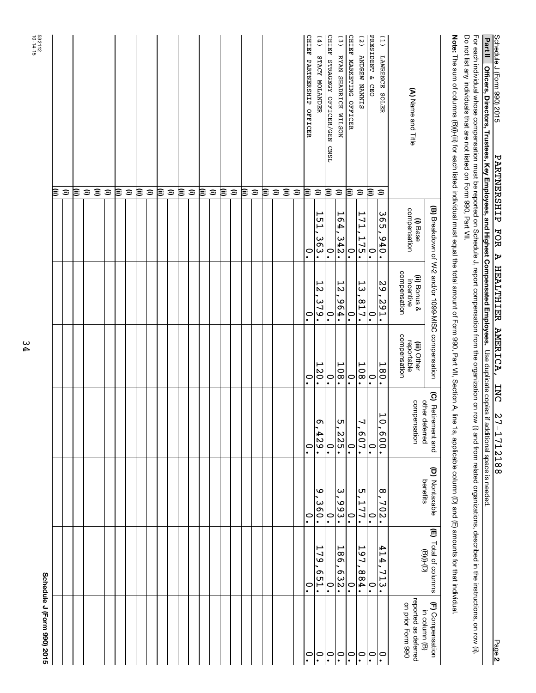| I (E 〜…… ooo) つつせ                         | <b>Cohadiila</b>                                 |                            |                                      |                                           |                                                    |                          |                                                                                                                                                                                                                                                                           |
|-------------------------------------------|--------------------------------------------------|----------------------------|--------------------------------------|-------------------------------------------|----------------------------------------------------|--------------------------|---------------------------------------------------------------------------------------------------------------------------------------------------------------------------------------------------------------------------------------------------------------------------|
|                                           |                                                  |                            |                                      |                                           |                                                    |                          | Ξ                                                                                                                                                                                                                                                                         |
|                                           |                                                  |                            |                                      |                                           |                                                    |                          | $\widehat{\phantom{a}}$                                                                                                                                                                                                                                                   |
|                                           |                                                  |                            |                                      |                                           |                                                    |                          | ⊜                                                                                                                                                                                                                                                                         |
|                                           |                                                  |                            |                                      |                                           |                                                    |                          | $\widehat{=}$                                                                                                                                                                                                                                                             |
|                                           |                                                  |                            |                                      |                                           |                                                    |                          | ≋                                                                                                                                                                                                                                                                         |
|                                           |                                                  |                            |                                      |                                           |                                                    |                          | $\widehat{\phantom{a}}$                                                                                                                                                                                                                                                   |
|                                           |                                                  |                            |                                      |                                           |                                                    |                          | ≋                                                                                                                                                                                                                                                                         |
|                                           |                                                  |                            |                                      |                                           |                                                    |                          | $\widehat{\phantom{a}}$                                                                                                                                                                                                                                                   |
|                                           |                                                  |                            |                                      |                                           |                                                    |                          | ι≣                                                                                                                                                                                                                                                                        |
|                                           |                                                  |                            |                                      |                                           |                                                    |                          | $\widehat{=}$                                                                                                                                                                                                                                                             |
|                                           |                                                  |                            |                                      |                                           |                                                    |                          | ι≣                                                                                                                                                                                                                                                                        |
|                                           |                                                  |                            |                                      |                                           |                                                    |                          | $\widehat{=}$                                                                                                                                                                                                                                                             |
|                                           |                                                  |                            |                                      |                                           |                                                    |                          | ι≣                                                                                                                                                                                                                                                                        |
|                                           |                                                  |                            |                                      |                                           |                                                    |                          | $\widehat{=}$                                                                                                                                                                                                                                                             |
|                                           |                                                  |                            |                                      |                                           |                                                    |                          | ι≣                                                                                                                                                                                                                                                                        |
|                                           |                                                  |                            |                                      |                                           |                                                    |                          | $\widehat{\phantom{a}}$                                                                                                                                                                                                                                                   |
|                                           |                                                  |                            |                                      |                                           |                                                    |                          | ι≣                                                                                                                                                                                                                                                                        |
|                                           |                                                  |                            |                                      |                                           |                                                    |                          | $\widehat{=}$                                                                                                                                                                                                                                                             |
|                                           |                                                  |                            |                                      |                                           |                                                    |                          | ι≣                                                                                                                                                                                                                                                                        |
|                                           |                                                  |                            |                                      |                                           |                                                    |                          | $\widehat{=}$                                                                                                                                                                                                                                                             |
|                                           |                                                  |                            |                                      |                                           |                                                    |                          | ≋                                                                                                                                                                                                                                                                         |
|                                           |                                                  |                            |                                      |                                           |                                                    |                          | $\widehat{\phantom{a}}$                                                                                                                                                                                                                                                   |
|                                           |                                                  |                            |                                      |                                           |                                                    |                          | ι≣                                                                                                                                                                                                                                                                        |
|                                           |                                                  |                            |                                      |                                           |                                                    |                          | $\widehat{\phantom{a}}$                                                                                                                                                                                                                                                   |
| $\ddot{\cdot}$                            | $\ddot{\phantom{0}}$                             | $\ddot{\phantom{0}}$       | $\overset{\circ}{.}$                 | $\ddot{\phantom{0}}$                      | $\cdot$                                            | $\cdot$                  | CHIEF PARTNERSHIP OFFICER<br>ι≣                                                                                                                                                                                                                                           |
| $\mathsf{P}^{\mathsf{O}}$                 | 179<br>.T53                                      | $\circ$<br>360.            | ᡡ<br>$\frac{429}{ }$ .               | 120.                                      | L<br>$\mathbf{z}$<br>379.                          | ⊢<br>ם<br>ר<br>363.      | (4) STACY MOLANDER<br>$\widehat{\phantom{a}}$                                                                                                                                                                                                                             |
| $ \tilde{\cdot} $                         | $\mathbf{C}$                                     | $\ddot{\phantom{0}}$       | $\ddot{\cdot}$                       | $\overset{\circ}{\cdot}$                  | $\overset{\circ}{\cdot}$                           | $\ddot{\circ}$           | CHIEF STRAGEGY OFFICER/GEN<br><b>CNSL</b><br>ι≣                                                                                                                                                                                                                           |
| $\overline{\phantom{0}}$ .                | 186<br>632.                                      | <u>ှ</u> ယ<br>993.         | $\frac{5}{2}$ , 225.                 | 108.                                      | ٣<br>$\mathbf{z}$<br>$-96$                         | ٦e<br>4<br>342.          | $\frac{3}{2}$<br>RYAN SHADRICK WILSON<br>$\mathrel{\widehat{=}}$                                                                                                                                                                                                          |
| $ S_{\cdot} $                             | $\cdot$                                          | $\ddot{\circ}$             | $\cdot$                              | $\cdot$                                   | $\ddot{\phantom{0}}$                               | $\ddot{\phantom{0}}$     | CHIEF MARKETING OFFICER<br>≋                                                                                                                                                                                                                                              |
| $ \tilde{\cdot} $                         | 161<br>984.                                      | ஶ<br>177.                  | J<br>.202.                           | 108<br>$\bullet$                          | ⊢<br>ω<br>817.                                     | 171<br>175               | (5)<br><b>ANDREW NANNIS</b><br>$\widehat{=}$                                                                                                                                                                                                                              |
| $ S_{\cdot} $                             | $\ddot{\circ}$                                   | $\ddot{\circ}$             | $\ddot{\circ}$                       | $\ddot{\circ}$                            | $\ddot{\circ}$                                     | $\ddot{\phantom{0}}$     | PRESIDENT & CEO<br>≋                                                                                                                                                                                                                                                      |
| $  \tilde{\cdot}$                         | 414,<br>713.                                     | 8,702.                     | $\overline{\phantom{0}}$<br>$-600.$  | 180                                       | 29,291.                                            | 3<br>Ο<br>Ο<br>076       | (1)<br>LAWRENCE SOLER<br>$\widehat{\phantom{a}}$                                                                                                                                                                                                                          |
| reported as deferred<br>on prior Form 990 |                                                  |                            | compensation                         | compensation<br>reportable<br>(iii) Other | compensation<br>(ii) Bonus &<br>incentive          | compensation<br>(i) Base | (A) Name and Title                                                                                                                                                                                                                                                        |
| (F) Compensation<br>in column (B)         | (E) Total of columns<br>$\left(\Theta\right)(i)$ | (D) Nontaxable<br>benefits | (C) Retirement and<br>other deferred |                                           | (B) Breakdown of W-2 and/or 1099-MISC compensation |                          |                                                                                                                                                                                                                                                                           |
|                                           |                                                  |                            |                                      |                                           |                                                    |                          | Note: The sum of columns (B)(i) if tor each listed individual must equal the total amount of Form 990, Part VII, Section A, line 1a, applicable column (D) and (E) amounts for that individual.<br>Do not list any individuals that are not listed on Form 990, Part VII. |
|                                           |                                                  |                            |                                      |                                           |                                                    |                          | For each indual whose compensation must be reported on Schedule J, report compensation from the organization on row (i) and from related organizations, described in the instructions, on row (ii).                                                                       |

10-14-15 532112

Schedule J (Form 990) 2015 Schedule J (Form 990) 2015 Schedule J (Form 990) 2015<br>Part II | Officers, Directors, Trustees, Key Employees, and Highest Compensated Employees. Use duplicate copies if additional space is needed.<br>Part II | Officers, Directors, Trustees, Key Employe Officers, Directors, Trustees, Key Employees, and Highest Compensated Employees. Use duplicate copies if additional space is needed.

27-1712188

PARTNERSHIP FOR A HEALTHIER AMERICA, INC

Schedule J (Form 990) 2015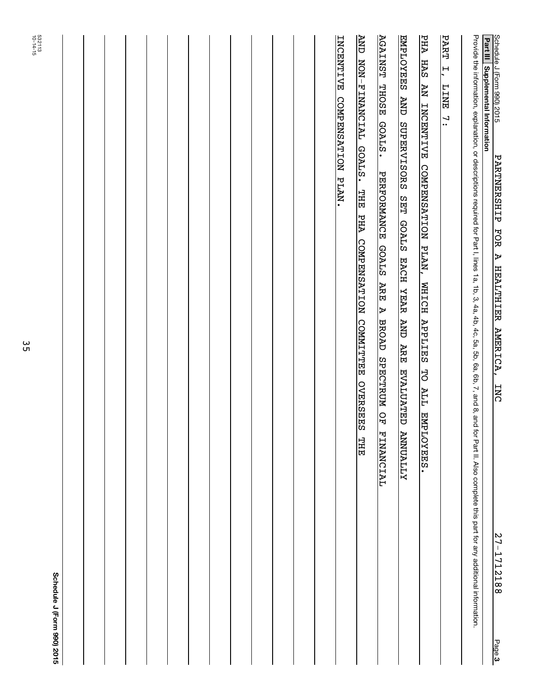| Schedule J (Form 990) 2015<br><b>PARTNERSHIP</b><br><b>FOR</b><br>A<br><b>HEALTHIER</b><br><b>AMERICA,</b><br><b>INC</b><br>27-1712188<br>Page 3                                                                                            |  |
|---------------------------------------------------------------------------------------------------------------------------------------------------------------------------------------------------------------------------------------------|--|
| Provide the information, explanation, or descriptions required for Part I, lines 1a, 1b, 3, 4a, 4b, 5a, 5b, 6a, 6b, 7, and 8, and for Part II. Also complete this part for any additional information.<br>Part III Supplemental Information |  |
| <b>PART</b><br>$\overline{L}$ ,<br>$\overline{INT}$<br>$\mathbf{r}$                                                                                                                                                                         |  |
| PHA<br>HAS<br><b>AN INCENTIVE</b><br>COMPENSATION PLAN,<br><b>NZITCH</b><br><b>APPLIES</b><br>5O<br><b>ALL</b><br>EMPLOYEES.                                                                                                                |  |
| <b>ENPLOYEES</b><br>AND SUPERVISORS SET GOALS EACH YEAR<br><b>AND ARE</b><br><u>EVALUATED ANNUALIY</u>                                                                                                                                      |  |
| <b>AGAINST THOSE</b><br><b>GOALS.</b><br><b>PERFORMANCE</b><br><b>GOALS</b><br>ARE<br>∣ ⊳<br><b>BROAD</b><br>SPECTRUM OF<br><b>FINANCIAL</b>                                                                                                |  |
| AND NON-FINANCIAL GOALS. THE<br>PHA COMPENSATION COMMITTEE<br>OVERSEES THE                                                                                                                                                                  |  |
| INCENTIVE COMPENSATION PLAN.                                                                                                                                                                                                                |  |
|                                                                                                                                                                                                                                             |  |
|                                                                                                                                                                                                                                             |  |
|                                                                                                                                                                                                                                             |  |
|                                                                                                                                                                                                                                             |  |
|                                                                                                                                                                                                                                             |  |
|                                                                                                                                                                                                                                             |  |
|                                                                                                                                                                                                                                             |  |
|                                                                                                                                                                                                                                             |  |
|                                                                                                                                                                                                                                             |  |
|                                                                                                                                                                                                                                             |  |
|                                                                                                                                                                                                                                             |  |
|                                                                                                                                                                                                                                             |  |
| 532113<br>532113<br>Schedule J (Form 990) 2015                                                                                                                                                                                              |  |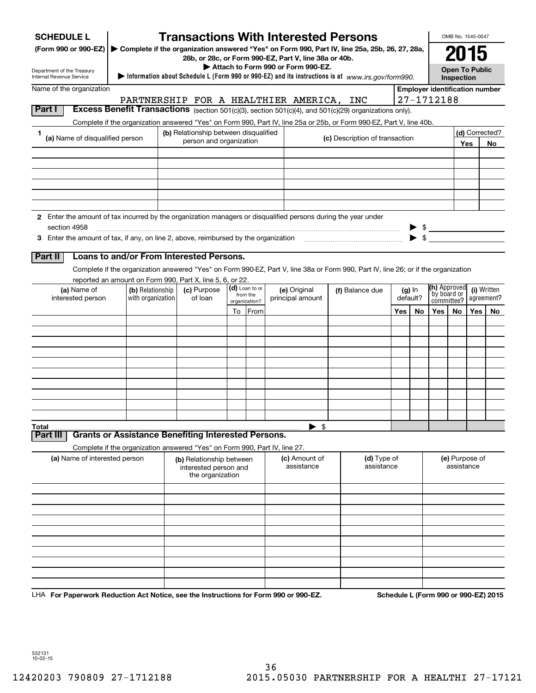| 2015<br>28b, or 28c, or Form 990-EZ, Part V, line 38a or 40b.<br>Attach to Form 990 or Form 990-EZ.<br><b>Open To Public</b><br>Department of the Treasury<br>Information about Schedule L (Form 990 or 990-EZ) and its instructions is at www.irs.gov/form990.<br>Internal Revenue Service<br>Inspection<br>Name of the organization<br><b>Employer identification number</b><br>27-1712188<br>PARTNERSHIP FOR A HEALTHIER AMERICA, INC<br>Part I<br>Excess Benefit Transactions (section 501(c)(3), section 501(c)(4), and 501(c)(29) organizations only).<br>Complete if the organization answered "Yes" on Form 990, Part IV, line 25a or 25b, or Form 990-EZ, Part V, line 40b. |
|--------------------------------------------------------------------------------------------------------------------------------------------------------------------------------------------------------------------------------------------------------------------------------------------------------------------------------------------------------------------------------------------------------------------------------------------------------------------------------------------------------------------------------------------------------------------------------------------------------------------------------------------------------------------------------------|
|                                                                                                                                                                                                                                                                                                                                                                                                                                                                                                                                                                                                                                                                                      |
|                                                                                                                                                                                                                                                                                                                                                                                                                                                                                                                                                                                                                                                                                      |
|                                                                                                                                                                                                                                                                                                                                                                                                                                                                                                                                                                                                                                                                                      |
|                                                                                                                                                                                                                                                                                                                                                                                                                                                                                                                                                                                                                                                                                      |
| (b) Relationship between disqualified<br>(d) Corrected?<br>1                                                                                                                                                                                                                                                                                                                                                                                                                                                                                                                                                                                                                         |
| (a) Name of disqualified person<br>(c) Description of transaction<br>person and organization<br>Yes<br>No                                                                                                                                                                                                                                                                                                                                                                                                                                                                                                                                                                            |
|                                                                                                                                                                                                                                                                                                                                                                                                                                                                                                                                                                                                                                                                                      |
|                                                                                                                                                                                                                                                                                                                                                                                                                                                                                                                                                                                                                                                                                      |
|                                                                                                                                                                                                                                                                                                                                                                                                                                                                                                                                                                                                                                                                                      |
|                                                                                                                                                                                                                                                                                                                                                                                                                                                                                                                                                                                                                                                                                      |
|                                                                                                                                                                                                                                                                                                                                                                                                                                                                                                                                                                                                                                                                                      |
| 2 Enter the amount of tax incurred by the organization managers or disqualified persons during the year under                                                                                                                                                                                                                                                                                                                                                                                                                                                                                                                                                                        |
| section 4958<br>$\frac{1}{2}$                                                                                                                                                                                                                                                                                                                                                                                                                                                                                                                                                                                                                                                        |
| $\blacktriangleright$ \$                                                                                                                                                                                                                                                                                                                                                                                                                                                                                                                                                                                                                                                             |
| Loans to and/or From Interested Persons.<br>Part II                                                                                                                                                                                                                                                                                                                                                                                                                                                                                                                                                                                                                                  |
| Complete if the organization answered "Yes" on Form 990-EZ, Part V, line 38a or Form 990, Part IV, line 26; or if the organization                                                                                                                                                                                                                                                                                                                                                                                                                                                                                                                                                   |
| reported an amount on Form 990, Part X, line 5, 6, or 22.                                                                                                                                                                                                                                                                                                                                                                                                                                                                                                                                                                                                                            |
| <b>(h)</b> Approved<br>(d) Loan to or<br>(c) Purpose<br>(i) Written<br>(a) Name of<br>(b) Relationship<br>(e) Original<br>(f) Balance due<br>$(g)$ In<br>by board or<br>from the<br>interested person<br>with organization<br>of loan<br>principal amount<br>default?<br>agreement?                                                                                                                                                                                                                                                                                                                                                                                                  |
| committee?<br>organization?                                                                                                                                                                                                                                                                                                                                                                                                                                                                                                                                                                                                                                                          |
| To From<br>Yes<br>No<br>Yes<br>No<br>Yes<br>No                                                                                                                                                                                                                                                                                                                                                                                                                                                                                                                                                                                                                                       |
|                                                                                                                                                                                                                                                                                                                                                                                                                                                                                                                                                                                                                                                                                      |
|                                                                                                                                                                                                                                                                                                                                                                                                                                                                                                                                                                                                                                                                                      |
|                                                                                                                                                                                                                                                                                                                                                                                                                                                                                                                                                                                                                                                                                      |
|                                                                                                                                                                                                                                                                                                                                                                                                                                                                                                                                                                                                                                                                                      |
|                                                                                                                                                                                                                                                                                                                                                                                                                                                                                                                                                                                                                                                                                      |
|                                                                                                                                                                                                                                                                                                                                                                                                                                                                                                                                                                                                                                                                                      |
|                                                                                                                                                                                                                                                                                                                                                                                                                                                                                                                                                                                                                                                                                      |
|                                                                                                                                                                                                                                                                                                                                                                                                                                                                                                                                                                                                                                                                                      |
| \$<br>Total<br><b>Grants or Assistance Benefiting Interested Persons.</b><br>Part II                                                                                                                                                                                                                                                                                                                                                                                                                                                                                                                                                                                                 |
| Complete if the organization answered "Yes" on Form 990, Part IV, line 27.                                                                                                                                                                                                                                                                                                                                                                                                                                                                                                                                                                                                           |
| (d) Type of<br>(e) Purpose of<br>(a) Name of interested person<br>(c) Amount of<br>(b) Relationship between<br>assistance<br>assistance<br>assistance<br>interested person and<br>the organization                                                                                                                                                                                                                                                                                                                                                                                                                                                                                   |
|                                                                                                                                                                                                                                                                                                                                                                                                                                                                                                                                                                                                                                                                                      |
|                                                                                                                                                                                                                                                                                                                                                                                                                                                                                                                                                                                                                                                                                      |
|                                                                                                                                                                                                                                                                                                                                                                                                                                                                                                                                                                                                                                                                                      |
|                                                                                                                                                                                                                                                                                                                                                                                                                                                                                                                                                                                                                                                                                      |
|                                                                                                                                                                                                                                                                                                                                                                                                                                                                                                                                                                                                                                                                                      |
|                                                                                                                                                                                                                                                                                                                                                                                                                                                                                                                                                                                                                                                                                      |
|                                                                                                                                                                                                                                                                                                                                                                                                                                                                                                                                                                                                                                                                                      |
|                                                                                                                                                                                                                                                                                                                                                                                                                                                                                                                                                                                                                                                                                      |
| $0.00 \rightarrow 0.00$ EZ<br>Cahadula L (Faum 000 av 000 EZ) 004                                                                                                                                                                                                                                                                                                                                                                                                                                                                                                                                                                                                                    |

LHA For Paperwork Reduction Act Notice, see the Instructions for Form 990 or 990-EZ. Schedule L (Form 990 or 990-EZ) 2015

532131 10-02-15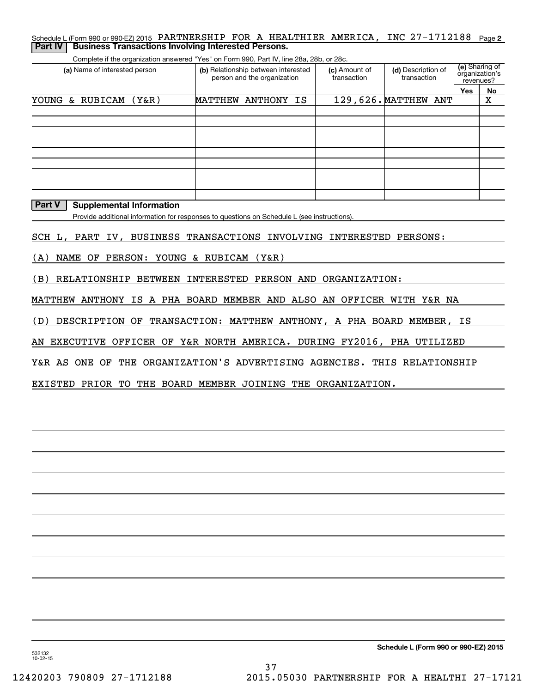| <b>Part IV Business Transactions Involving Interested Persons.</b> |  |  |                                                                                                           |  |
|--------------------------------------------------------------------|--|--|-----------------------------------------------------------------------------------------------------------|--|
|                                                                    |  |  | Schedule L (Form 990 or 990-EZ) 2015 PARTNERSHIP FOR A HEALTHIER AMERICA, INC 27-1712188 $\,$ Page 2 $\,$ |  |

Complete if the organization answered "Yes" on Form 990, Part IV, line 28a, 28b, or 28c.

| (a) Name of interested person | (b) Relationship between interested<br>person and the organization | (c) Amount of<br>transaction | (d) Description of<br>transaction | (e) Sharing of<br>organization's<br>revenues? |    |
|-------------------------------|--------------------------------------------------------------------|------------------------------|-----------------------------------|-----------------------------------------------|----|
|                               |                                                                    |                              |                                   | Yes                                           | No |
| & RUBICAM<br>YOUNG<br>(Y&R)   | MATTHEW<br>ANTHONY IS                                              |                              | $129,626$ . MATTHEW ANT           |                                               | х  |
|                               |                                                                    |                              |                                   |                                               |    |
|                               |                                                                    |                              |                                   |                                               |    |
|                               |                                                                    |                              |                                   |                                               |    |
|                               |                                                                    |                              |                                   |                                               |    |
|                               |                                                                    |                              |                                   |                                               |    |
|                               |                                                                    |                              |                                   |                                               |    |
|                               |                                                                    |                              |                                   |                                               |    |
|                               |                                                                    |                              |                                   |                                               |    |
|                               |                                                                    |                              |                                   |                                               |    |

### $\sqrt{\frac{P_{\text{art}} V}{P_{\text{out}}}}$  Supplemental Information

Provide additional information for responses to questions on Schedule L (see instructions).

SCH L, PART IV, BUSINESS TRANSACTIONS INVOLVING INTERESTED PERSONS:

(A) NAME OF PERSON: YOUNG & RUBICAM (Y&R)

(B) RELATIONSHIP BETWEEN INTERESTED PERSON AND ORGANIZATION:

MATTHEW ANTHONY IS A PHA BOARD MEMBER AND ALSO AN OFFICER WITH Y&R NA

(D) DESCRIPTION OF TRANSACTION: MATTHEW ANTHONY, A PHA BOARD MEMBER, IS

AN EXECUTIVE OFFICER OF Y&R NORTH AMERICA. DURING FY2016, PHA UTILIZED

Y&R AS ONE OF THE ORGANIZATION'S ADVERTISING AGENCIES. THIS RELATIONSHIP

EXISTED PRIOR TO THE BOARD MEMBER JOINING THE ORGANIZATION.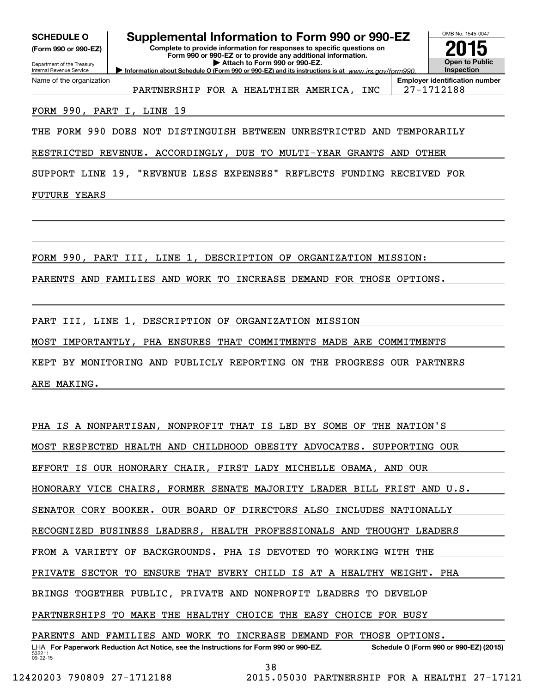| <b>SCHEDULE O</b>                                      | Supplemental Information to Form 990 or 990-EZ                                                                                         | OMB No. 1545-0047                                   |
|--------------------------------------------------------|----------------------------------------------------------------------------------------------------------------------------------------|-----------------------------------------------------|
| (Form 990 or 990-EZ)                                   | Complete to provide information for responses to specific questions on<br>Form 990 or 990-EZ or to provide any additional information. |                                                     |
| Department of the Treasury<br>Internal Revenue Service | Attach to Form 990 or 990-EZ.<br>Information about Schedule O (Form 990 or 990-EZ) and its instructions is at www.irs.gov/form990.     | <b>Open to Public</b><br>Inspection                 |
| Name of the organization                               | PARTNERSHIP FOR A HEALTHIER AMERICA,<br>INC                                                                                            | <b>Employer identification number</b><br>27-1712188 |
| FORM 990, PART I, LINE 19                              |                                                                                                                                        |                                                     |
| THE                                                    | FORM 990 DOES NOT DISTINGUISH BETWEEN UNRESTRICTED AND                                                                                 | TEMPORARILY                                         |
|                                                        | RESTRICTED REVENUE. ACCORDINGLY, DUE TO MULTI-YEAR GRANTS AND                                                                          | OTHER                                               |
|                                                        | SUPPORT LINE 19, "REVENUE LESS EXPENSES"<br>REFLECTS FUNDING RECEIVED FOR                                                              |                                                     |
| <b>FUTURE YEARS</b>                                    |                                                                                                                                        |                                                     |
|                                                        |                                                                                                                                        |                                                     |
|                                                        |                                                                                                                                        |                                                     |
|                                                        | FORM 990, PART III, LINE 1, DESCRIPTION OF ORGANIZATION MISSION:                                                                       |                                                     |
| PARENTS<br>AND                                         | FAMILIES AND<br>WORK TO<br>INCREASE DEMAND FOR THOSE OPTIONS.                                                                          |                                                     |
|                                                        |                                                                                                                                        |                                                     |
| PART                                                   | III, LINE 1, DESCRIPTION OF ORGANIZATION MISSION                                                                                       |                                                     |

MOST IMPORTANTLY, PHA ENSURES THAT COMMITMENTS MADE ARE COMMITMENTS

KEPT BY MONITORING AND PUBLICLY REPORTING ON THE PROGRESS OUR PARTNERS

ARE MAKING.

532211 09-02-15 LHA For Paperwork Reduction Act Notice, see the Instructions for Form 990 or 990-EZ. Schedule O (Form 990 or 990-EZ) (2015) PHA IS A NONPARTISAN, NONPROFIT THAT IS LED BY SOME OF THE NATION'S MOST RESPECTED HEALTH AND CHILDHOOD OBESITY ADVOCATES. SUPPORTING OUR EFFORT IS OUR HONORARY CHAIR, FIRST LADY MICHELLE OBAMA, AND OUR HONORARY VICE CHAIRS, FORMER SENATE MAJORITY LEADER BILL FRIST AND U.S. SENATOR CORY BOOKER. OUR BOARD OF DIRECTORS ALSO INCLUDES NATIONALLY RECOGNIZED BUSINESS LEADERS, HEALTH PROFESSIONALS AND THOUGHT LEADERS FROM A VARIETY OF BACKGROUNDS. PHA IS DEVOTED TO WORKING WITH THE PRIVATE SECTOR TO ENSURE THAT EVERY CHILD IS AT A HEALTHY WEIGHT. PHA BRINGS TOGETHER PUBLIC, PRIVATE AND NONPROFIT LEADERS TO DEVELOP PARTNERSHIPS TO MAKE THE HEALTHY CHOICE THE EASY CHOICE FOR BUSY PARENTS AND FAMILIES AND WORK TO INCREASE DEMAND FOR THOSE OPTIONS.

38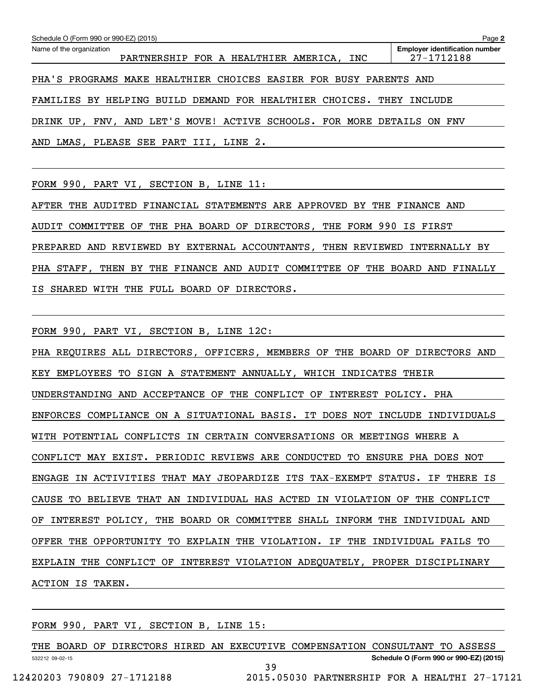| Schedule O (Form 990 or 990-EZ) (2015)                                 | Page 2                                              |
|------------------------------------------------------------------------|-----------------------------------------------------|
| Name of the organization<br>PARTNERSHIP FOR A HEALTHIER AMERICA, INC   | <b>Employer identification number</b><br>27-1712188 |
| PHA'S PROGRAMS MAKE HEALTHIER CHOICES EASIER FOR BUSY PARENTS AND      |                                                     |
| FAMILIES BY HELPING BUILD DEMAND FOR HEALTHIER CHOICES. THEY           | INCLUDE                                             |
| DRINK UP, FNV, AND LET'S MOVE! ACTIVE SCHOOLS. FOR MORE DETAILS ON FNV |                                                     |
| AND LMAS, PLEASE SEE PART III, LINE 2.                                 |                                                     |

FORM 990, PART VI, SECTION B, LINE 11:

AFTER THE AUDITED FINANCIAL STATEMENTS ARE APPROVED BY THE FINANCE AND AUDIT COMMITTEE OF THE PHA BOARD OF DIRECTORS, THE FORM 990 IS FIRST PREPARED AND REVIEWED BY EXTERNAL ACCOUNTANTS, THEN REVIEWED INTERNALLY BY PHA STAFF, THEN BY THE FINANCE AND AUDIT COMMITTEE OF THE BOARD AND FINALLY IS SHARED WITH THE FULL BOARD OF DIRECTORS.

FORM 990, PART VI, SECTION B, LINE 12C:

PHA REQUIRES ALL DIRECTORS, OFFICERS, MEMBERS OF THE BOARD OF DIRECTORS AND KEY EMPLOYEES TO SIGN A STATEMENT ANNUALLY, WHICH INDICATES THEIR UNDERSTANDING AND ACCEPTANCE OF THE CONFLICT OF INTEREST POLICY. PHA ENFORCES COMPLIANCE ON A SITUATIONAL BASIS. IT DOES NOT INCLUDE INDIVIDUALS WITH POTENTIAL CONFLICTS IN CERTAIN CONVERSATIONS OR MEETINGS WHERE A CONFLICT MAY EXIST. PERIODIC REVIEWS ARE CONDUCTED TO ENSURE PHA DOES NOT ENGAGE IN ACTIVITIES THAT MAY JEOPARDIZE ITS TAX-EXEMPT STATUS. IF THERE IS CAUSE TO BELIEVE THAT AN INDIVIDUAL HAS ACTED IN VIOLATION OF THE CONFLICT OF INTEREST POLICY, THE BOARD OR COMMITTEE SHALL INFORM THE INDIVIDUAL AND OFFER THE OPPORTUNITY TO EXPLAIN THE VIOLATION. IF THE INDIVIDUAL FAILS TO EXPLAIN THE CONFLICT OF INTEREST VIOLATION ADEQUATELY, PROPER DISCIPLINARY ACTION IS TAKEN.

FORM 990, PART VI, SECTION B, LINE 15:

|                            |  | THE BOARD OF DIRECTORS HIRED AN EXECUTIVE COMPENSATION CONSULTANT TO ASSESS |                                        |  |
|----------------------------|--|-----------------------------------------------------------------------------|----------------------------------------|--|
| 532212 09-02-15            |  |                                                                             | Schedule O (Form 990 or 990-EZ) (2015) |  |
|                            |  |                                                                             |                                        |  |
| 12420203 790809 27-1712188 |  | 2015.05030 PARTNERSHIP FOR A HEALTHI 27-17121                               |                                        |  |